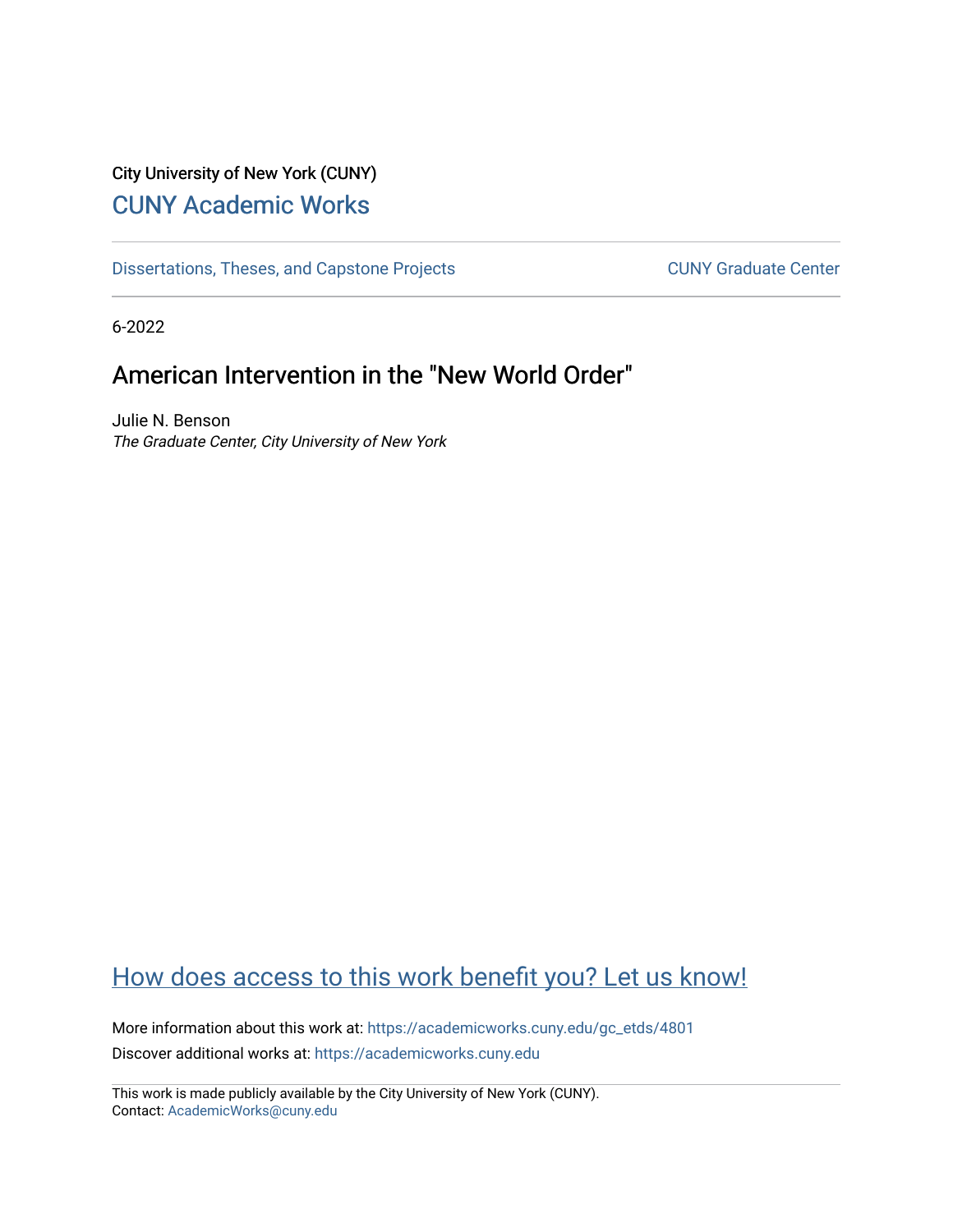# City University of New York (CUNY) [CUNY Academic Works](https://academicworks.cuny.edu/)

[Dissertations, Theses, and Capstone Projects](https://academicworks.cuny.edu/gc_etds) CUNY Graduate Center

6-2022

# American Intervention in the "New World Order"

Julie N. Benson The Graduate Center, City University of New York

# [How does access to this work benefit you? Let us know!](http://ols.cuny.edu/academicworks/?ref=https://academicworks.cuny.edu/gc_etds/4801)

More information about this work at: [https://academicworks.cuny.edu/gc\\_etds/4801](https://academicworks.cuny.edu/gc_etds/4801) Discover additional works at: [https://academicworks.cuny.edu](https://academicworks.cuny.edu/?)

This work is made publicly available by the City University of New York (CUNY). Contact: [AcademicWorks@cuny.edu](mailto:AcademicWorks@cuny.edu)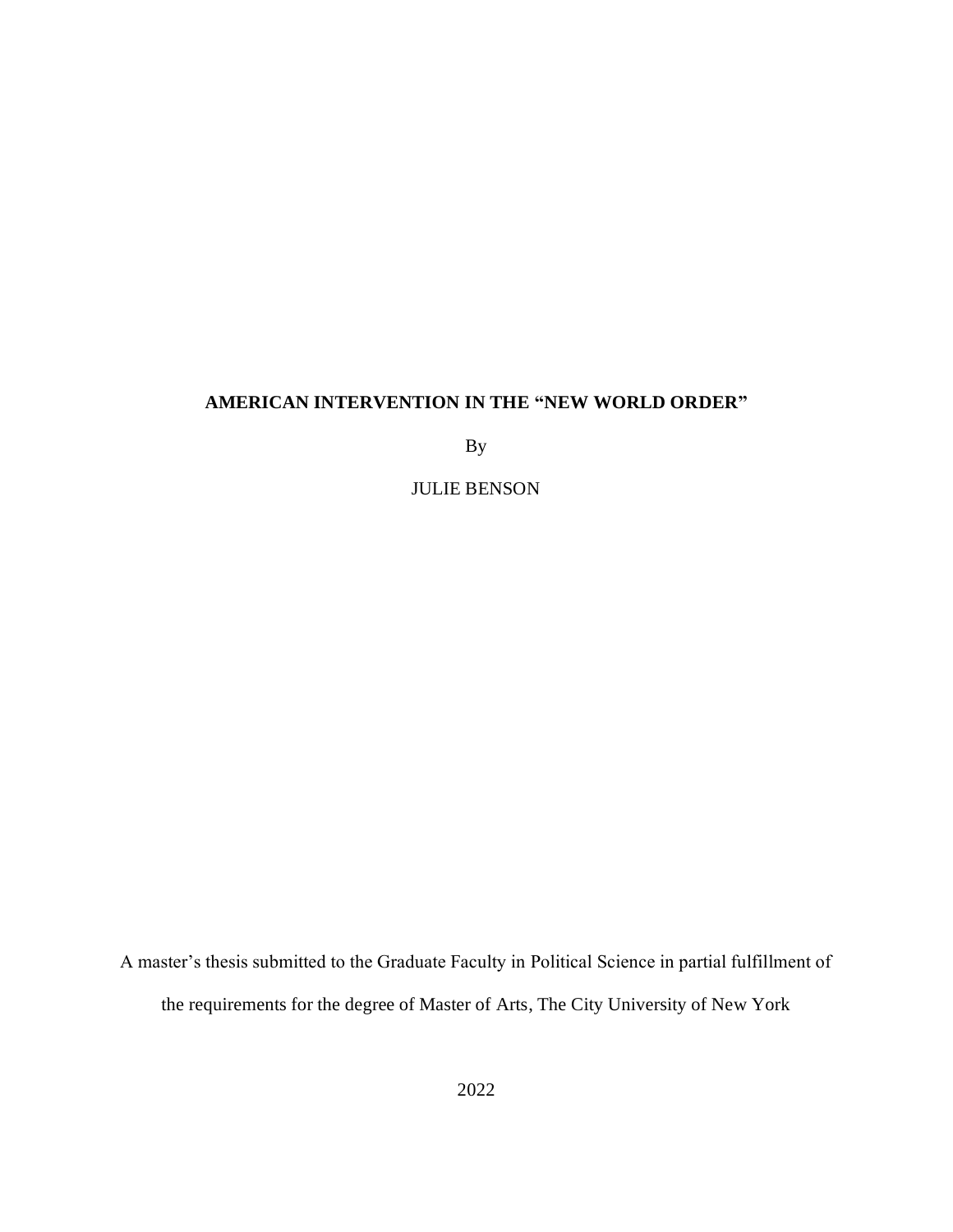## **AMERICAN INTERVENTION IN THE "NEW WORLD ORDER"**

By

JULIE BENSON

A master's thesis submitted to the Graduate Faculty in Political Science in partial fulfillment of the requirements for the degree of Master of Arts, The City University of New York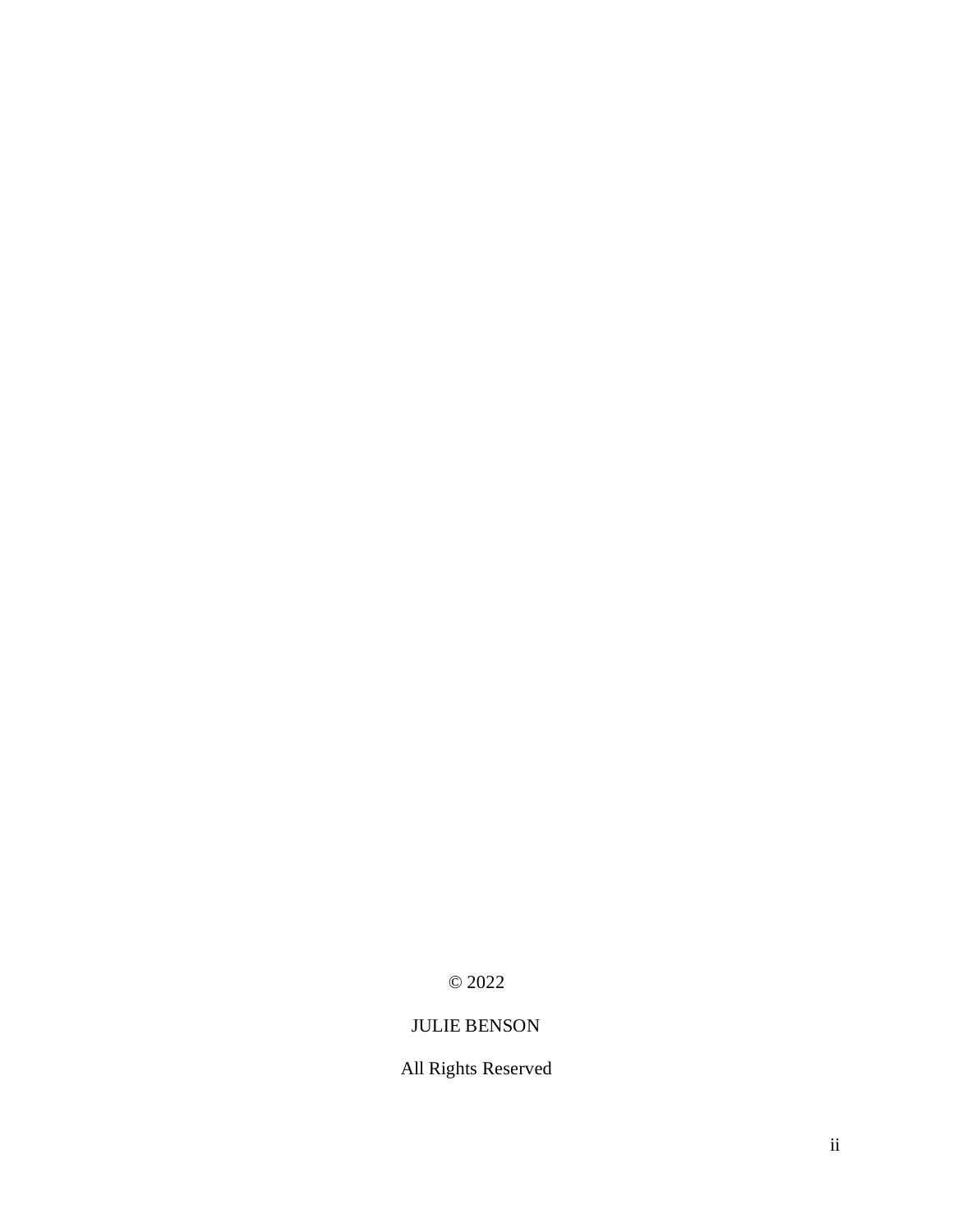© 2022

# JULIE BENSON

# All Rights Reserved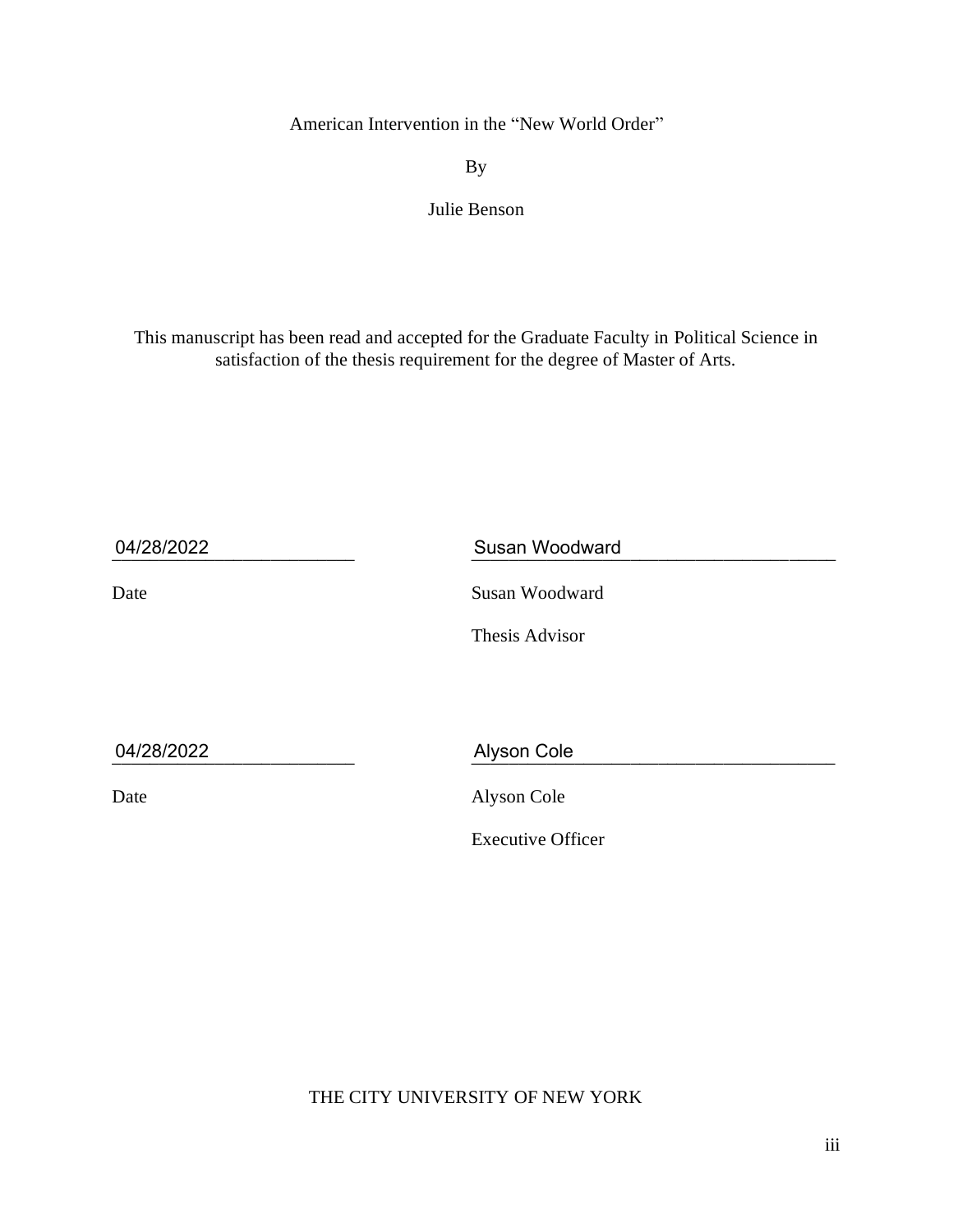American Intervention in the "New World Order"

By

Julie Benson

This manuscript has been read and accepted for the Graduate Faculty in Political Science in satisfaction of the thesis requirement for the degree of Master of Arts.

| 04/28/2022 | <b>Susan Woodward</b>    |
|------------|--------------------------|
| Date       | Susan Woodward           |
|            | Thesis Advisor           |
|            |                          |
| 04/28/2022 | Alyson Cole              |
| Date       | Alyson Cole              |
|            | <b>Executive Officer</b> |

THE CITY UNIVERSITY OF NEW YORK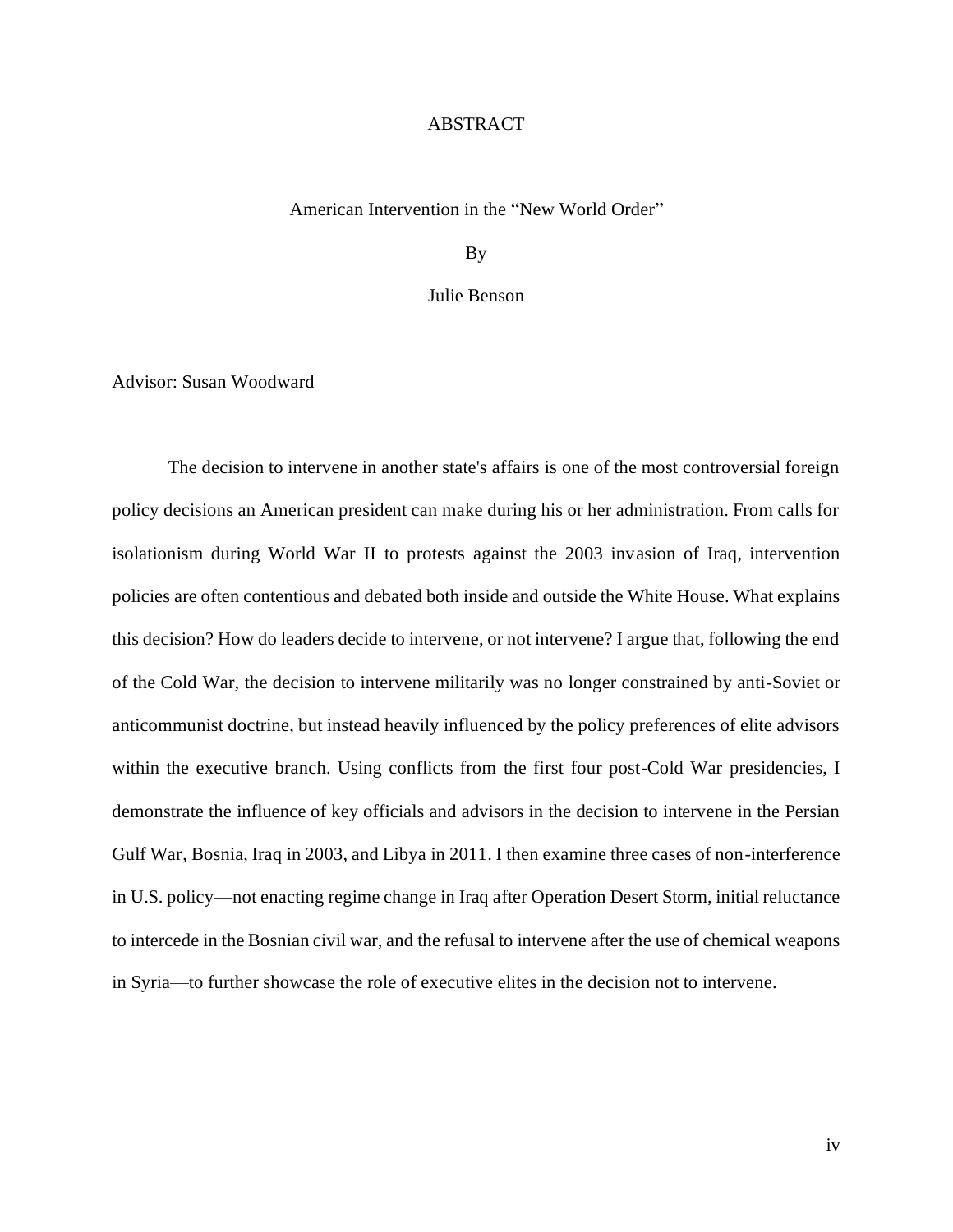#### **ABSTRACT**

#### American Intervention in the "New World Order"

By

Julie Benson

Advisor: Susan Woodward

The decision to intervene in another state's affairs is one of the most controversial foreign policy decisions an American president can make during his or her administration. From calls for isolationism during World War II to protests against the 2003 invasion of Iraq, intervention policies are often contentious and debated both inside and outside the White House. What explains this decision? How do leaders decide to intervene, or not intervene? I argue that, following the end of the Cold War, the decision to intervene militarily was no longer constrained by anti-Soviet or anticommunist doctrine, but instead heavily influenced by the policy preferences of elite advisors within the executive branch. Using conflicts from the first four post-Cold War presidencies, I demonstrate the influence of key officials and advisors in the decision to intervene in the Persian Gulf War, Bosnia, Iraq in 2003, and Libya in 2011. I then examine three cases of non-interference in U.S. policy—not enacting regime change in Iraq after Operation Desert Storm, initial reluctance to intercede in the Bosnian civil war, and the refusal to intervene after the use of chemical weapons in Syria—to further showcase the role of executive elites in the decision not to intervene.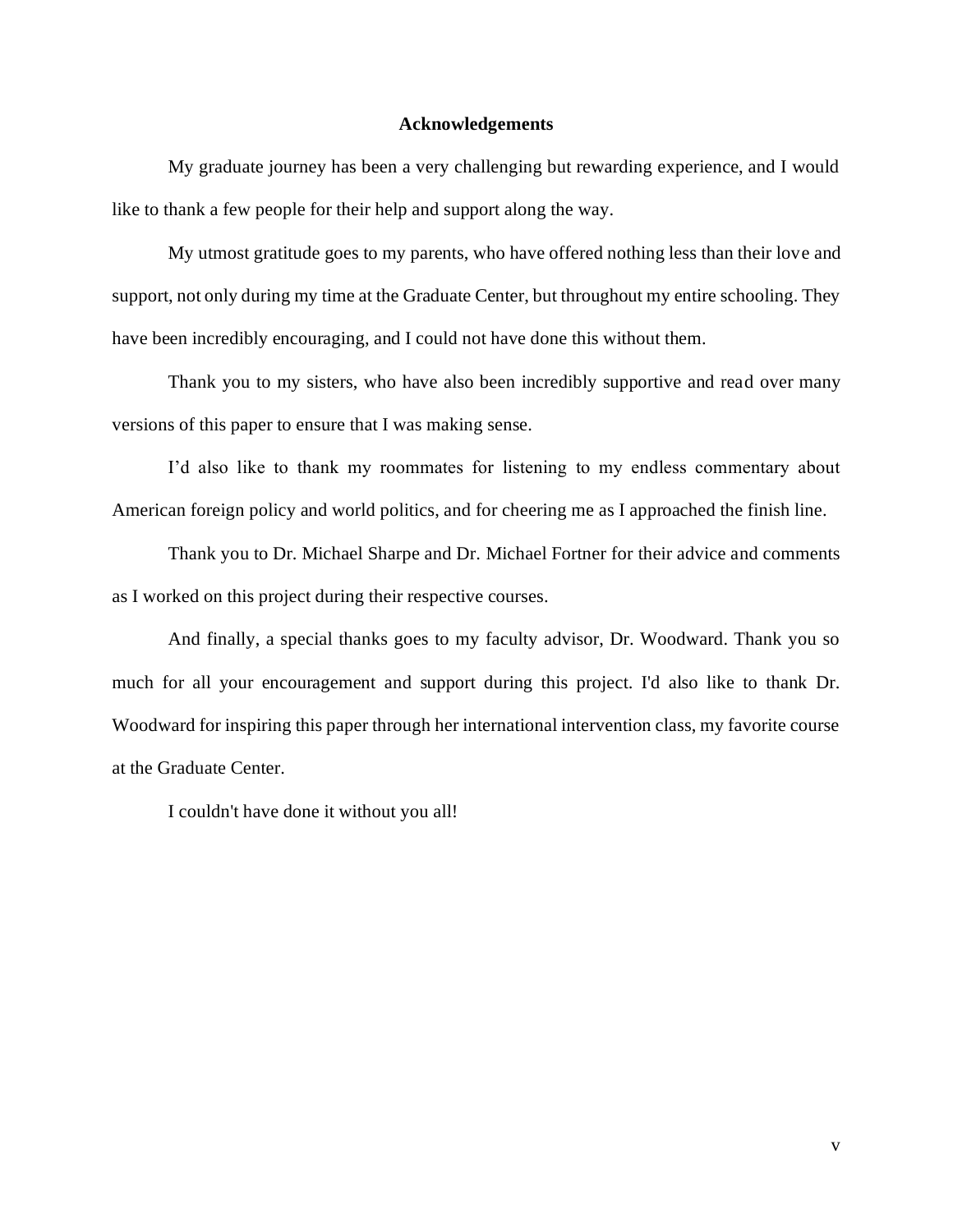#### **Acknowledgements**

My graduate journey has been a very challenging but rewarding experience, and I would like to thank a few people for their help and support along the way.

My utmost gratitude goes to my parents, who have offered nothing less than their love and support, not only during my time at the Graduate Center, but throughout my entire schooling. They have been incredibly encouraging, and I could not have done this without them.

Thank you to my sisters, who have also been incredibly supportive and read over many versions of this paper to ensure that I was making sense.

I'd also like to thank my roommates for listening to my endless commentary about American foreign policy and world politics, and for cheering me as I approached the finish line.

Thank you to Dr. Michael Sharpe and Dr. Michael Fortner for their advice and comments as I worked on this project during their respective courses.

And finally, a special thanks goes to my faculty advisor, Dr. Woodward. Thank you so much for all your encouragement and support during this project. I'd also like to thank Dr. Woodward for inspiring this paper through her international intervention class, my favorite course at the Graduate Center.

I couldn't have done it without you all!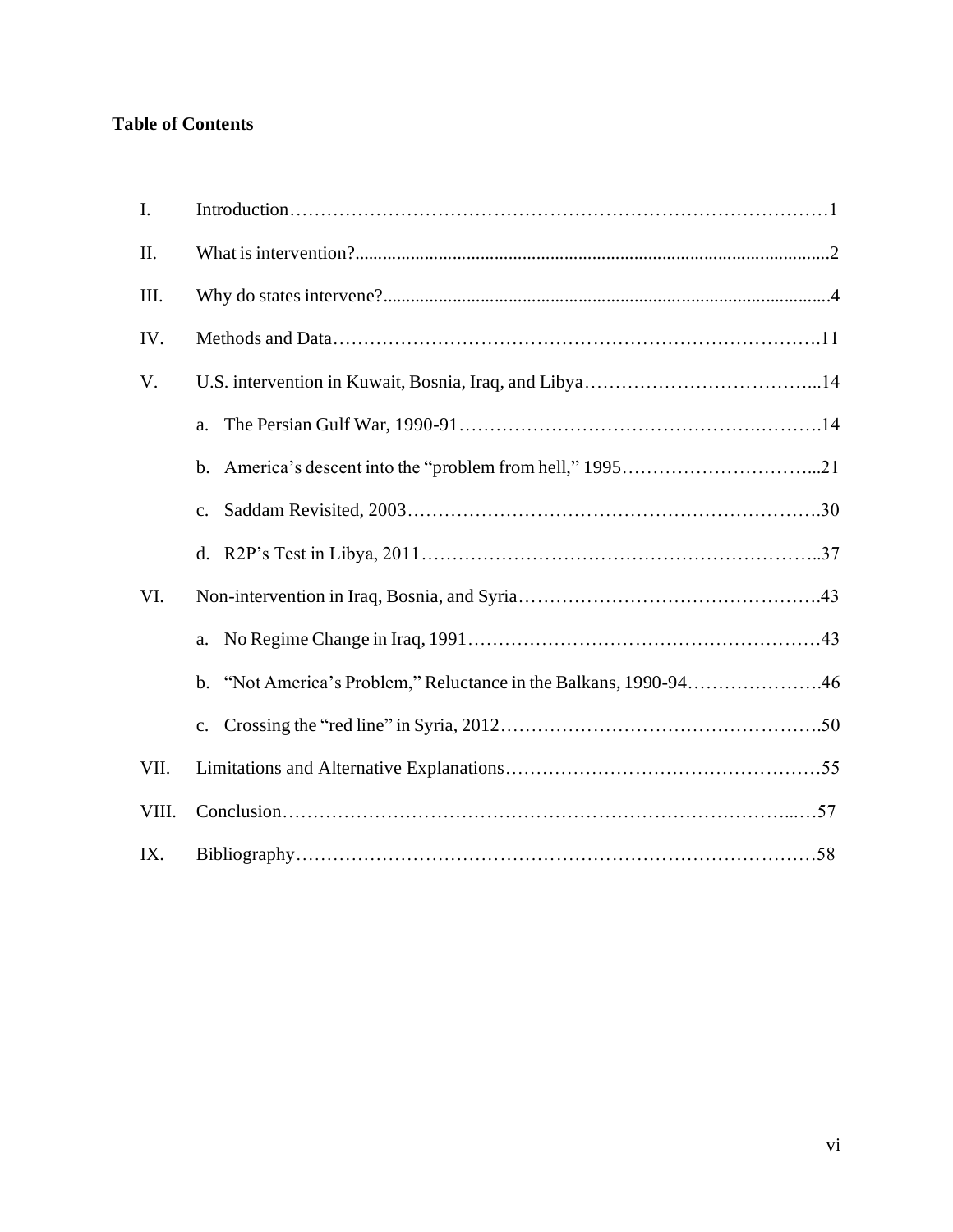## **Table of Contents**

| I.    |                                                                  |  |
|-------|------------------------------------------------------------------|--|
| II.   |                                                                  |  |
| Ш.    |                                                                  |  |
| IV.   |                                                                  |  |
| V.    |                                                                  |  |
|       | a.                                                               |  |
|       |                                                                  |  |
|       | $\mathbf{c}$ .                                                   |  |
|       |                                                                  |  |
| VI.   |                                                                  |  |
|       | a.                                                               |  |
|       | b. "Not America's Problem," Reluctance in the Balkans, 1990-9446 |  |
|       | c.                                                               |  |
| VII.  |                                                                  |  |
| VIII. |                                                                  |  |
| IX.   |                                                                  |  |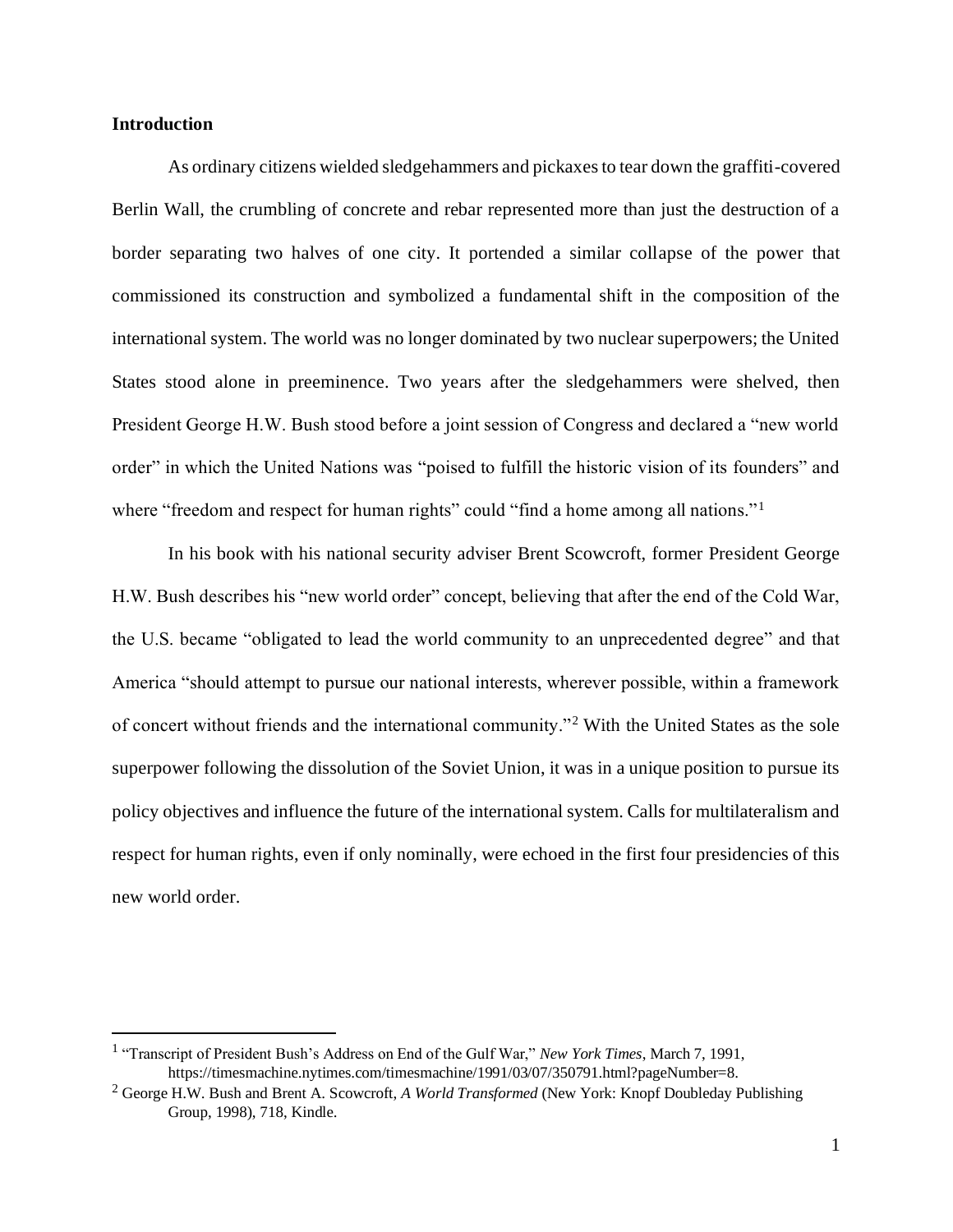#### **Introduction**

As ordinary citizens wielded sledgehammers and pickaxes to tear down the graffiti-covered Berlin Wall, the crumbling of concrete and rebar represented more than just the destruction of a border separating two halves of one city. It portended a similar collapse of the power that commissioned its construction and symbolized a fundamental shift in the composition of the international system. The world was no longer dominated by two nuclear superpowers; the United States stood alone in preeminence. Two years after the sledgehammers were shelved, then President George H.W. Bush stood before a joint session of Congress and declared a "new world order" in which the United Nations was "poised to fulfill the historic vision of its founders" and where "freedom and respect for human rights" could "find a home among all nations."<sup>1</sup>

In his book with his national security adviser Brent Scowcroft, former President George H.W. Bush describes his "new world order" concept, believing that after the end of the Cold War, the U.S. became "obligated to lead the world community to an unprecedented degree" and that America "should attempt to pursue our national interests, wherever possible, within a framework of concert without friends and the international community."<sup>2</sup> With the United States as the sole superpower following the dissolution of the Soviet Union, it was in a unique position to pursue its policy objectives and influence the future of the international system. Calls for multilateralism and respect for human rights, even if only nominally, were echoed in the first four presidencies of this new world order.

<sup>&</sup>lt;sup>1</sup> "Transcript of President Bush's Address on End of the Gulf War," *New York Times*, March 7, 1991, https://timesmachine.nytimes.com/timesmachine/1991/03/07/350791.html?pageNumber=8.

<sup>2</sup> George H.W. Bush and Brent A. Scowcroft, *A World Transformed* (New York: Knopf Doubleday Publishing Group, 1998), 718, Kindle.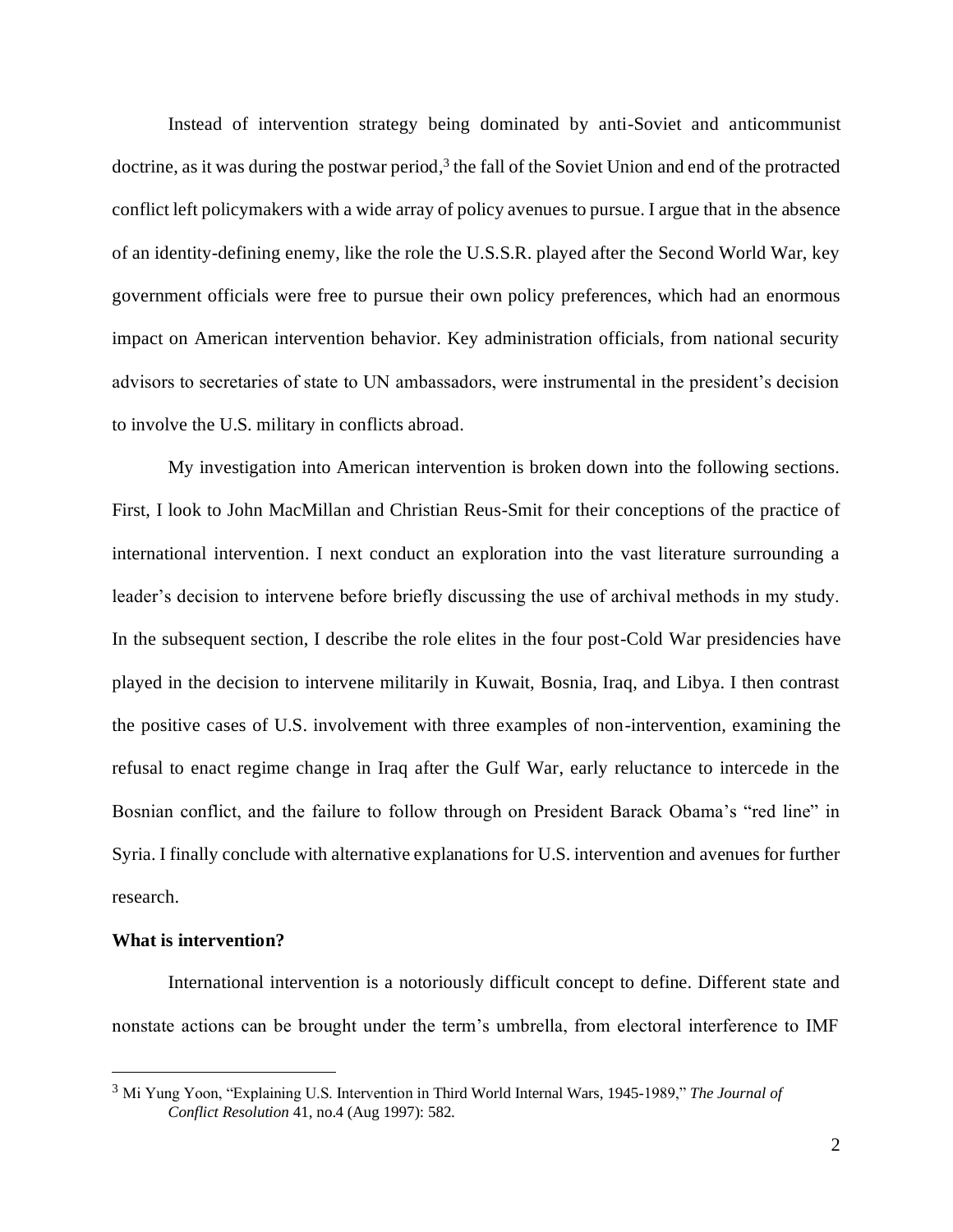Instead of intervention strategy being dominated by anti-Soviet and anticommunist doctrine, as it was during the postwar period,<sup>3</sup> the fall of the Soviet Union and end of the protracted conflict left policymakers with a wide array of policy avenues to pursue. I argue that in the absence of an identity-defining enemy, like the role the U.S.S.R. played after the Second World War, key government officials were free to pursue their own policy preferences, which had an enormous impact on American intervention behavior. Key administration officials, from national security advisors to secretaries of state to UN ambassadors, were instrumental in the president's decision to involve the U.S. military in conflicts abroad.

My investigation into American intervention is broken down into the following sections. First, I look to John MacMillan and Christian Reus-Smit for their conceptions of the practice of international intervention. I next conduct an exploration into the vast literature surrounding a leader's decision to intervene before briefly discussing the use of archival methods in my study. In the subsequent section, I describe the role elites in the four post-Cold War presidencies have played in the decision to intervene militarily in Kuwait, Bosnia, Iraq, and Libya. I then contrast the positive cases of U.S. involvement with three examples of non-intervention, examining the refusal to enact regime change in Iraq after the Gulf War, early reluctance to intercede in the Bosnian conflict, and the failure to follow through on President Barack Obama's "red line" in Syria. I finally conclude with alternative explanations for U.S. intervention and avenues for further research.

#### **What is intervention?**

International intervention is a notoriously difficult concept to define. Different state and nonstate actions can be brought under the term's umbrella, from electoral interference to IMF

<sup>3</sup> Mi Yung Yoon, "Explaining U.S. Intervention in Third World Internal Wars, 1945-1989," *The Journal of Conflict Resolution* 41, no.4 (Aug 1997): 582.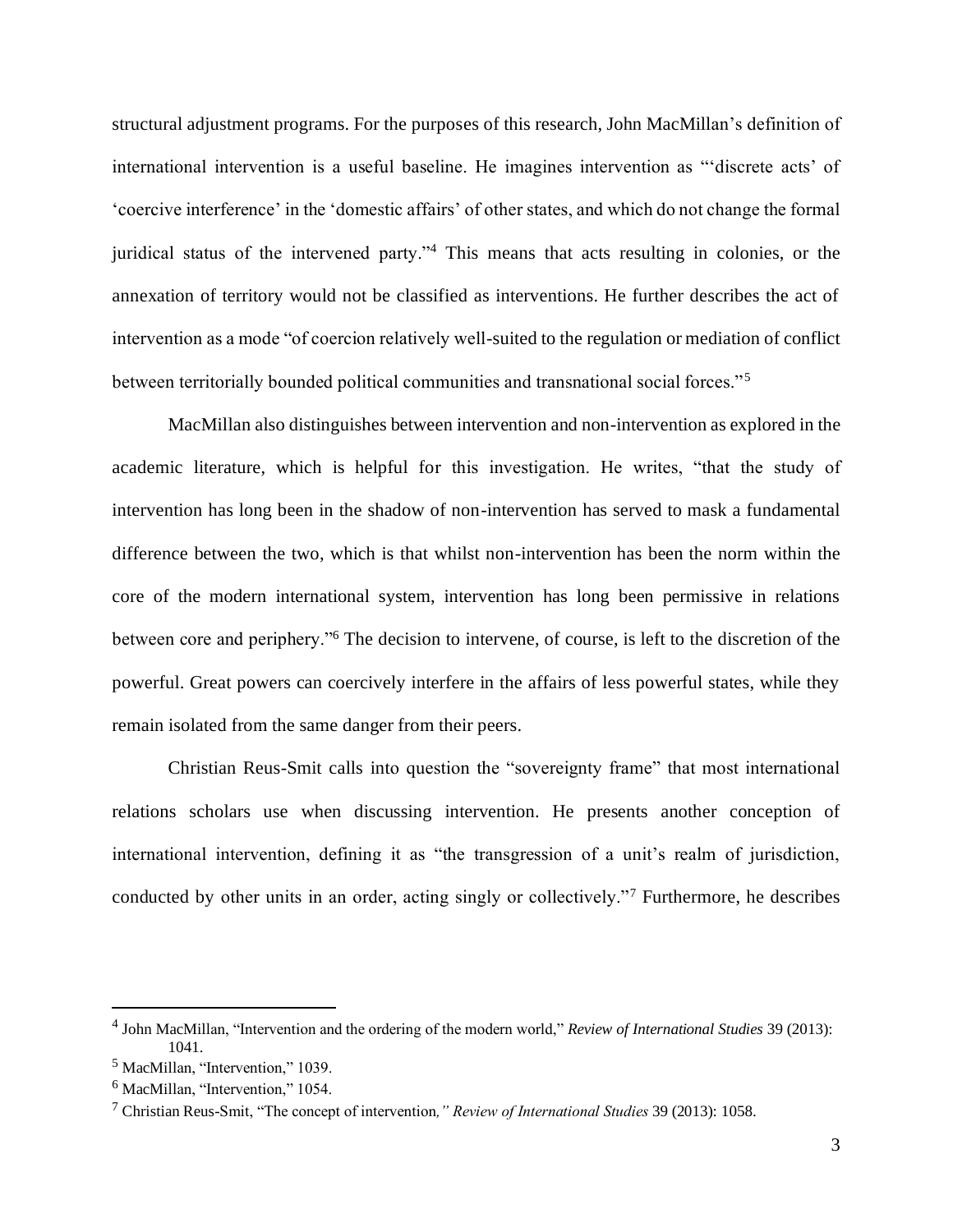structural adjustment programs. For the purposes of this research, John MacMillan's definition of international intervention is a useful baseline. He imagines intervention as "'discrete acts' of 'coercive interference' in the 'domestic affairs' of other states, and which do not change the formal juridical status of the intervened party."<sup>4</sup> This means that acts resulting in colonies, or the annexation of territory would not be classified as interventions. He further describes the act of intervention as a mode "of coercion relatively well-suited to the regulation or mediation of conflict between territorially bounded political communities and transnational social forces."<sup>5</sup>

MacMillan also distinguishes between intervention and non-intervention as explored in the academic literature, which is helpful for this investigation. He writes, "that the study of intervention has long been in the shadow of non-intervention has served to mask a fundamental difference between the two, which is that whilst non-intervention has been the norm within the core of the modern international system, intervention has long been permissive in relations between core and periphery."<sup>6</sup> The decision to intervene, of course, is left to the discretion of the powerful. Great powers can coercively interfere in the affairs of less powerful states, while they remain isolated from the same danger from their peers.

Christian Reus-Smit calls into question the "sovereignty frame" that most international relations scholars use when discussing intervention. He presents another conception of international intervention, defining it as "the transgression of a unit's realm of jurisdiction, conducted by other units in an order, acting singly or collectively."<sup>7</sup> Furthermore, he describes

<sup>4</sup> John MacMillan, "Intervention and the ordering of the modern world," *Review of International Studies* 39 (2013): 1041.

<sup>5</sup> MacMillan, "Intervention," 1039.

<sup>6</sup> MacMillan, "Intervention," 1054.

<sup>7</sup> Christian Reus-Smit, "The concept of intervention*," Review of International Studies* 39 (2013): 1058.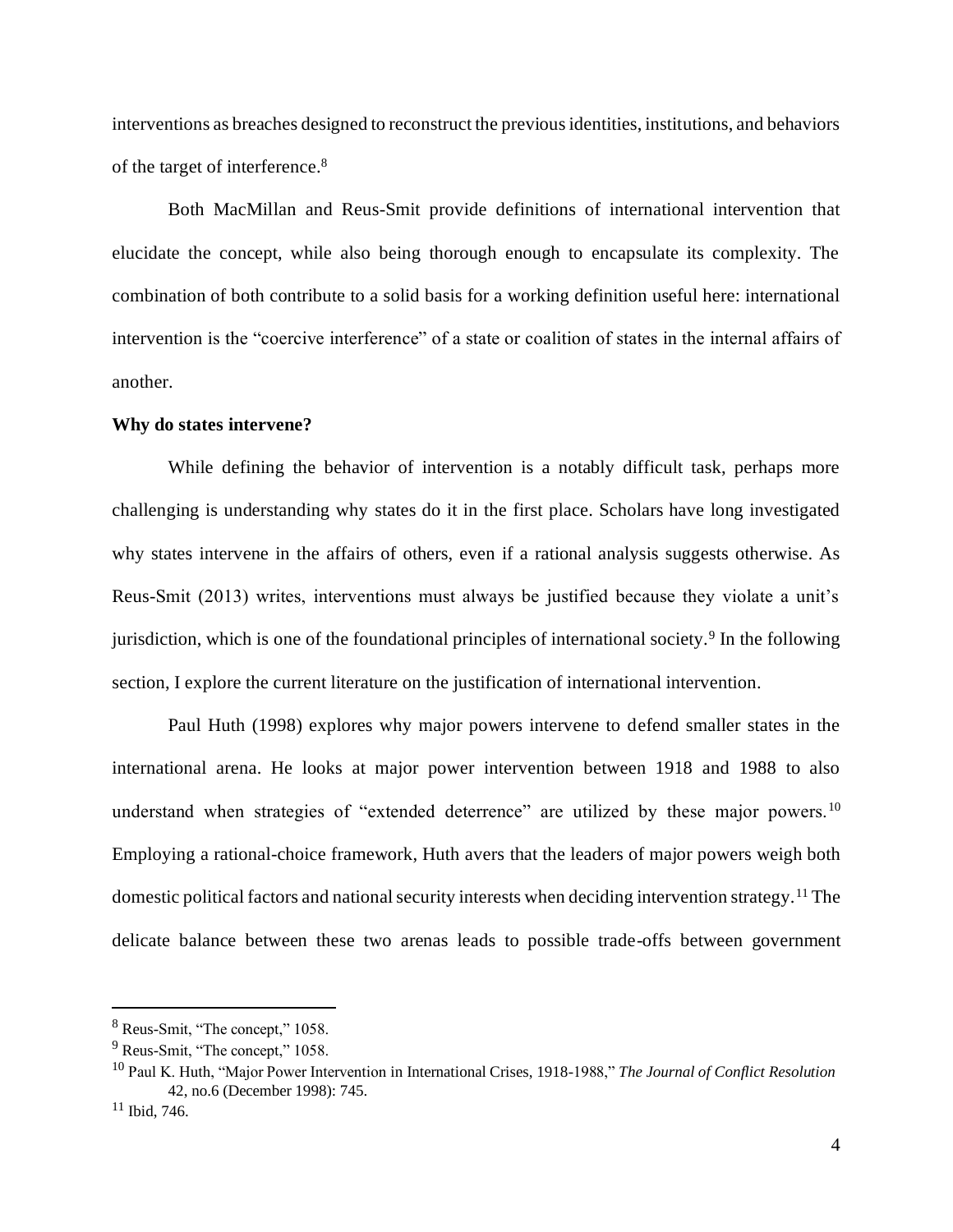interventions as breaches designed to reconstruct the previous identities, institutions, and behaviors of the target of interference.<sup>8</sup>

Both MacMillan and Reus-Smit provide definitions of international intervention that elucidate the concept, while also being thorough enough to encapsulate its complexity. The combination of both contribute to a solid basis for a working definition useful here: international intervention is the "coercive interference" of a state or coalition of states in the internal affairs of another.

#### **Why do states intervene?**

While defining the behavior of intervention is a notably difficult task, perhaps more challenging is understanding why states do it in the first place. Scholars have long investigated why states intervene in the affairs of others, even if a rational analysis suggests otherwise. As Reus-Smit (2013) writes, interventions must always be justified because they violate a unit's jurisdiction, which is one of the foundational principles of international society.<sup>9</sup> In the following section, I explore the current literature on the justification of international intervention.

Paul Huth (1998) explores why major powers intervene to defend smaller states in the international arena. He looks at major power intervention between 1918 and 1988 to also understand when strategies of "extended deterrence" are utilized by these major powers.<sup>10</sup> Employing a rational-choice framework, Huth avers that the leaders of major powers weigh both domestic political factors and national security interests when deciding intervention strategy.<sup>11</sup> The delicate balance between these two arenas leads to possible trade-offs between government

<sup>8</sup> Reus-Smit, "The concept," 1058.

<sup>&</sup>lt;sup>9</sup> Reus-Smit, "The concept," 1058.

<sup>10</sup> Paul K. Huth, "Major Power Intervention in International Crises, 1918-1988," *The Journal of Conflict Resolution* 42, no.6 (December 1998): 745.

 $11$  Ibid, 746.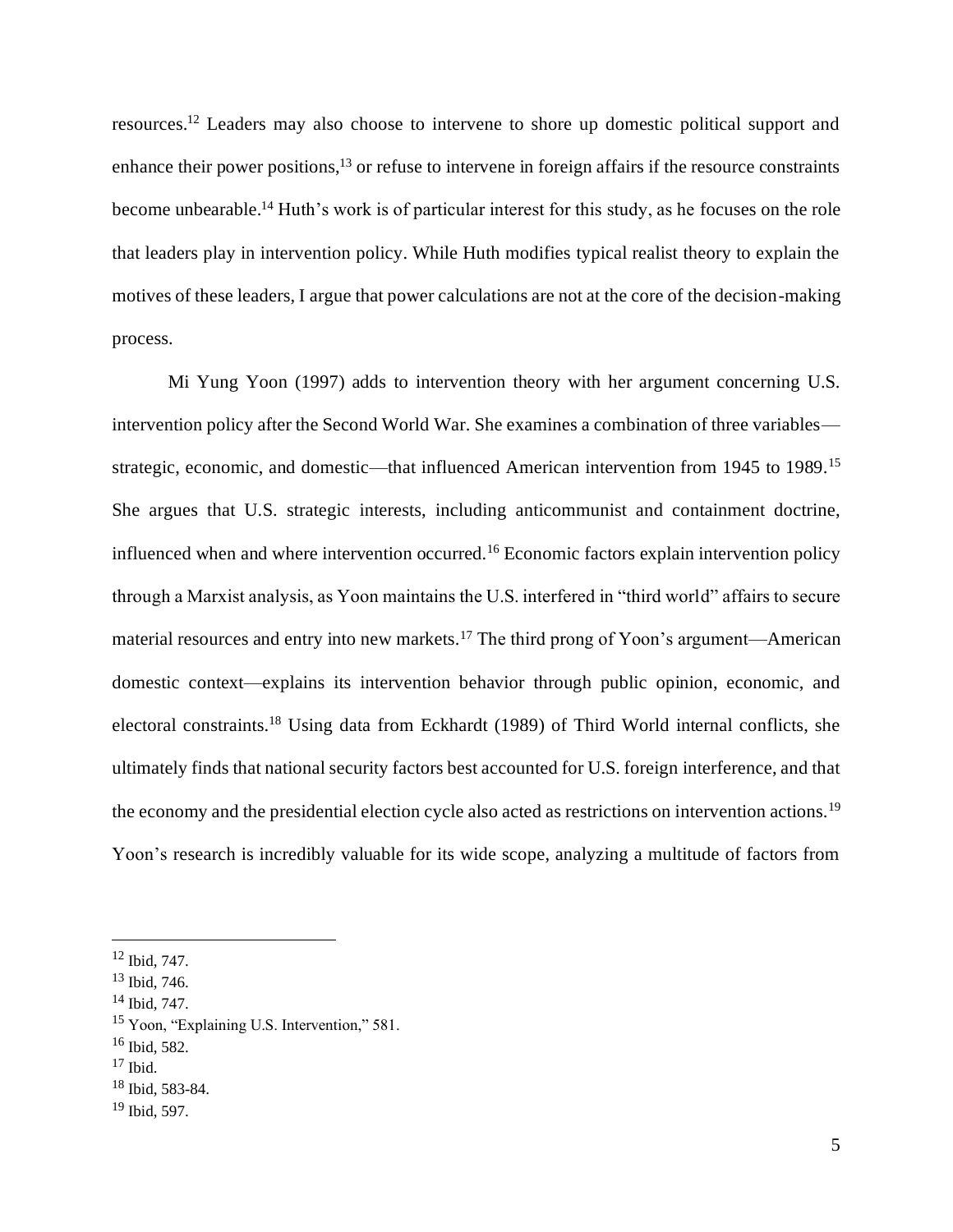resources.<sup>12</sup> Leaders may also choose to intervene to shore up domestic political support and enhance their power positions,  $^{13}$  or refuse to intervene in foreign affairs if the resource constraints become unbearable.<sup>14</sup> Huth's work is of particular interest for this study, as he focuses on the role that leaders play in intervention policy. While Huth modifies typical realist theory to explain the motives of these leaders, I argue that power calculations are not at the core of the decision-making process.

Mi Yung Yoon (1997) adds to intervention theory with her argument concerning U.S. intervention policy after the Second World War. She examines a combination of three variables strategic, economic, and domestic—that influenced American intervention from 1945 to 1989.<sup>15</sup> She argues that U.S. strategic interests, including anticommunist and containment doctrine, influenced when and where intervention occurred.<sup>16</sup> Economic factors explain intervention policy through a Marxist analysis, as Yoon maintains the U.S. interfered in "third world" affairs to secure material resources and entry into new markets.<sup>17</sup> The third prong of Yoon's argument—American domestic context—explains its intervention behavior through public opinion, economic, and electoral constraints.<sup>18</sup> Using data from Eckhardt (1989) of Third World internal conflicts, she ultimately finds that national security factors best accounted for U.S. foreign interference, and that the economy and the presidential election cycle also acted as restrictions on intervention actions.<sup>19</sup> Yoon's research is incredibly valuable for its wide scope, analyzing a multitude of factors from

<sup>12</sup> Ibid, 747.

<sup>13</sup> Ibid, 746.

<sup>14</sup> Ibid, 747.

<sup>15</sup> Yoon, "Explaining U.S. Intervention," 581.

<sup>16</sup> Ibid, 582.

 $17$  Ibid.

<sup>18</sup> Ibid, 583-84.

<sup>19</sup> Ibid, 597.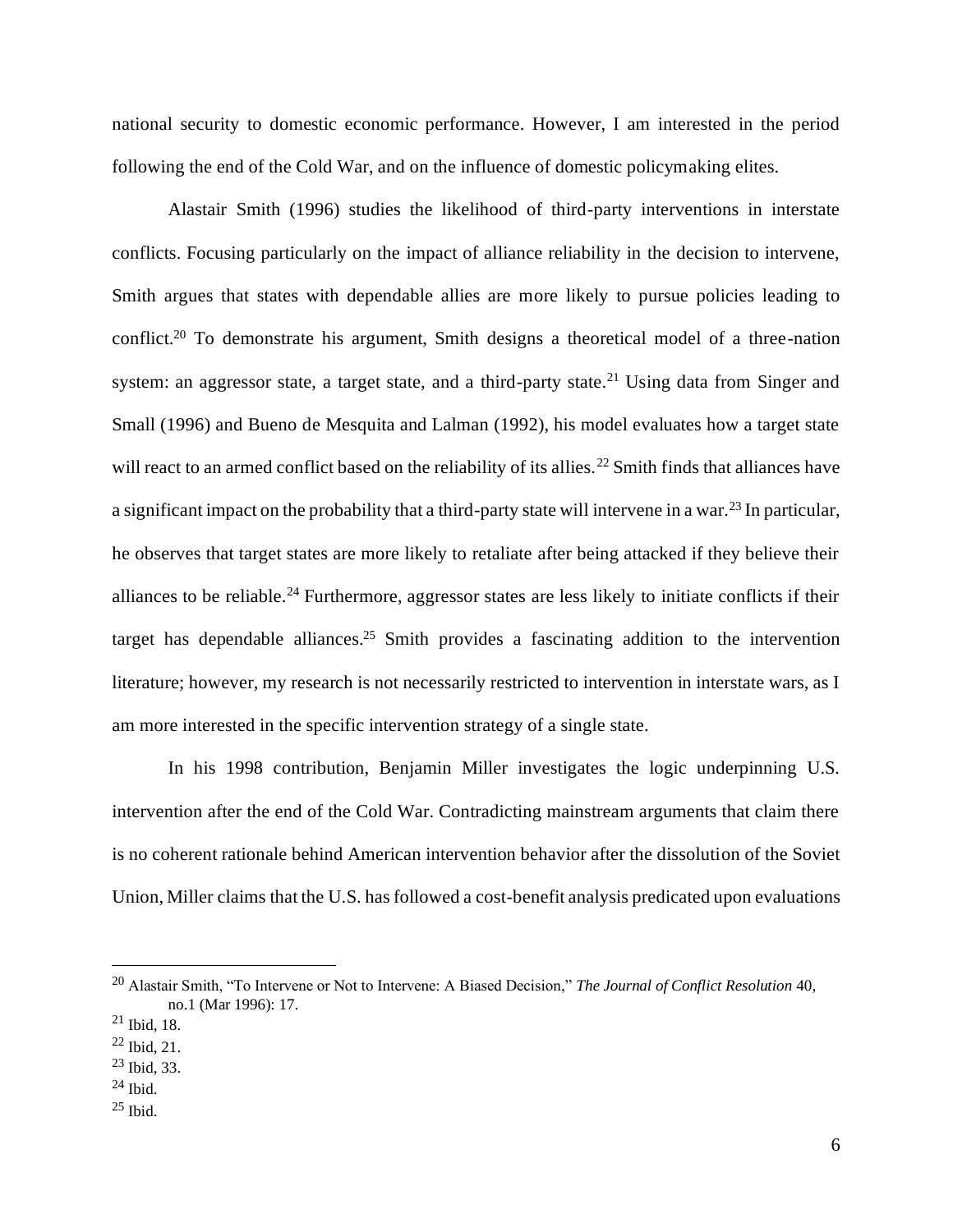national security to domestic economic performance. However, I am interested in the period following the end of the Cold War, and on the influence of domestic policymaking elites.

Alastair Smith (1996) studies the likelihood of third-party interventions in interstate conflicts. Focusing particularly on the impact of alliance reliability in the decision to intervene, Smith argues that states with dependable allies are more likely to pursue policies leading to conflict.<sup>20</sup> To demonstrate his argument, Smith designs a theoretical model of a three-nation system: an aggressor state, a target state, and a third-party state.<sup>21</sup> Using data from Singer and Small (1996) and Bueno de Mesquita and Lalman (1992), his model evaluates how a target state will react to an armed conflict based on the reliability of its allies.<sup>22</sup> Smith finds that alliances have a significant impact on the probability that a third-party state will intervene in a war.<sup>23</sup> In particular, he observes that target states are more likely to retaliate after being attacked if they believe their alliances to be reliable.<sup>24</sup> Furthermore, aggressor states are less likely to initiate conflicts if their target has dependable alliances.<sup>25</sup> Smith provides a fascinating addition to the intervention literature; however, my research is not necessarily restricted to intervention in interstate wars, as I am more interested in the specific intervention strategy of a single state.

In his 1998 contribution, Benjamin Miller investigates the logic underpinning U.S. intervention after the end of the Cold War. Contradicting mainstream arguments that claim there is no coherent rationale behind American intervention behavior after the dissolution of the Soviet Union, Miller claims that the U.S. has followed a cost-benefit analysis predicated upon evaluations

<sup>20</sup> Alastair Smith, "To Intervene or Not to Intervene: A Biased Decision," *The Journal of Conflict Resolution* 40, no.1 (Mar 1996): 17.

 $21$  Ibid, 18.

 $^{22}$  Ibid, 21.

 $23$  Ibid, 33.

 $^{24}$  Ibid.

<sup>25</sup> Ibid.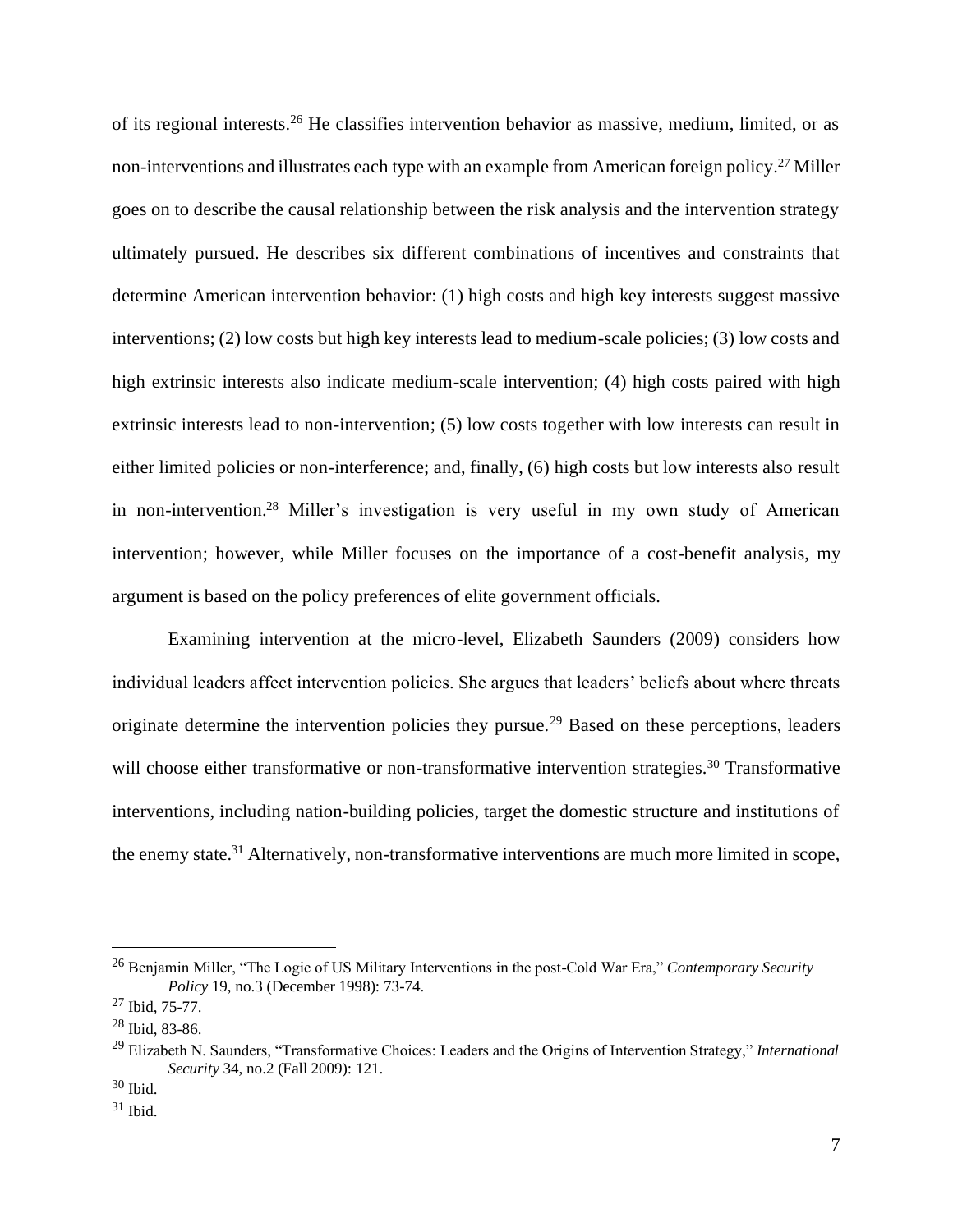of its regional interests.<sup>26</sup> He classifies intervention behavior as massive, medium, limited, or as non-interventions and illustrates each type with an example from American foreign policy.<sup>27</sup> Miller goes on to describe the causal relationship between the risk analysis and the intervention strategy ultimately pursued. He describes six different combinations of incentives and constraints that determine American intervention behavior: (1) high costs and high key interests suggest massive interventions; (2) low costs but high key interests lead to medium-scale policies; (3) low costs and high extrinsic interests also indicate medium-scale intervention; (4) high costs paired with high extrinsic interests lead to non-intervention; (5) low costs together with low interests can result in either limited policies or non-interference; and, finally, (6) high costs but low interests also result in non-intervention.<sup>28</sup> Miller's investigation is very useful in my own study of American intervention; however, while Miller focuses on the importance of a cost-benefit analysis, my argument is based on the policy preferences of elite government officials.

Examining intervention at the micro-level, Elizabeth Saunders (2009) considers how individual leaders affect intervention policies. She argues that leaders' beliefs about where threats originate determine the intervention policies they pursue.<sup>29</sup> Based on these perceptions, leaders will choose either transformative or non-transformative intervention strategies.<sup>30</sup> Transformative interventions, including nation-building policies, target the domestic structure and institutions of the enemy state.<sup>31</sup> Alternatively, non-transformative interventions are much more limited in scope,

<sup>26</sup> Benjamin Miller, "The Logic of US Military Interventions in the post-Cold War Era," *Contemporary Security Policy* 19, no.3 (December 1998): 73-74.

<sup>27</sup> Ibid, 75-77.

<sup>28</sup> Ibid, 83-86.

<sup>29</sup> Elizabeth N. Saunders, "Transformative Choices: Leaders and the Origins of Intervention Strategy," *International Security* 34, no.2 (Fall 2009): 121.

 $30$  Ibid.

 $31$  Ibid.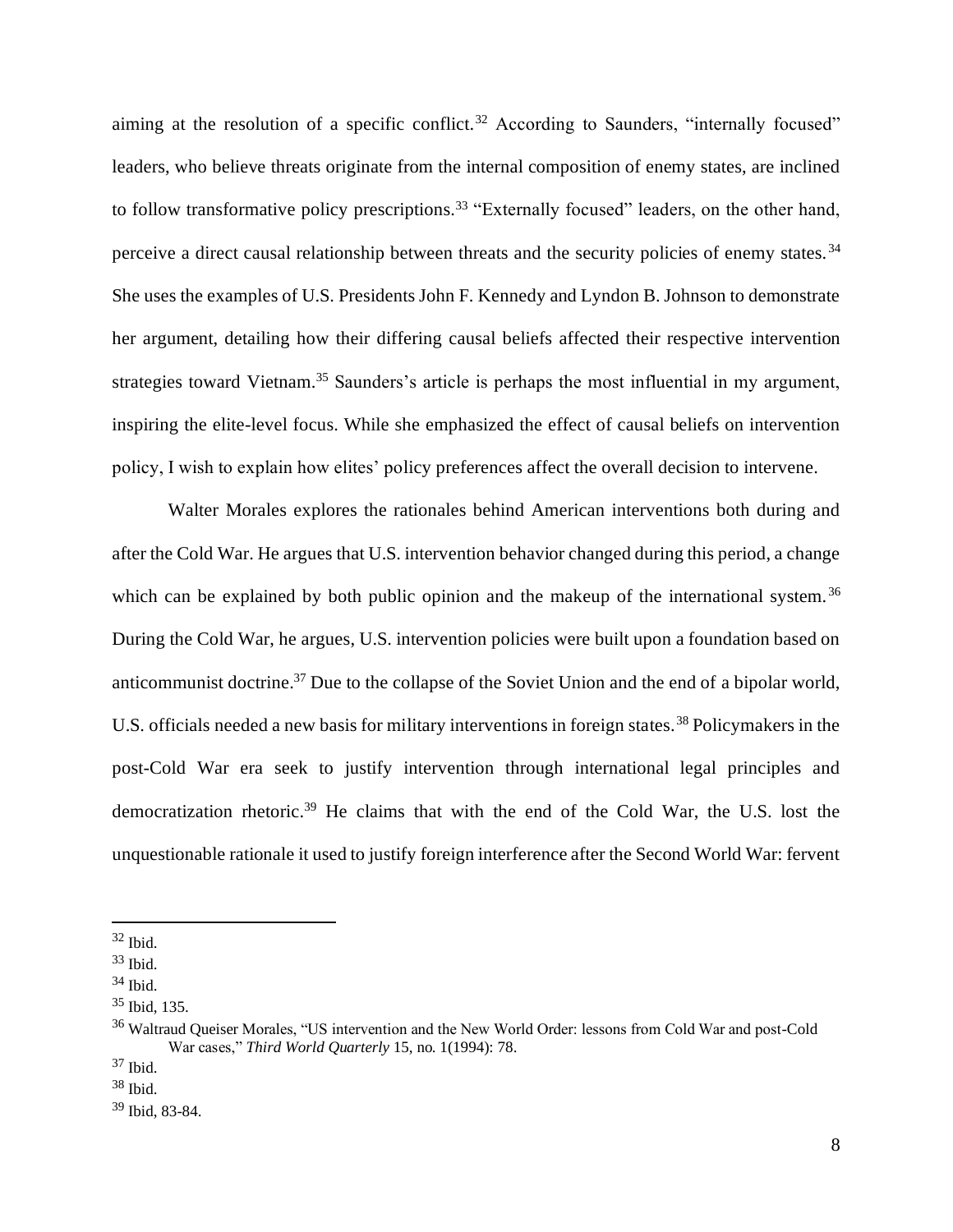aiming at the resolution of a specific conflict.<sup>32</sup> According to Saunders, "internally focused" leaders, who believe threats originate from the internal composition of enemy states, are inclined to follow transformative policy prescriptions.<sup>33</sup> "Externally focused" leaders, on the other hand, perceive a direct causal relationship between threats and the security policies of enemy states. <sup>34</sup> She uses the examples of U.S. Presidents John F. Kennedy and Lyndon B. Johnson to demonstrate her argument, detailing how their differing causal beliefs affected their respective intervention strategies toward Vietnam.<sup>35</sup> Saunders's article is perhaps the most influential in my argument, inspiring the elite-level focus. While she emphasized the effect of causal beliefs on intervention policy, I wish to explain how elites' policy preferences affect the overall decision to intervene.

Walter Morales explores the rationales behind American interventions both during and after the Cold War. He argues that U.S. intervention behavior changed during this period, a change which can be explained by both public opinion and the makeup of the international system.<sup>36</sup> During the Cold War, he argues, U.S. intervention policies were built upon a foundation based on anticommunist doctrine.<sup>37</sup> Due to the collapse of the Soviet Union and the end of a bipolar world, U.S. officials needed a new basis for military interventions in foreign states.<sup>38</sup> Policymakers in the post-Cold War era seek to justify intervention through international legal principles and democratization rhetoric.<sup>39</sup> He claims that with the end of the Cold War, the U.S. lost the unquestionable rationale it used to justify foreign interference after the Second World War: fervent

<sup>32</sup> Ibid.

<sup>33</sup> Ibid.

<sup>34</sup> Ibid.

<sup>35</sup> Ibid, 135.

<sup>&</sup>lt;sup>36</sup> Waltraud Queiser Morales, "US intervention and the New World Order: lessons from Cold War and post-Cold War cases," *Third World Quarterly* 15, no. 1(1994): 78.

<sup>37</sup> Ibid.

 $38$  Ibid.

<sup>39</sup> Ibid, 83-84.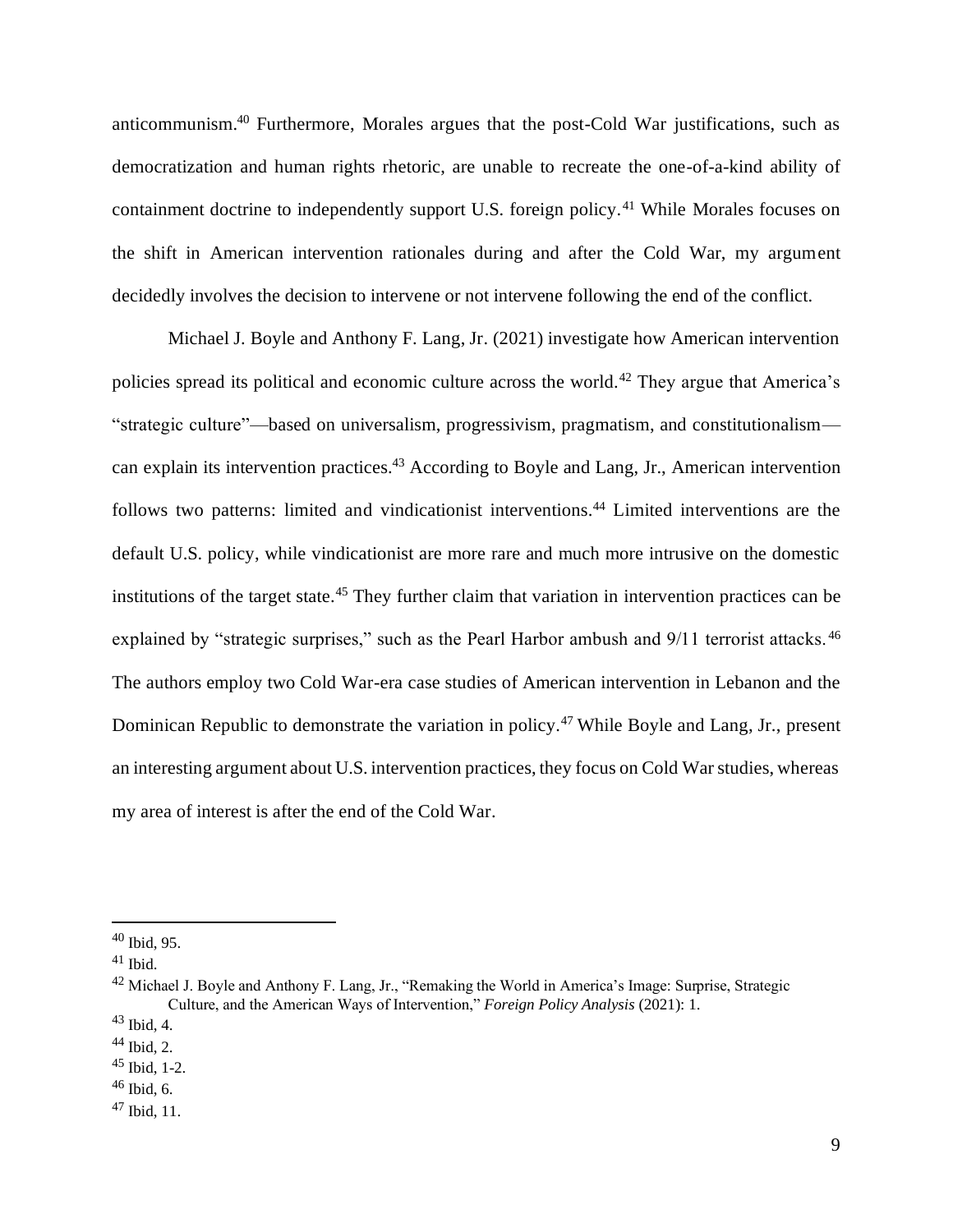anticommunism.<sup>40</sup> Furthermore, Morales argues that the post-Cold War justifications, such as democratization and human rights rhetoric, are unable to recreate the one-of-a-kind ability of containment doctrine to independently support U.S. foreign policy.<sup>41</sup> While Morales focuses on the shift in American intervention rationales during and after the Cold War, my argument decidedly involves the decision to intervene or not intervene following the end of the conflict.

Michael J. Boyle and Anthony F. Lang, Jr. (2021) investigate how American intervention policies spread its political and economic culture across the world.<sup>42</sup> They argue that America's "strategic culture"—based on universalism, progressivism, pragmatism, and constitutionalism can explain its intervention practices.<sup>43</sup> According to Boyle and Lang, Jr., American intervention follows two patterns: limited and vindicationist interventions.<sup>44</sup> Limited interventions are the default U.S. policy, while vindicationist are more rare and much more intrusive on the domestic institutions of the target state.<sup>45</sup> They further claim that variation in intervention practices can be explained by "strategic surprises," such as the Pearl Harbor ambush and 9/11 terrorist attacks.<sup>46</sup> The authors employ two Cold War-era case studies of American intervention in Lebanon and the Dominican Republic to demonstrate the variation in policy.<sup>47</sup> While Boyle and Lang, Jr., present an interesting argument about U.S. intervention practices, they focus on Cold War studies, whereas my area of interest is after the end of the Cold War.

<sup>40</sup> Ibid, 95.

 $41$  Ibid.

<sup>&</sup>lt;sup>42</sup> Michael J. Boyle and Anthony F. Lang, Jr., "Remaking the World in America's Image: Surprise, Strategic Culture, and the American Ways of Intervention," *Foreign Policy Analysis* (2021): 1.

 $43$  Ibid, 4.

 $44$  Ibid, 2.

<sup>45</sup> Ibid, 1-2.

 $46$  Ibid, 6.

 $47$  Ibid, 11.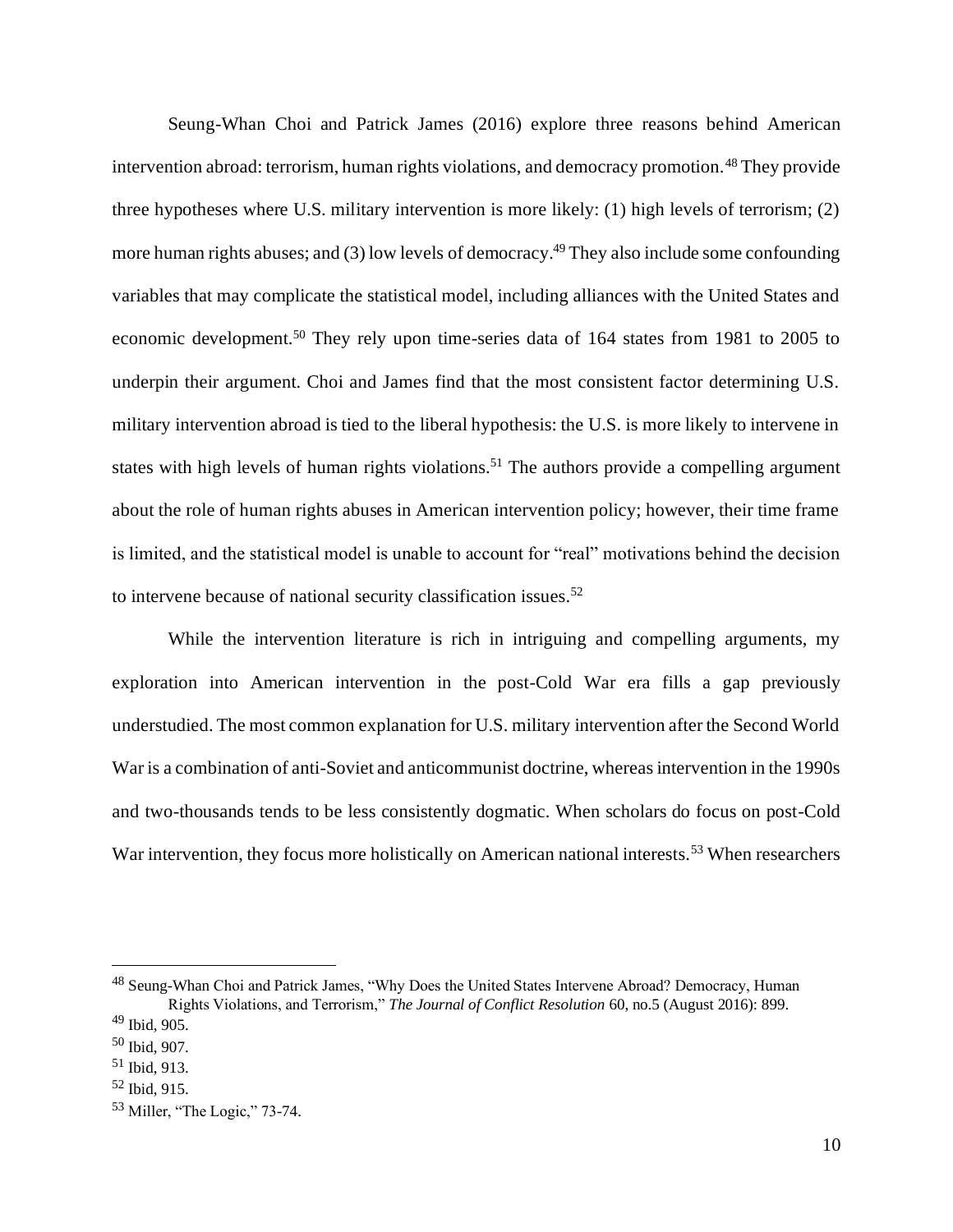Seung-Whan Choi and Patrick James (2016) explore three reasons behind American intervention abroad: terrorism, human rights violations, and democracy promotion.<sup>48</sup> They provide three hypotheses where U.S. military intervention is more likely: (1) high levels of terrorism; (2) more human rights abuses; and (3) low levels of democracy.<sup>49</sup> They also include some confounding variables that may complicate the statistical model, including alliances with the United States and economic development.<sup>50</sup> They rely upon time-series data of 164 states from 1981 to 2005 to underpin their argument. Choi and James find that the most consistent factor determining U.S. military intervention abroad is tied to the liberal hypothesis: the U.S. is more likely to intervene in states with high levels of human rights violations.<sup>51</sup> The authors provide a compelling argument about the role of human rights abuses in American intervention policy; however, their time frame is limited, and the statistical model is unable to account for "real" motivations behind the decision to intervene because of national security classification issues.<sup>52</sup>

While the intervention literature is rich in intriguing and compelling arguments, my exploration into American intervention in the post-Cold War era fills a gap previously understudied. The most common explanation for U.S. military intervention after the Second World War is a combination of anti-Soviet and anticommunist doctrine, whereas intervention in the 1990s and two-thousands tends to be less consistently dogmatic. When scholars do focus on post-Cold War intervention, they focus more holistically on American national interests.<sup>53</sup> When researchers

<sup>&</sup>lt;sup>48</sup> Seung-Whan Choi and Patrick James, "Why Does the United States Intervene Abroad? Democracy, Human Rights Violations, and Terrorism," *The Journal of Conflict Resolution* 60, no.5 (August 2016): 899.

 $49$  Ibid, 905.

<sup>50</sup> Ibid, 907.

<sup>51</sup> Ibid, 913.

<sup>52</sup> Ibid, 915.

<sup>53</sup> Miller, "The Logic," 73-74.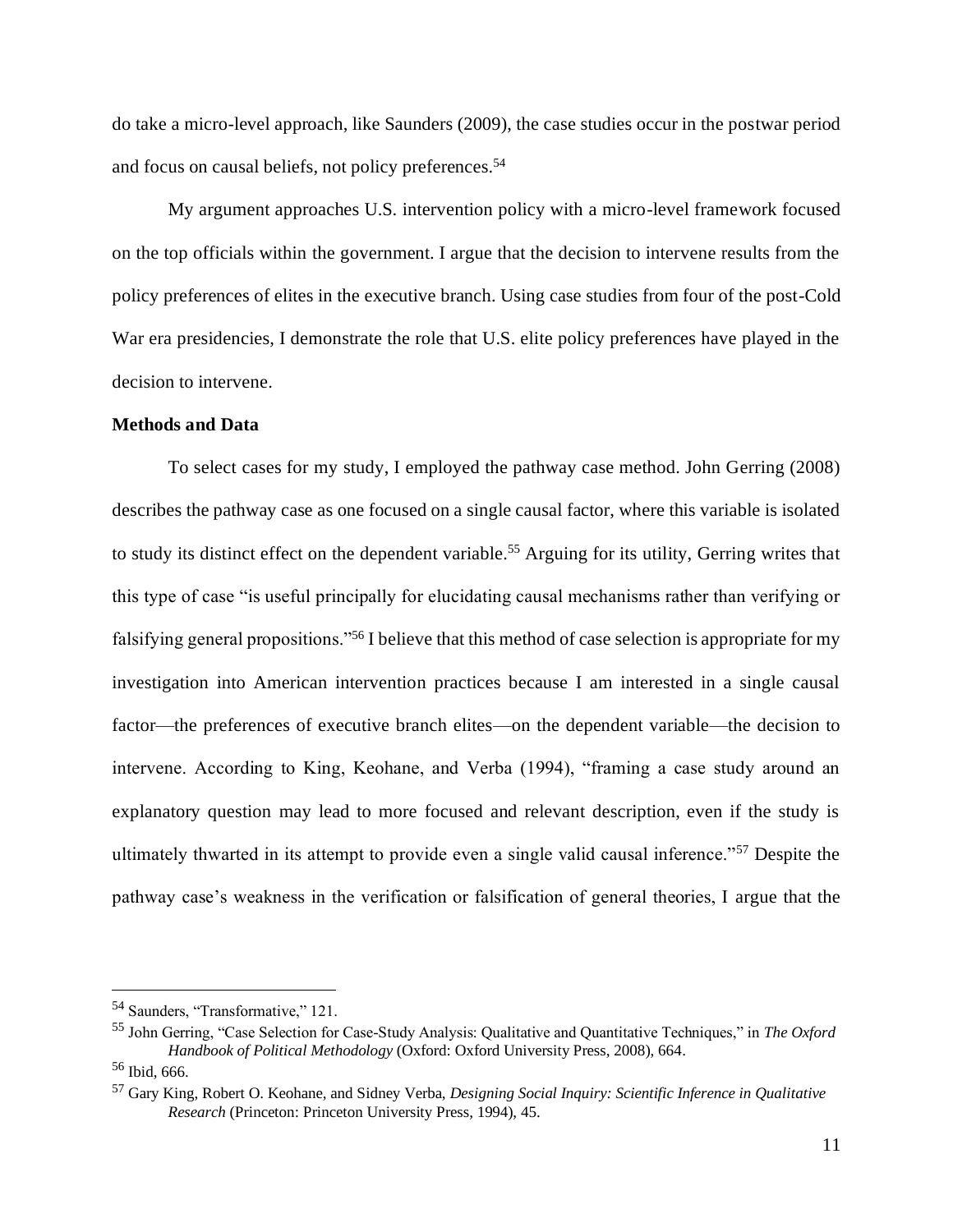do take a micro-level approach, like Saunders (2009), the case studies occur in the postwar period and focus on causal beliefs, not policy preferences.<sup>54</sup>

My argument approaches U.S. intervention policy with a micro-level framework focused on the top officials within the government. I argue that the decision to intervene results from the policy preferences of elites in the executive branch. Using case studies from four of the post-Cold War era presidencies, I demonstrate the role that U.S. elite policy preferences have played in the decision to intervene.

#### **Methods and Data**

To select cases for my study, I employed the pathway case method. John Gerring (2008) describes the pathway case as one focused on a single causal factor, where this variable is isolated to study its distinct effect on the dependent variable.<sup>55</sup> Arguing for its utility, Gerring writes that this type of case "is useful principally for elucidating causal mechanisms rather than verifying or falsifying general propositions."<sup>56</sup> I believe that this method of case selection is appropriate for my investigation into American intervention practices because I am interested in a single causal factor—the preferences of executive branch elites—on the dependent variable—the decision to intervene. According to King, Keohane, and Verba (1994), "framing a case study around an explanatory question may lead to more focused and relevant description, even if the study is ultimately thwarted in its attempt to provide even a single valid causal inference."<sup>57</sup> Despite the pathway case's weakness in the verification or falsification of general theories, I argue that the

<sup>54</sup> Saunders, "Transformative," 121.

<sup>55</sup> John Gerring, "Case Selection for Case-Study Analysis: Qualitative and Quantitative Techniques," in *The Oxford Handbook of Political Methodology* (Oxford: Oxford University Press, 2008), 664.

<sup>56</sup> Ibid, 666.

<sup>57</sup> Gary King, Robert O. Keohane, and Sidney Verba, *Designing Social Inquiry: Scientific Inference in Qualitative Research* (Princeton: Princeton University Press, 1994), 45.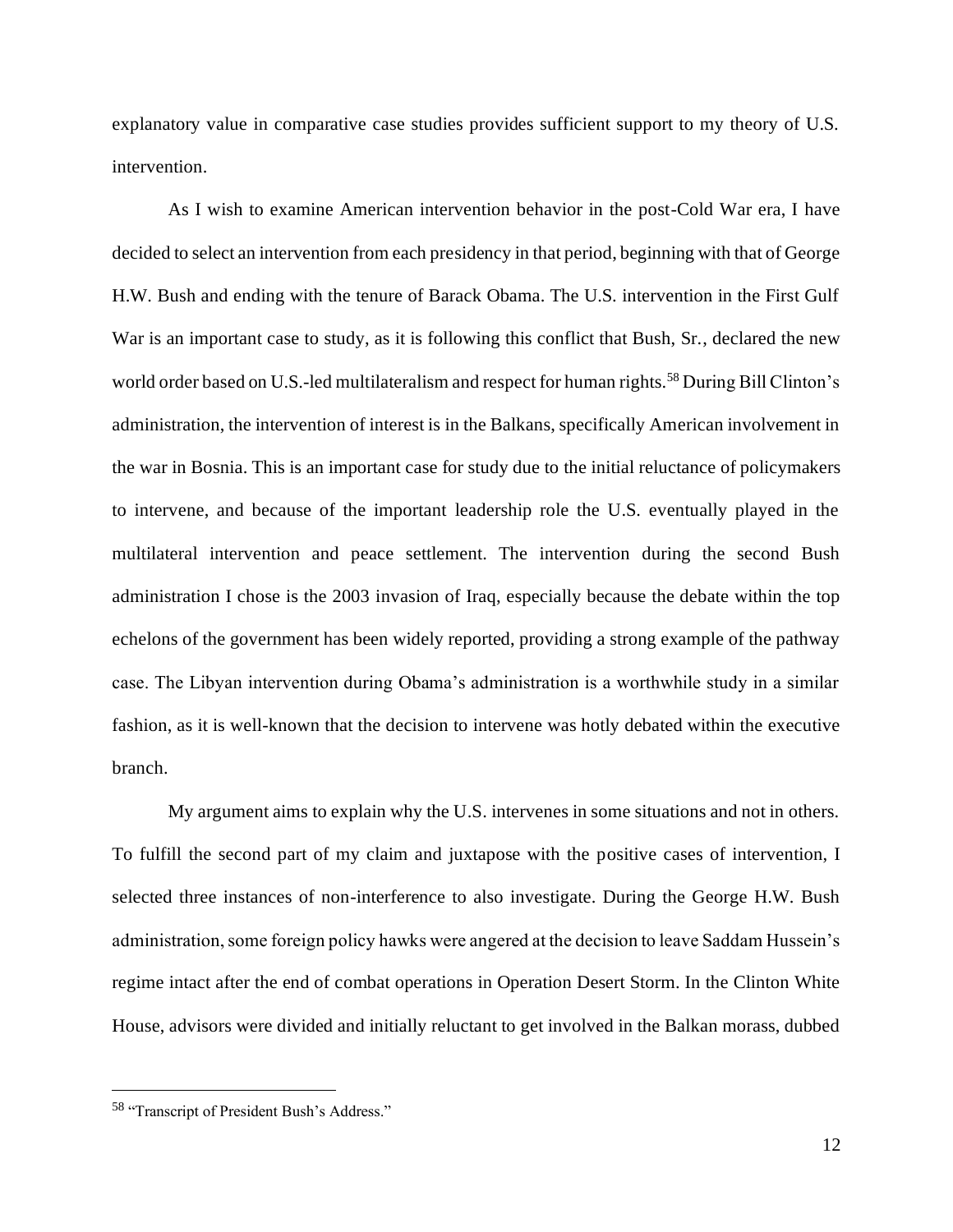explanatory value in comparative case studies provides sufficient support to my theory of U.S. intervention.

As I wish to examine American intervention behavior in the post-Cold War era, I have decided to select an intervention from each presidency in that period, beginning with that of George H.W. Bush and ending with the tenure of Barack Obama. The U.S. intervention in the First Gulf War is an important case to study, as it is following this conflict that Bush, Sr., declared the new world order based on U.S.-led multilateralism and respect for human rights.<sup>58</sup> During Bill Clinton's administration, the intervention of interest is in the Balkans, specifically American involvement in the war in Bosnia. This is an important case for study due to the initial reluctance of policymakers to intervene, and because of the important leadership role the U.S. eventually played in the multilateral intervention and peace settlement. The intervention during the second Bush administration I chose is the 2003 invasion of Iraq, especially because the debate within the top echelons of the government has been widely reported, providing a strong example of the pathway case. The Libyan intervention during Obama's administration is a worthwhile study in a similar fashion, as it is well-known that the decision to intervene was hotly debated within the executive branch.

My argument aims to explain why the U.S. intervenes in some situations and not in others. To fulfill the second part of my claim and juxtapose with the positive cases of intervention, I selected three instances of non-interference to also investigate. During the George H.W. Bush administration, some foreign policy hawks were angered at the decision to leave Saddam Hussein's regime intact after the end of combat operations in Operation Desert Storm. In the Clinton White House, advisors were divided and initially reluctant to get involved in the Balkan morass, dubbed

<sup>58</sup> "Transcript of President Bush's Address."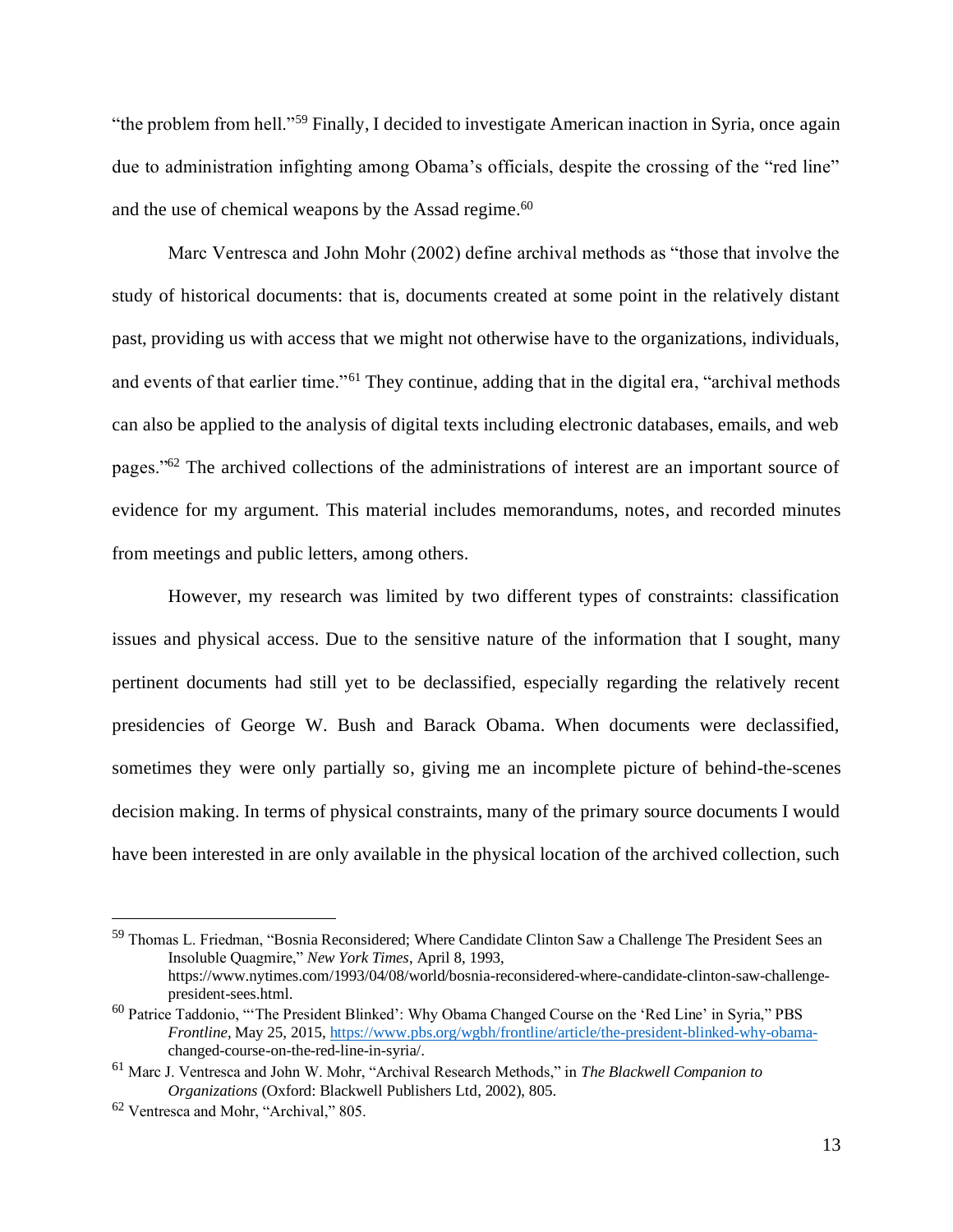"the problem from hell."<sup>59</sup> Finally, I decided to investigate American inaction in Syria, once again due to administration infighting among Obama's officials, despite the crossing of the "red line" and the use of chemical weapons by the Assad regime.<sup>60</sup>

Marc Ventresca and John Mohr (2002) define archival methods as "those that involve the study of historical documents: that is, documents created at some point in the relatively distant past, providing us with access that we might not otherwise have to the organizations, individuals, and events of that earlier time."<sup>61</sup> They continue, adding that in the digital era, "archival methods can also be applied to the analysis of digital texts including electronic databases, emails, and web pages."<sup>62</sup> The archived collections of the administrations of interest are an important source of evidence for my argument. This material includes memorandums, notes, and recorded minutes from meetings and public letters, among others.

However, my research was limited by two different types of constraints: classification issues and physical access. Due to the sensitive nature of the information that I sought, many pertinent documents had still yet to be declassified, especially regarding the relatively recent presidencies of George W. Bush and Barack Obama. When documents were declassified, sometimes they were only partially so, giving me an incomplete picture of behind-the-scenes decision making. In terms of physical constraints, many of the primary source documents I would have been interested in are only available in the physical location of the archived collection, such

<sup>59</sup> Thomas L. Friedman, "Bosnia Reconsidered; Where Candidate Clinton Saw a Challenge The President Sees an Insoluble Quagmire," *New York Times*, April 8, 1993, https://www.nytimes.com/1993/04/08/world/bosnia-reconsidered-where-candidate-clinton-saw-challengepresident-sees.html.

<sup>60</sup> Patrice Taddonio, "'The President Blinked': Why Obama Changed Course on the 'Red Line' in Syria," PBS *Frontline*, May 25, 2015, https://www.pbs.org/wgbh/frontline/article/the-president-blinked-why-obamachanged-course-on-the-red-line-in-syria/.

<sup>61</sup> Marc J. Ventresca and John W. Mohr, "Archival Research Methods," in *The Blackwell Companion to Organizations* (Oxford: Blackwell Publishers Ltd, 2002), 805.

<sup>62</sup> Ventresca and Mohr, "Archival," 805.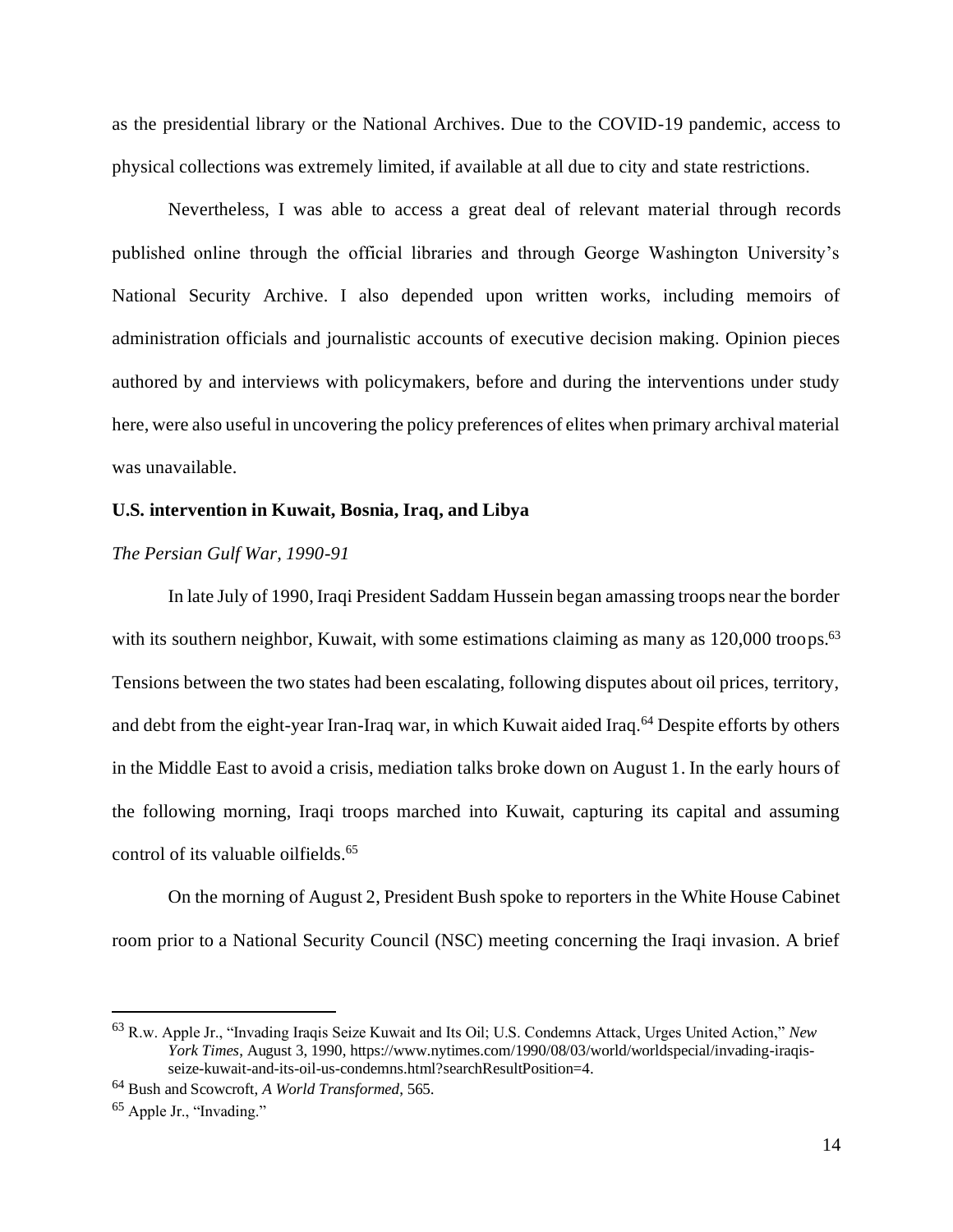as the presidential library or the National Archives. Due to the COVID-19 pandemic, access to physical collections was extremely limited, if available at all due to city and state restrictions.

Nevertheless, I was able to access a great deal of relevant material through records published online through the official libraries and through George Washington University's National Security Archive. I also depended upon written works, including memoirs of administration officials and journalistic accounts of executive decision making. Opinion pieces authored by and interviews with policymakers, before and during the interventions under study here, were also useful in uncovering the policy preferences of elites when primary archival material was unavailable.

#### **U.S. intervention in Kuwait, Bosnia, Iraq, and Libya**

#### *The Persian Gulf War, 1990-91*

In late July of 1990, Iraqi President Saddam Hussein began amassing troops near the border with its southern neighbor, Kuwait, with some estimations claiming as many as 120,000 troops.<sup>63</sup> Tensions between the two states had been escalating, following disputes about oil prices, territory, and debt from the eight-year Iran-Iraq war, in which Kuwait aided Iraq.<sup>64</sup> Despite efforts by others in the Middle East to avoid a crisis, mediation talks broke down on August 1. In the early hours of the following morning, Iraqi troops marched into Kuwait, capturing its capital and assuming control of its valuable oilfields.<sup>65</sup>

On the morning of August 2, President Bush spoke to reporters in the White House Cabinet room prior to a National Security Council (NSC) meeting concerning the Iraqi invasion. A brief

<sup>63</sup> R.w. Apple Jr., "Invading Iraqis Seize Kuwait and Its Oil; U.S. Condemns Attack, Urges United Action," *New York Times*, August 3, 1990, https://www.nytimes.com/1990/08/03/world/worldspecial/invading-iraqisseize-kuwait-and-its-oil-us-condemns.html?searchResultPosition=4.

<sup>64</sup> Bush and Scowcroft, *A World Transformed*, 565.

<sup>65</sup> Apple Jr., "Invading."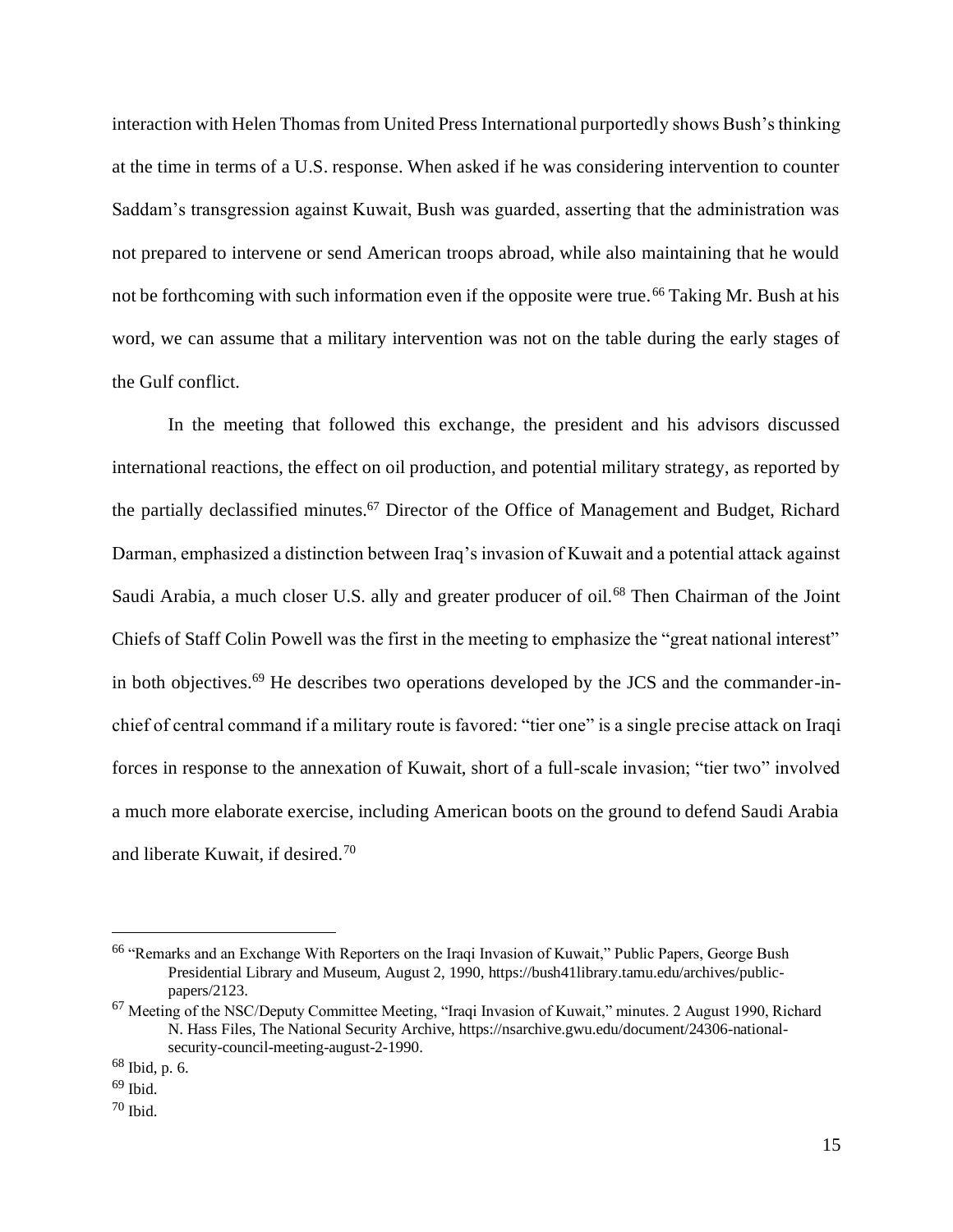interaction with Helen Thomas from United Press International purportedly shows Bush's thinking at the time in terms of a U.S. response. When asked if he was considering intervention to counter Saddam's transgression against Kuwait, Bush was guarded, asserting that the administration was not prepared to intervene or send American troops abroad, while also maintaining that he would not be forthcoming with such information even if the opposite were true.<sup>66</sup> Taking Mr. Bush at his word, we can assume that a military intervention was not on the table during the early stages of the Gulf conflict.

In the meeting that followed this exchange, the president and his advisors discussed international reactions, the effect on oil production, and potential military strategy, as reported by the partially declassified minutes.<sup>67</sup> Director of the Office of Management and Budget, Richard Darman, emphasized a distinction between Iraq's invasion of Kuwait and a potential attack against Saudi Arabia, a much closer U.S. ally and greater producer of oil.<sup>68</sup> Then Chairman of the Joint Chiefs of Staff Colin Powell was the first in the meeting to emphasize the "great national interest" in both objectives.<sup>69</sup> He describes two operations developed by the JCS and the commander-inchief of central command if a military route is favored: "tier one" is a single precise attack on Iraqi forces in response to the annexation of Kuwait, short of a full-scale invasion; "tier two" involved a much more elaborate exercise, including American boots on the ground to defend Saudi Arabia and liberate Kuwait, if desired.<sup>70</sup>

<sup>66</sup> "Remarks and an Exchange With Reporters on the Iraqi Invasion of Kuwait," Public Papers, George Bush Presidential Library and Museum, August 2, 1990, https://bush41library.tamu.edu/archives/publicpapers/2123.

<sup>67</sup> Meeting of the NSC/Deputy Committee Meeting, "Iraqi Invasion of Kuwait," minutes. 2 August 1990, Richard N. Hass Files, The National Security Archive, https://nsarchive.gwu.edu/document/24306-nationalsecurity-council-meeting-august-2-1990.

 $68$  Ibid, p. 6.

 $69$  Ibid.

 $70$  Ibid.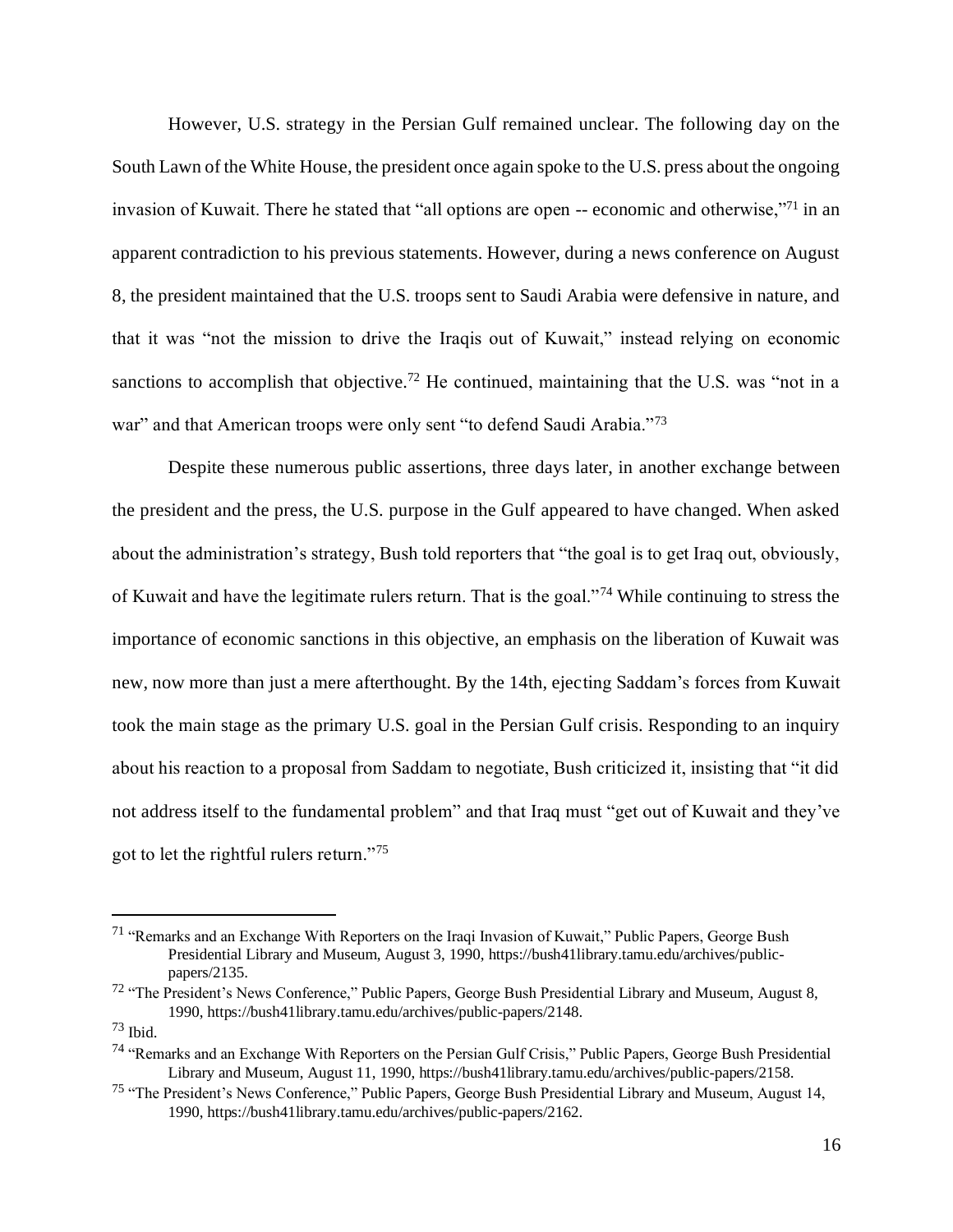However, U.S. strategy in the Persian Gulf remained unclear. The following day on the South Lawn of the White House, the president once again spoke to the U.S. press about the ongoing invasion of Kuwait. There he stated that "all options are open -- economic and otherwise,"<sup>71</sup> in an apparent contradiction to his previous statements. However, during a news conference on August 8, the president maintained that the U.S. troops sent to Saudi Arabia were defensive in nature, and that it was "not the mission to drive the Iraqis out of Kuwait," instead relying on economic sanctions to accomplish that objective.<sup>72</sup> He continued, maintaining that the U.S. was "not in a war" and that American troops were only sent "to defend Saudi Arabia."<sup>73</sup>

Despite these numerous public assertions, three days later, in another exchange between the president and the press, the U.S. purpose in the Gulf appeared to have changed. When asked about the administration's strategy, Bush told reporters that "the goal is to get Iraq out, obviously, of Kuwait and have the legitimate rulers return. That is the goal."<sup>74</sup> While continuing to stress the importance of economic sanctions in this objective, an emphasis on the liberation of Kuwait was new, now more than just a mere afterthought. By the 14th, ejecting Saddam's forces from Kuwait took the main stage as the primary U.S. goal in the Persian Gulf crisis. Responding to an inquiry about his reaction to a proposal from Saddam to negotiate, Bush criticized it, insisting that "it did not address itself to the fundamental problem" and that Iraq must "get out of Kuwait and they've got to let the rightful rulers return."<sup>75</sup>

<sup>71</sup> "Remarks and an Exchange With Reporters on the Iraqi Invasion of Kuwait," Public Papers, George Bush Presidential Library and Museum, August 3, 1990, https://bush41library.tamu.edu/archives/publicpapers/2135.

<sup>72</sup> "The President's News Conference," Public Papers, George Bush Presidential Library and Museum, August 8, 1990, https://bush41library.tamu.edu/archives/public-papers/2148.

<sup>73</sup> Ibid.

<sup>74</sup> "Remarks and an Exchange With Reporters on the Persian Gulf Crisis," Public Papers, George Bush Presidential Library and Museum, August 11, 1990, https://bush41library.tamu.edu/archives/public-papers/2158.

<sup>75</sup> "The President's News Conference," Public Papers, George Bush Presidential Library and Museum, August 14, 1990, https://bush41library.tamu.edu/archives/public-papers/2162.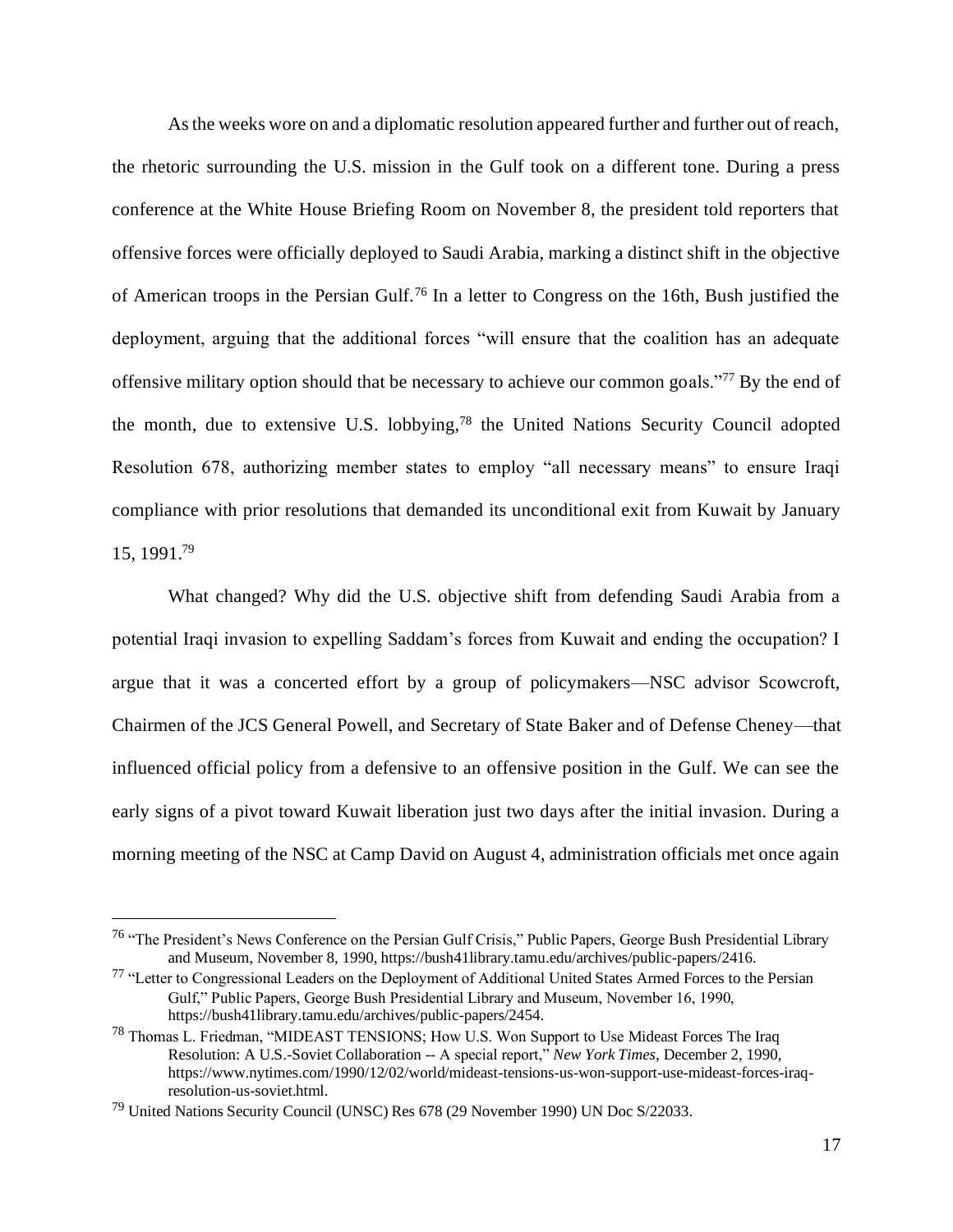As the weeks wore on and a diplomatic resolution appeared further and further out of reach, the rhetoric surrounding the U.S. mission in the Gulf took on a different tone. During a press conference at the White House Briefing Room on November 8, the president told reporters that offensive forces were officially deployed to Saudi Arabia, marking a distinct shift in the objective of American troops in the Persian Gulf.<sup>76</sup> In a letter to Congress on the 16th, Bush justified the deployment, arguing that the additional forces "will ensure that the coalition has an adequate offensive military option should that be necessary to achieve our common goals."<sup>77</sup> By the end of the month, due to extensive U.S. lobbying,<sup>78</sup> the United Nations Security Council adopted Resolution 678, authorizing member states to employ "all necessary means" to ensure Iraqi compliance with prior resolutions that demanded its unconditional exit from Kuwait by January 15, 1991.<sup>79</sup>

What changed? Why did the U.S. objective shift from defending Saudi Arabia from a potential Iraqi invasion to expelling Saddam's forces from Kuwait and ending the occupation? I argue that it was a concerted effort by a group of policymakers—NSC advisor Scowcroft, Chairmen of the JCS General Powell, and Secretary of State Baker and of Defense Cheney—that influenced official policy from a defensive to an offensive position in the Gulf. We can see the early signs of a pivot toward Kuwait liberation just two days after the initial invasion. During a morning meeting of the NSC at Camp David on August 4, administration officials met once again

<sup>76</sup> "The President's News Conference on the Persian Gulf Crisis," Public Papers, George Bush Presidential Library and Museum, November 8, 1990, https://bush41library.tamu.edu/archives/public-papers/2416.

<sup>77</sup> "Letter to Congressional Leaders on the Deployment of Additional United States Armed Forces to the Persian Gulf," Public Papers, George Bush Presidential Library and Museum, November 16, 1990, https://bush41library.tamu.edu/archives/public-papers/2454.

<sup>78</sup> Thomas L. Friedman, "MIDEAST TENSIONS; How U.S. Won Support to Use Mideast Forces The Iraq Resolution: A U.S.-Soviet Collaboration -- A special report," *New York Times*, December 2, 1990, https://www.nytimes.com/1990/12/02/world/mideast-tensions-us-won-support-use-mideast-forces-iraqresolution-us-soviet.html.

<sup>79</sup> United Nations Security Council (UNSC) Res 678 (29 November 1990) UN Doc S/22033.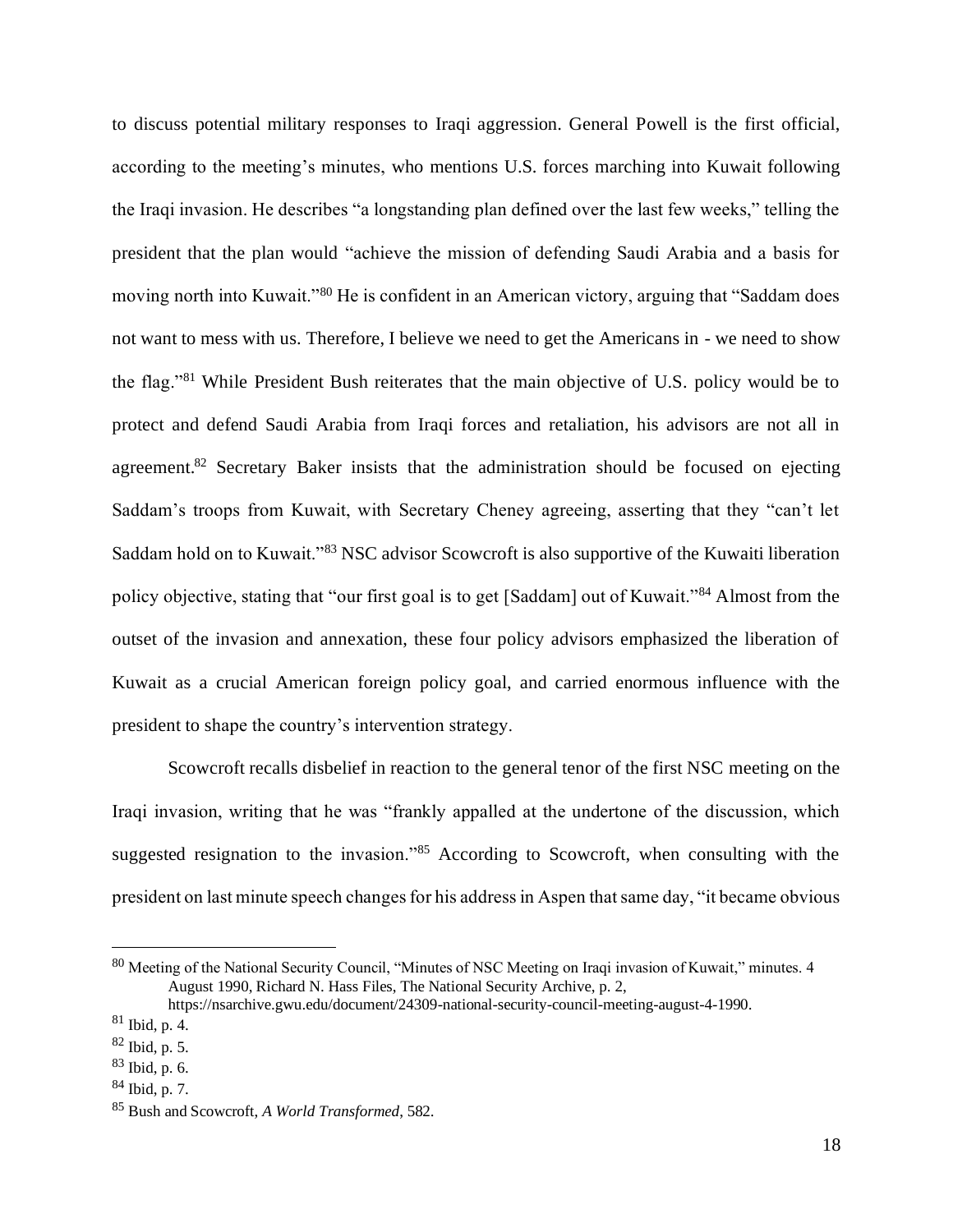to discuss potential military responses to Iraqi aggression. General Powell is the first official, according to the meeting's minutes, who mentions U.S. forces marching into Kuwait following the Iraqi invasion. He describes "a longstanding plan defined over the last few weeks," telling the president that the plan would "achieve the mission of defending Saudi Arabia and a basis for moving north into Kuwait."<sup>80</sup> He is confident in an American victory, arguing that "Saddam does not want to mess with us. Therefore, I believe we need to get the Americans in - we need to show the flag."<sup>81</sup> While President Bush reiterates that the main objective of U.S. policy would be to protect and defend Saudi Arabia from Iraqi forces and retaliation, his advisors are not all in agreement.<sup>82</sup> Secretary Baker insists that the administration should be focused on ejecting Saddam's troops from Kuwait, with Secretary Cheney agreeing, asserting that they "can't let Saddam hold on to Kuwait."<sup>83</sup> NSC advisor Scowcroft is also supportive of the Kuwaiti liberation policy objective, stating that "our first goal is to get [Saddam] out of Kuwait."<sup>84</sup> Almost from the outset of the invasion and annexation, these four policy advisors emphasized the liberation of Kuwait as a crucial American foreign policy goal, and carried enormous influence with the president to shape the country's intervention strategy.

Scowcroft recalls disbelief in reaction to the general tenor of the first NSC meeting on the Iraqi invasion, writing that he was "frankly appalled at the undertone of the discussion, which suggested resignation to the invasion."<sup>85</sup> According to Scowcroft, when consulting with the president on last minute speech changes for his address in Aspen that same day, "it became obvious

<sup>80</sup> Meeting of the National Security Council, "Minutes of NSC Meeting on Iraqi invasion of Kuwait," minutes. 4 August 1990, Richard N. Hass Files, The National Security Archive, p. 2,

https://nsarchive.gwu.edu/document/24309-national-security-council-meeting-august-4-1990.

 $81$  Ibid, p. 4.

<sup>82</sup> Ibid, p. 5.

<sup>83</sup> Ibid, p. 6.

<sup>84</sup> Ibid, p. 7.

<sup>85</sup> Bush and Scowcroft, *A World Transformed*, 582.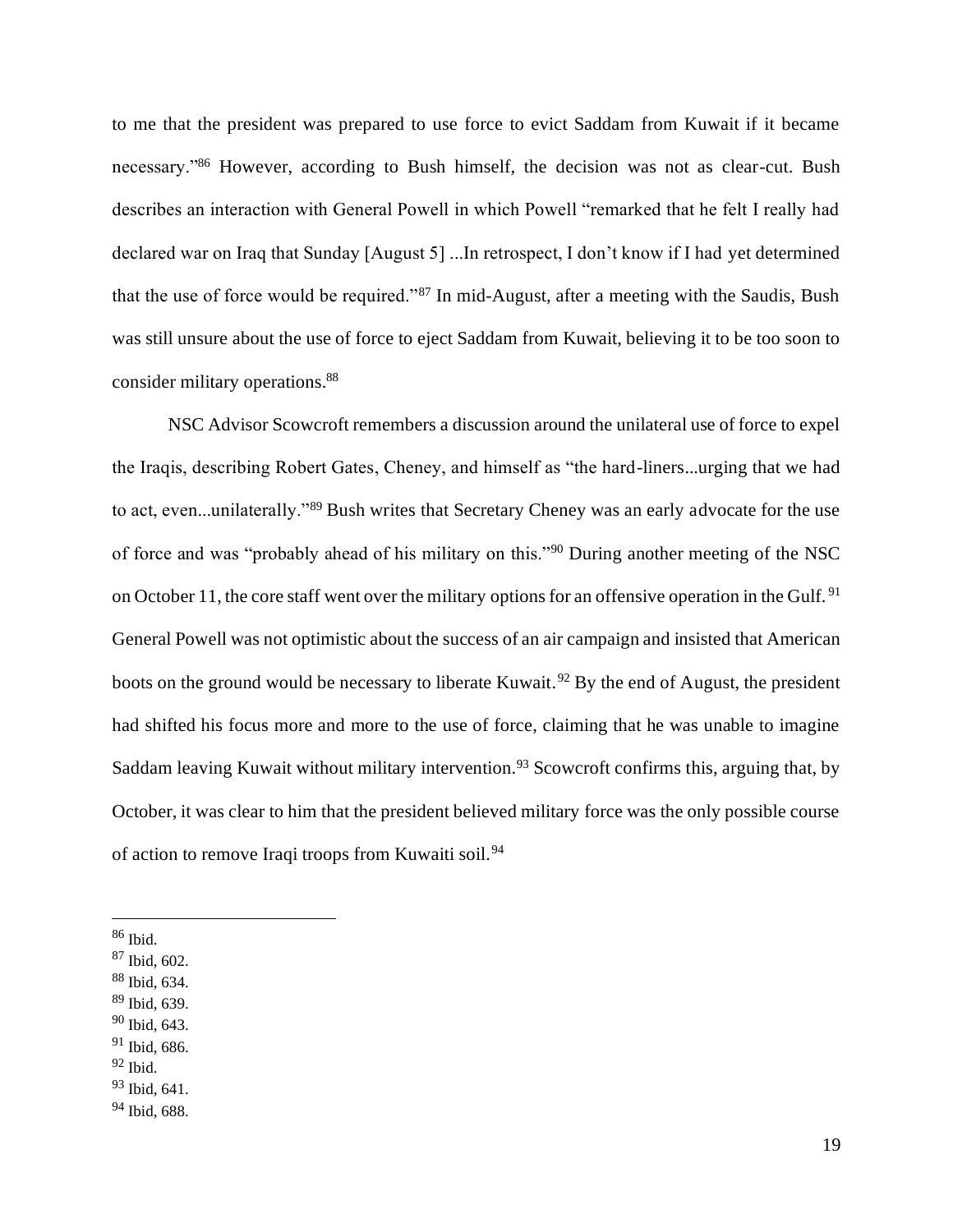to me that the president was prepared to use force to evict Saddam from Kuwait if it became necessary."<sup>86</sup> However, according to Bush himself, the decision was not as clear-cut. Bush describes an interaction with General Powell in which Powell "remarked that he felt I really had declared war on Iraq that Sunday [August 5] ...In retrospect, I don't know if I had yet determined that the use of force would be required."<sup>87</sup> In mid-August, after a meeting with the Saudis, Bush was still unsure about the use of force to eject Saddam from Kuwait, believing it to be too soon to consider military operations.<sup>88</sup>

NSC Advisor Scowcroft remembers a discussion around the unilateral use of force to expel the Iraqis, describing Robert Gates, Cheney, and himself as "the hard-liners...urging that we had to act, even...unilaterally."<sup>89</sup> Bush writes that Secretary Cheney was an early advocate for the use of force and was "probably ahead of his military on this."<sup>90</sup> During another meeting of the NSC on October 11, the core staff went over the military options for an offensive operation in the Gulf.<sup>91</sup> General Powell was not optimistic about the success of an air campaign and insisted that American boots on the ground would be necessary to liberate Kuwait.<sup>92</sup> By the end of August, the president had shifted his focus more and more to the use of force, claiming that he was unable to imagine Saddam leaving Kuwait without military intervention.<sup>93</sup> Scowcroft confirms this, arguing that, by October, it was clear to him that the president believed military force was the only possible course of action to remove Iraqi troops from Kuwaiti soil.<sup>94</sup>

- <sup>86</sup> Ibid.
- <sup>87</sup> Ibid, 602.
- <sup>88</sup> Ibid, 634.
- <sup>89</sup> Ibid, 639.
- <sup>90</sup> Ibid, 643.
- $91$  Ibid, 686.
- $92$  Ibid.

<sup>93</sup> Ibid, 641.

<sup>94</sup> Ibid, 688.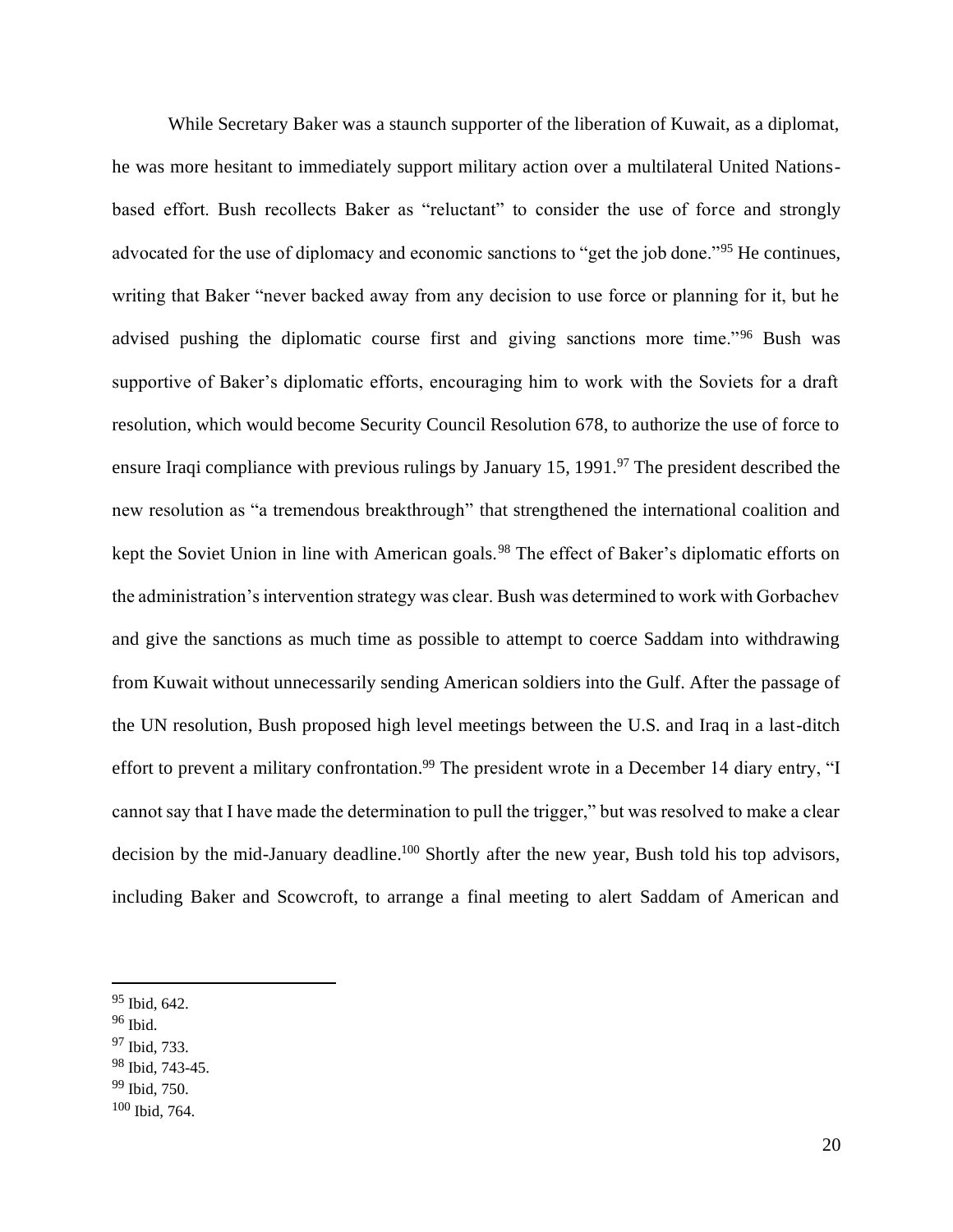While Secretary Baker was a staunch supporter of the liberation of Kuwait, as a diplomat, he was more hesitant to immediately support military action over a multilateral United Nationsbased effort. Bush recollects Baker as "reluctant" to consider the use of force and strongly advocated for the use of diplomacy and economic sanctions to "get the job done."<sup>95</sup> He continues, writing that Baker "never backed away from any decision to use force or planning for it, but he advised pushing the diplomatic course first and giving sanctions more time."<sup>96</sup> Bush was supportive of Baker's diplomatic efforts, encouraging him to work with the Soviets for a draft resolution, which would become Security Council Resolution 678, to authorize the use of force to ensure Iraqi compliance with previous rulings by January 15, 1991.<sup>97</sup> The president described the new resolution as "a tremendous breakthrough" that strengthened the international coalition and kept the Soviet Union in line with American goals.<sup>98</sup> The effect of Baker's diplomatic efforts on the administration's intervention strategy was clear. Bush was determined to work with Gorbachev and give the sanctions as much time as possible to attempt to coerce Saddam into withdrawing from Kuwait without unnecessarily sending American soldiers into the Gulf. After the passage of the UN resolution, Bush proposed high level meetings between the U.S. and Iraq in a last-ditch effort to prevent a military confrontation.<sup>99</sup> The president wrote in a December 14 diary entry, "I cannot say that I have made the determination to pull the trigger," but was resolved to make a clear decision by the mid-January deadline.<sup>100</sup> Shortly after the new year, Bush told his top advisors, including Baker and Scowcroft, to arrange a final meeting to alert Saddam of American and

<sup>97</sup> Ibid, 733.

<sup>99</sup> Ibid, 750.

<sup>95</sup> Ibid, 642.

 $96$  Ibid.

<sup>98</sup> Ibid, 743-45.

<sup>100</sup> Ibid, 764.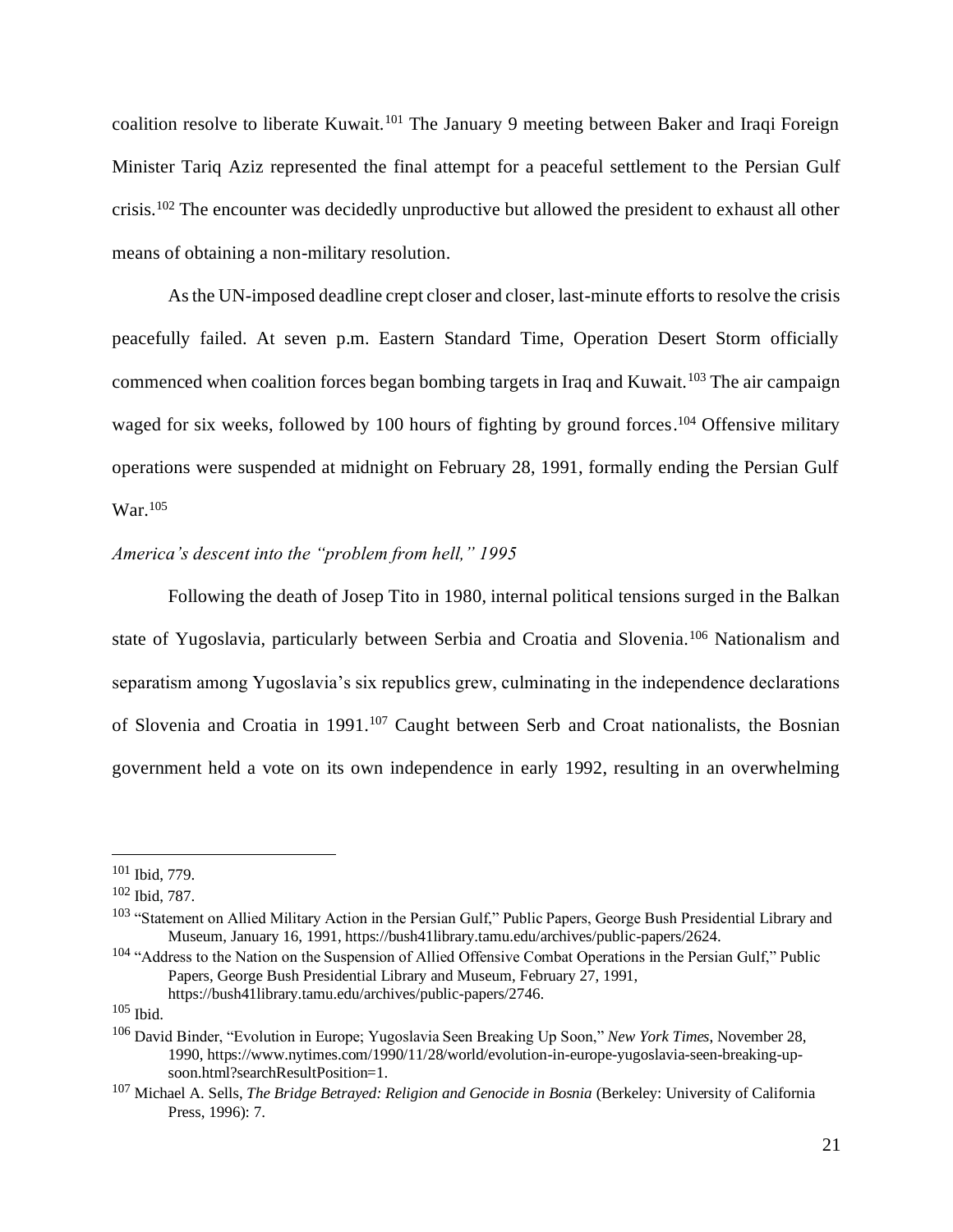coalition resolve to liberate Kuwait.<sup>101</sup> The January 9 meeting between Baker and Iraqi Foreign Minister Tariq Aziz represented the final attempt for a peaceful settlement to the Persian Gulf crisis.<sup>102</sup> The encounter was decidedly unproductive but allowed the president to exhaust all other means of obtaining a non-military resolution.

As the UN-imposed deadline crept closer and closer, last-minute efforts to resolve the crisis peacefully failed. At seven p.m. Eastern Standard Time, Operation Desert Storm officially commenced when coalition forces began bombing targets in Iraq and Kuwait.<sup>103</sup> The air campaign waged for six weeks, followed by 100 hours of fighting by ground forces.<sup>104</sup> Offensive military operations were suspended at midnight on February 28, 1991, formally ending the Persian Gulf War.<sup>105</sup>

### *America's descent into the "problem from hell," 1995*

Following the death of Josep Tito in 1980, internal political tensions surged in the Balkan state of Yugoslavia, particularly between Serbia and Croatia and Slovenia.<sup>106</sup> Nationalism and separatism among Yugoslavia's six republics grew, culminating in the independence declarations of Slovenia and Croatia in 1991.<sup>107</sup> Caught between Serb and Croat nationalists, the Bosnian government held a vote on its own independence in early 1992, resulting in an overwhelming

<sup>101</sup> Ibid, 779.

<sup>102</sup> Ibid, 787.

<sup>&</sup>lt;sup>103</sup> "Statement on Allied Military Action in the Persian Gulf," Public Papers, George Bush Presidential Library and Museum, January 16, 1991, https://bush41library.tamu.edu/archives/public-papers/2624.

<sup>&</sup>lt;sup>104</sup> "Address to the Nation on the Suspension of Allied Offensive Combat Operations in the Persian Gulf," Public Papers, George Bush Presidential Library and Museum, February 27, 1991, https://bush41library.tamu.edu/archives/public-papers/2746.

<sup>105</sup> Ibid.

<sup>106</sup> David Binder, "Evolution in Europe; Yugoslavia Seen Breaking Up Soon," *New York Times*, November 28, 1990, https://www.nytimes.com/1990/11/28/world/evolution-in-europe-yugoslavia-seen-breaking-upsoon.html?searchResultPosition=1.

<sup>107</sup> Michael A. Sells, *The Bridge Betrayed: Religion and Genocide in Bosnia* (Berkeley: University of California Press, 1996): 7.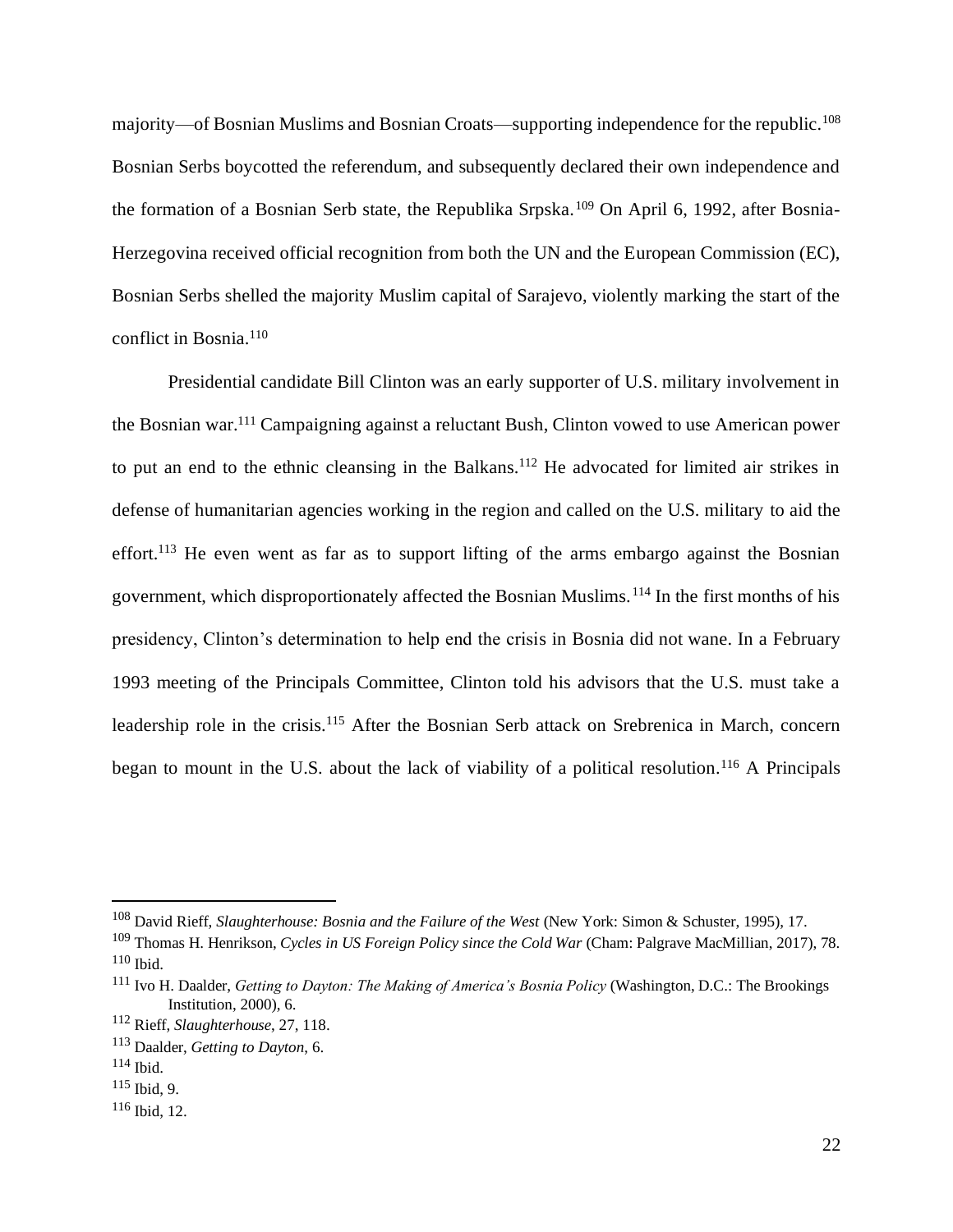majority—of Bosnian Muslims and Bosnian Croats—supporting independence for the republic.<sup>108</sup> Bosnian Serbs boycotted the referendum, and subsequently declared their own independence and the formation of a Bosnian Serb state, the Republika Srpska.<sup>109</sup> On April 6, 1992, after Bosnia-Herzegovina received official recognition from both the UN and the European Commission (EC), Bosnian Serbs shelled the majority Muslim capital of Sarajevo, violently marking the start of the conflict in Bosnia.<sup>110</sup>

Presidential candidate Bill Clinton was an early supporter of U.S. military involvement in the Bosnian war.<sup>111</sup> Campaigning against a reluctant Bush, Clinton vowed to use American power to put an end to the ethnic cleansing in the Balkans.<sup>112</sup> He advocated for limited air strikes in defense of humanitarian agencies working in the region and called on the U.S. military to aid the effort.<sup>113</sup> He even went as far as to support lifting of the arms embargo against the Bosnian government, which disproportionately affected the Bosnian Muslims.<sup>114</sup> In the first months of his presidency, Clinton's determination to help end the crisis in Bosnia did not wane. In a February 1993 meeting of the Principals Committee, Clinton told his advisors that the U.S. must take a leadership role in the crisis.<sup>115</sup> After the Bosnian Serb attack on Srebrenica in March, concern began to mount in the U.S. about the lack of viability of a political resolution.<sup>116</sup> A Principals

<sup>108</sup> David Rieff, *Slaughterhouse: Bosnia and the Failure of the West* (New York: Simon & Schuster, 1995), 17.

<sup>109</sup> Thomas H. Henrikson, *Cycles in US Foreign Policy since the Cold War* (Cham: Palgrave MacMillian, 2017), 78.  $110$  Ibid.

<sup>111</sup> Ivo H. Daalder, *Getting to Dayton: The Making of America's Bosnia Policy* (Washington, D.C.: The Brookings Institution, 2000), 6.

<sup>112</sup> Rieff, *Slaughterhouse*, 27, 118.

<sup>113</sup> Daalder, *Getting to Dayton*, 6.

<sup>114</sup> Ibid.

<sup>115</sup> Ibid, 9.

<sup>116</sup> Ibid, 12.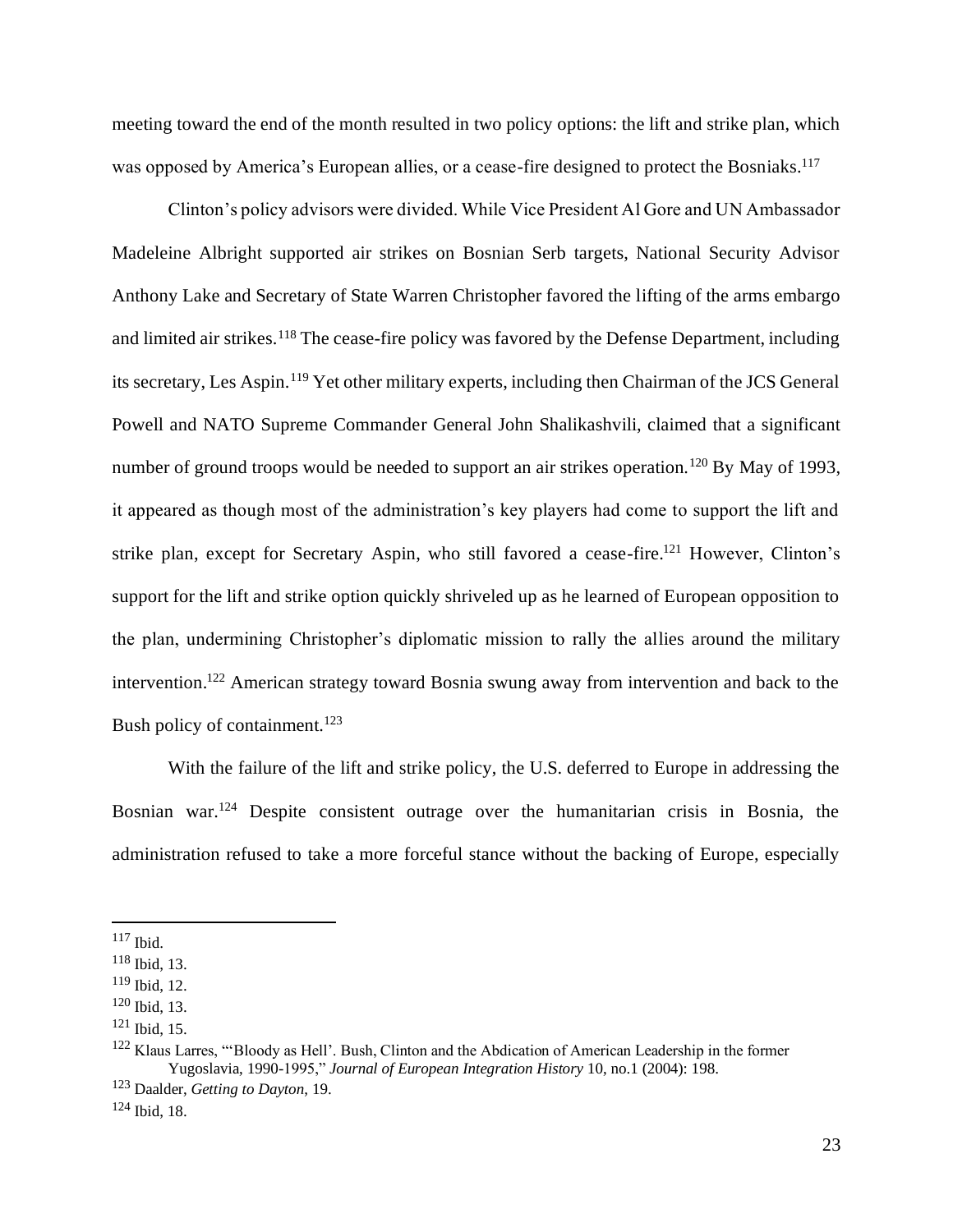meeting toward the end of the month resulted in two policy options: the lift and strike plan, which was opposed by America's European allies, or a cease-fire designed to protect the Bosniaks.<sup>117</sup>

Clinton's policy advisors were divided. While Vice President Al Gore and UN Ambassador Madeleine Albright supported air strikes on Bosnian Serb targets, National Security Advisor Anthony Lake and Secretary of State Warren Christopher favored the lifting of the arms embargo and limited air strikes.<sup>118</sup> The cease-fire policy was favored by the Defense Department, including its secretary, Les Aspin.<sup>119</sup> Yet other military experts, including then Chairman of the JCS General Powell and NATO Supreme Commander General John Shalikashvili, claimed that a significant number of ground troops would be needed to support an air strikes operation.<sup>120</sup> By May of 1993, it appeared as though most of the administration's key players had come to support the lift and strike plan, except for Secretary Aspin, who still favored a cease-fire.<sup>121</sup> However, Clinton's support for the lift and strike option quickly shriveled up as he learned of European opposition to the plan, undermining Christopher's diplomatic mission to rally the allies around the military intervention.<sup>122</sup> American strategy toward Bosnia swung away from intervention and back to the Bush policy of containment.<sup>123</sup>

With the failure of the lift and strike policy, the U.S. deferred to Europe in addressing the Bosnian war.<sup>124</sup> Despite consistent outrage over the humanitarian crisis in Bosnia, the administration refused to take a more forceful stance without the backing of Europe, especially

<sup>117</sup> Ibid.

<sup>118</sup> Ibid, 13.

<sup>119</sup> Ibid, 12.

<sup>120</sup> Ibid, 13.

<sup>121</sup> Ibid, 15.

<sup>&</sup>lt;sup>122</sup> Klaus Larres, "'Bloody as Hell'. Bush, Clinton and the Abdication of American Leadership in the former Yugoslavia, 1990-1995," *Journal of European Integration History* 10, no.1 (2004): 198.

<sup>123</sup> Daalder, *Getting to Dayton*, 19.

 $124$  Ibid, 18.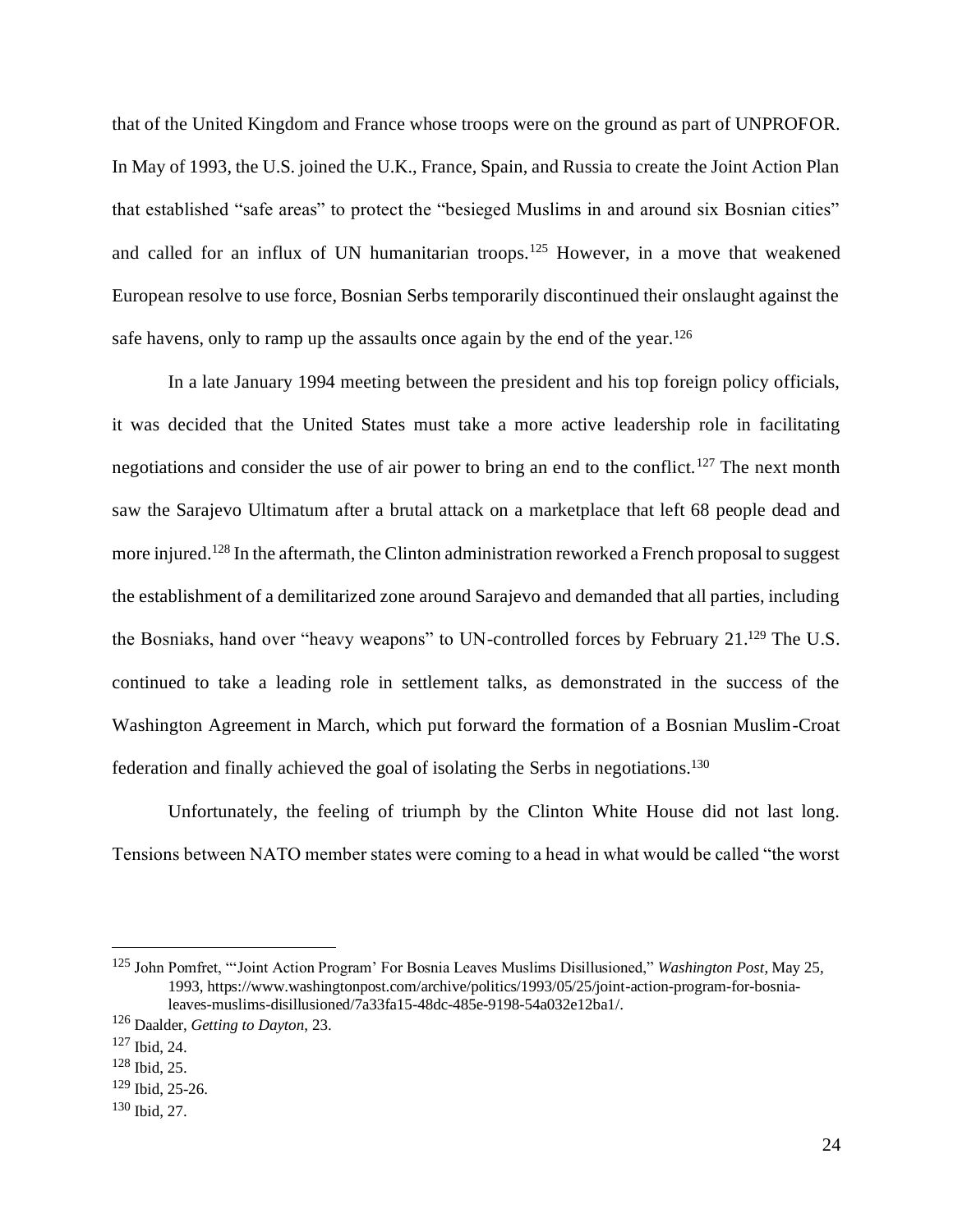that of the United Kingdom and France whose troops were on the ground as part of UNPROFOR. In May of 1993, the U.S. joined the U.K., France, Spain, and Russia to create the Joint Action Plan that established "safe areas" to protect the "besieged Muslims in and around six Bosnian cities" and called for an influx of UN humanitarian troops.<sup>125</sup> However, in a move that weakened European resolve to use force, Bosnian Serbs temporarily discontinued their onslaught against the safe havens, only to ramp up the assaults once again by the end of the year.<sup>126</sup>

In a late January 1994 meeting between the president and his top foreign policy officials, it was decided that the United States must take a more active leadership role in facilitating negotiations and consider the use of air power to bring an end to the conflict.<sup>127</sup> The next month saw the Sarajevo Ultimatum after a brutal attack on a marketplace that left 68 people dead and more injured.<sup>128</sup> In the aftermath, the Clinton administration reworked a French proposal to suggest the establishment of a demilitarized zone around Sarajevo and demanded that all parties, including the Bosniaks, hand over "heavy weapons" to UN-controlled forces by February 21.<sup>129</sup> The U.S. continued to take a leading role in settlement talks, as demonstrated in the success of the Washington Agreement in March, which put forward the formation of a Bosnian Muslim-Croat federation and finally achieved the goal of isolating the Serbs in negotiations.<sup>130</sup>

Unfortunately, the feeling of triumph by the Clinton White House did not last long. Tensions between NATO member states were coming to a head in what would be called "the worst

<sup>125</sup> John Pomfret, "'Joint Action Program' For Bosnia Leaves Muslims Disillusioned," *Washington Post*, May 25, 1993, https://www.washingtonpost.com/archive/politics/1993/05/25/joint-action-program-for-bosnialeaves-muslims-disillusioned/7a33fa15-48dc-485e-9198-54a032e12ba1/.

<sup>126</sup> Daalder, *Getting to Dayton*, 23.

<sup>127</sup> Ibid, 24.

<sup>128</sup> Ibid, 25.

<sup>129</sup> Ibid, 25-26.

<sup>130</sup> Ibid, 27.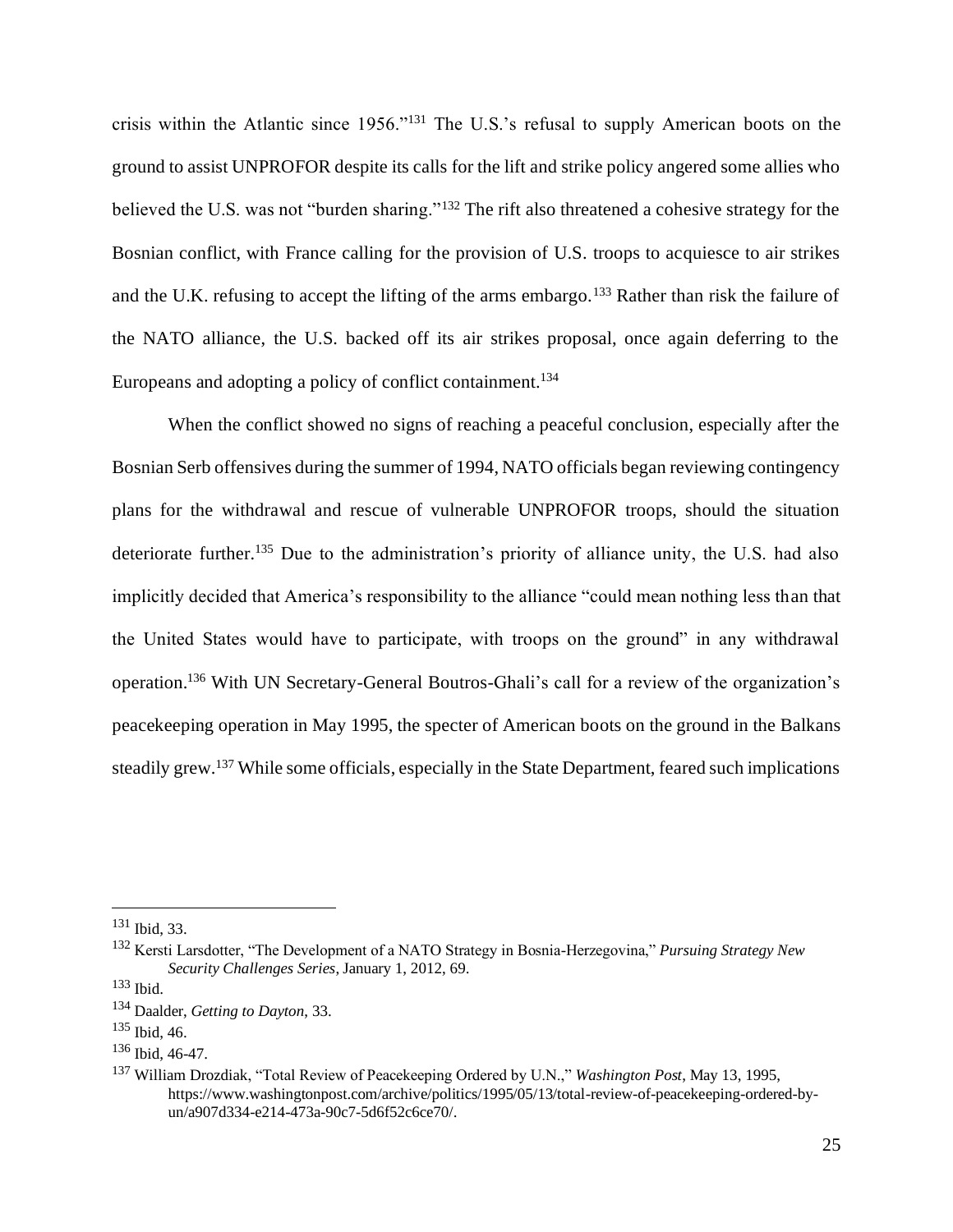crisis within the Atlantic since 1956."<sup>131</sup> The U.S.'s refusal to supply American boots on the ground to assist UNPROFOR despite its calls for the lift and strike policy angered some allies who believed the U.S. was not "burden sharing."<sup>132</sup> The rift also threatened a cohesive strategy for the Bosnian conflict, with France calling for the provision of U.S. troops to acquiesce to air strikes and the U.K. refusing to accept the lifting of the arms embargo.<sup>133</sup> Rather than risk the failure of the NATO alliance, the U.S. backed off its air strikes proposal, once again deferring to the Europeans and adopting a policy of conflict containment.<sup>134</sup>

When the conflict showed no signs of reaching a peaceful conclusion, especially after the Bosnian Serb offensives during the summer of 1994, NATO officials began reviewing contingency plans for the withdrawal and rescue of vulnerable UNPROFOR troops, should the situation deteriorate further.<sup>135</sup> Due to the administration's priority of alliance unity, the U.S. had also implicitly decided that America's responsibility to the alliance "could mean nothing less than that the United States would have to participate, with troops on the ground" in any withdrawal operation.<sup>136</sup> With UN Secretary-General Boutros-Ghali's call for a review of the organization's peacekeeping operation in May 1995, the specter of American boots on the ground in the Balkans steadily grew.<sup>137</sup> While some officials, especially in the State Department, feared such implications

<sup>131</sup> Ibid, 33.

<sup>132</sup> Kersti Larsdotter, "The Development of a NATO Strategy in Bosnia-Herzegovina," *Pursuing Strategy New Security Challenges Series*, January 1, 2012, 69.

<sup>133</sup> Ibid.

<sup>134</sup> Daalder, *Getting to Dayton*, 33.

<sup>135</sup> Ibid, 46.

<sup>136</sup> Ibid, 46-47.

<sup>137</sup> William Drozdiak, "Total Review of Peacekeeping Ordered by U.N.," *Washington Post*, May 13, 1995, https://www.washingtonpost.com/archive/politics/1995/05/13/total-review-of-peacekeeping-ordered-byun/a907d334-e214-473a-90c7-5d6f52c6ce70/.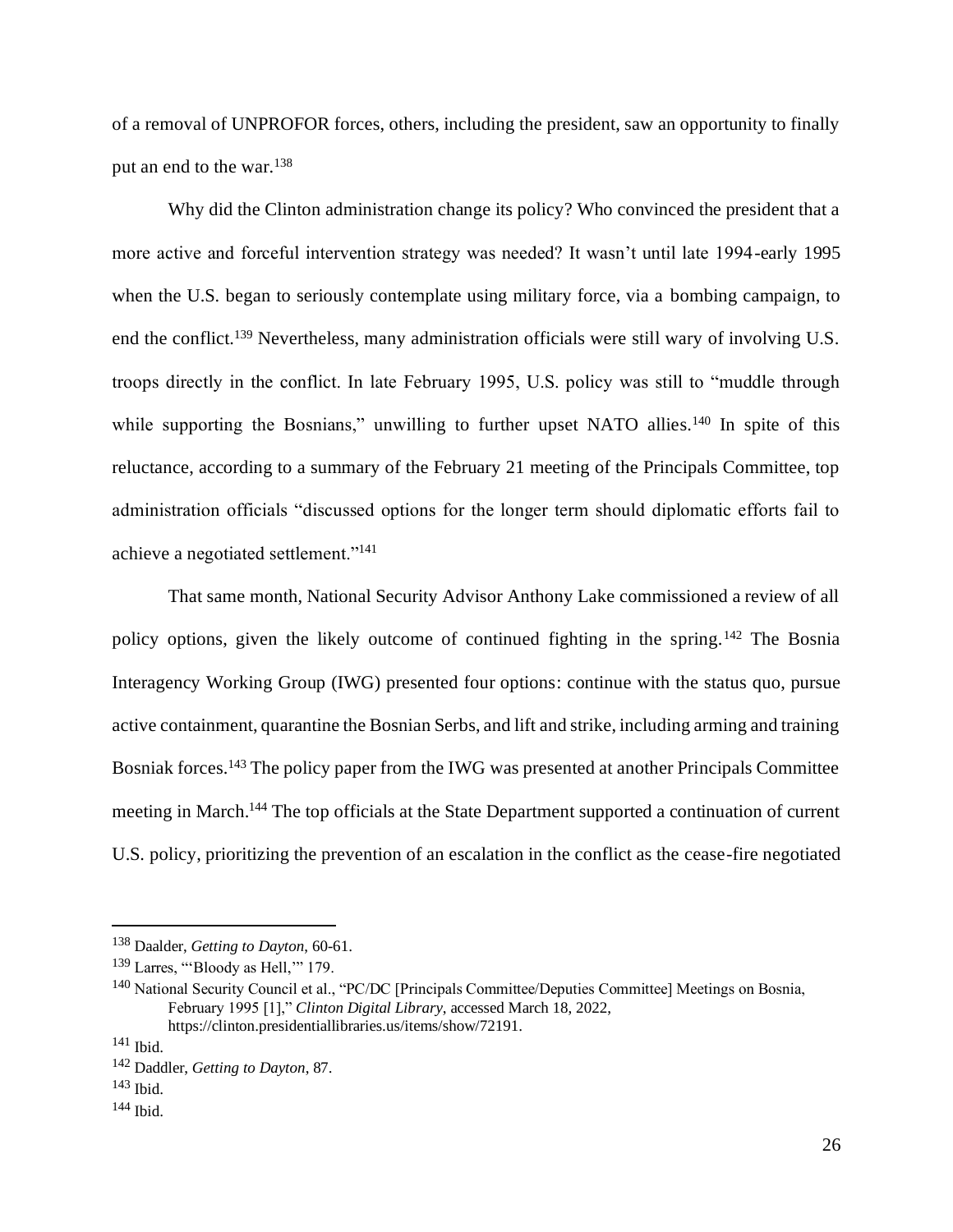of a removal of UNPROFOR forces, others, including the president, saw an opportunity to finally put an end to the war.<sup>138</sup>

Why did the Clinton administration change its policy? Who convinced the president that a more active and forceful intervention strategy was needed? It wasn't until late 1994-early 1995 when the U.S. began to seriously contemplate using military force, via a bombing campaign, to end the conflict.<sup>139</sup> Nevertheless, many administration officials were still wary of involving U.S. troops directly in the conflict. In late February 1995, U.S. policy was still to "muddle through while supporting the Bosnians," unwilling to further upset NATO allies.<sup>140</sup> In spite of this reluctance, according to a summary of the February 21 meeting of the Principals Committee, top administration officials "discussed options for the longer term should diplomatic efforts fail to achieve a negotiated settlement."<sup>141</sup>

That same month, National Security Advisor Anthony Lake commissioned a review of all policy options, given the likely outcome of continued fighting in the spring.<sup>142</sup> The Bosnia Interagency Working Group (IWG) presented four options: continue with the status quo, pursue active containment, quarantine the Bosnian Serbs, and lift and strike, including arming and training Bosniak forces.<sup>143</sup> The policy paper from the IWG was presented at another Principals Committee meeting in March.<sup>144</sup> The top officials at the State Department supported a continuation of current U.S. policy, prioritizing the prevention of an escalation in the conflict as the cease-fire negotiated

<sup>138</sup> Daalder, *Getting to Dayton*, 60-61.

<sup>139</sup> Larres, "'Bloody as Hell,'" 179.

<sup>140</sup> National Security Council et al., "PC/DC [Principals Committee/Deputies Committee] Meetings on Bosnia, February 1995 [1]," *Clinton Digital Library*, accessed March 18, 2022,

https://clinton.presidentiallibraries.us/items/show/72191.

<sup>141</sup> Ibid.

<sup>142</sup> Daddler, *Getting to Dayton*, 87.

<sup>143</sup> Ibid.

<sup>144</sup> Ibid.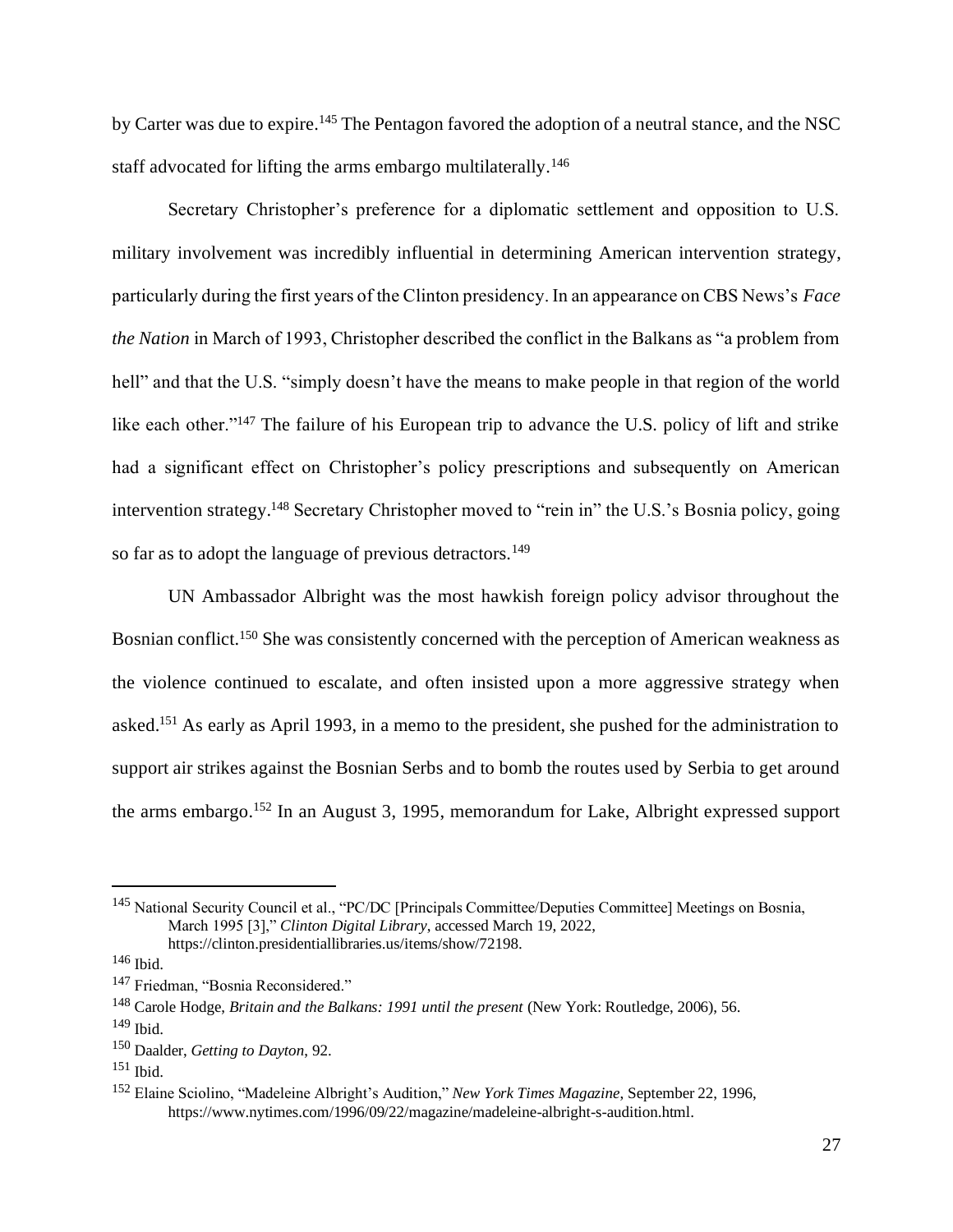by Carter was due to expire.<sup>145</sup> The Pentagon favored the adoption of a neutral stance, and the NSC staff advocated for lifting the arms embargo multilaterally.<sup>146</sup>

Secretary Christopher's preference for a diplomatic settlement and opposition to U.S. military involvement was incredibly influential in determining American intervention strategy, particularly during the first years of the Clinton presidency. In an appearance on CBS News's *Face the Nation* in March of 1993, Christopher described the conflict in the Balkans as "a problem from hell" and that the U.S. "simply doesn't have the means to make people in that region of the world like each other."<sup>147</sup> The failure of his European trip to advance the U.S. policy of lift and strike had a significant effect on Christopher's policy prescriptions and subsequently on American intervention strategy.<sup>148</sup> Secretary Christopher moved to "rein in" the U.S.'s Bosnia policy, going so far as to adopt the language of previous detractors.<sup>149</sup>

UN Ambassador Albright was the most hawkish foreign policy advisor throughout the Bosnian conflict.<sup>150</sup> She was consistently concerned with the perception of American weakness as the violence continued to escalate, and often insisted upon a more aggressive strategy when asked.<sup>151</sup> As early as April 1993, in a memo to the president, she pushed for the administration to support air strikes against the Bosnian Serbs and to bomb the routes used by Serbia to get around the arms embargo.<sup>152</sup> In an August 3, 1995, memorandum for Lake, Albright expressed support

<sup>&</sup>lt;sup>145</sup> National Security Council et al., "PC/DC [Principals Committee/Deputies Committee] Meetings on Bosnia, March 1995 [3]," *Clinton Digital Library*, accessed March 19, 2022, https://clinton.presidentiallibraries.us/items/show/72198.

 $146$  Ibid.

<sup>&</sup>lt;sup>147</sup> Friedman, "Bosnia Reconsidered."

<sup>148</sup> Carole Hodge, *Britain and the Balkans: 1991 until the present* (New York: Routledge, 2006), 56.

 $149$  Ibid.

<sup>150</sup> Daalder, *Getting to Dayton*, 92.

 $151$  Ibid.

<sup>152</sup> Elaine Sciolino, "Madeleine Albright's Audition," *New York Times Magazine*, September 22, 1996, https://www.nytimes.com/1996/09/22/magazine/madeleine-albright-s-audition.html.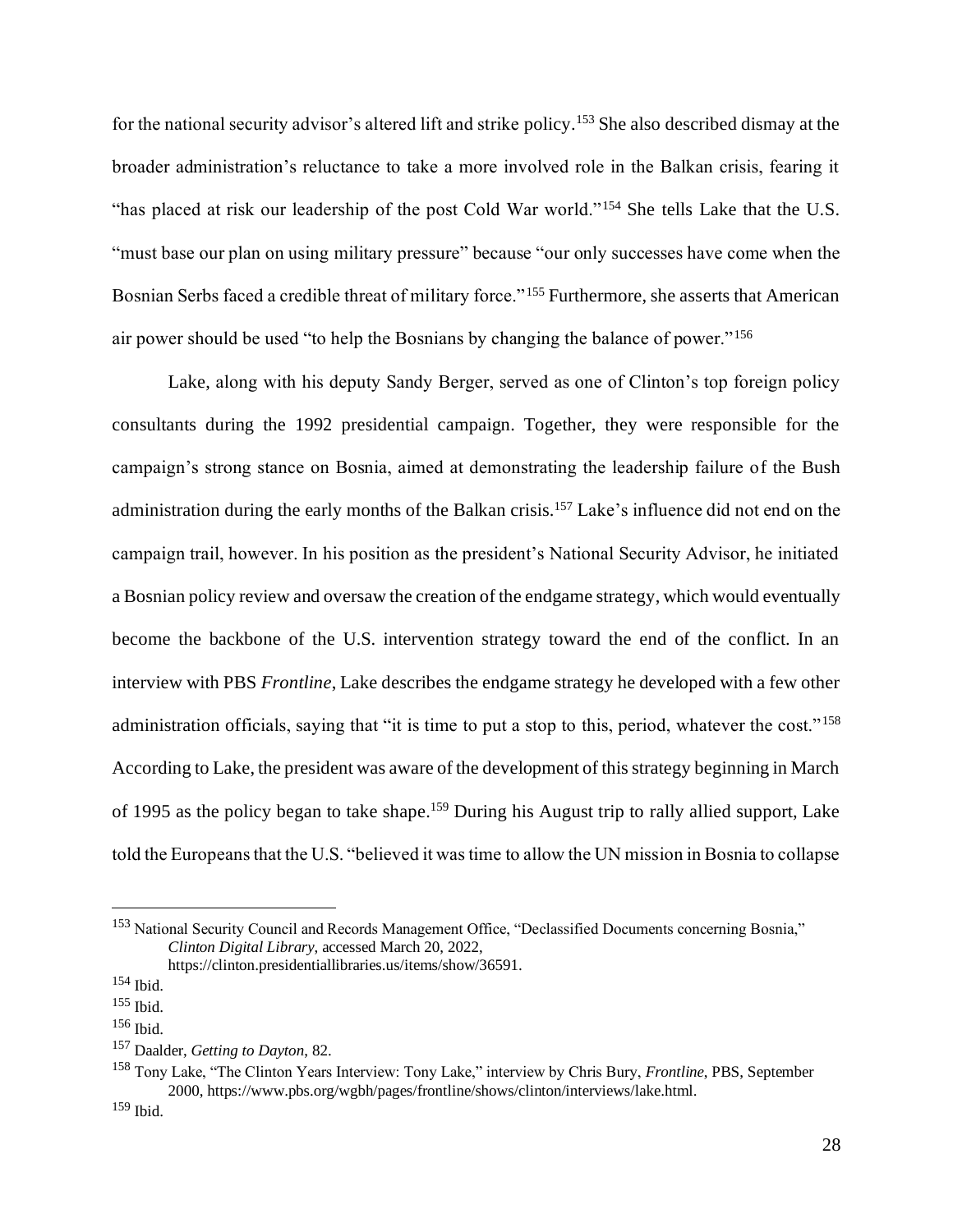for the national security advisor's altered lift and strike policy.<sup>153</sup> She also described dismay at the broader administration's reluctance to take a more involved role in the Balkan crisis, fearing it "has placed at risk our leadership of the post Cold War world."<sup>154</sup> She tells Lake that the U.S. "must base our plan on using military pressure" because "our only successes have come when the Bosnian Serbs faced a credible threat of military force."<sup>155</sup> Furthermore, she asserts that American air power should be used "to help the Bosnians by changing the balance of power."<sup>156</sup>

Lake, along with his deputy Sandy Berger, served as one of Clinton's top foreign policy consultants during the 1992 presidential campaign. Together, they were responsible for the campaign's strong stance on Bosnia, aimed at demonstrating the leadership failure of the Bush administration during the early months of the Balkan crisis.<sup>157</sup> Lake's influence did not end on the campaign trail, however. In his position as the president's National Security Advisor, he initiated a Bosnian policy review and oversaw the creation of the endgame strategy, which would eventually become the backbone of the U.S. intervention strategy toward the end of the conflict. In an interview with PBS *Frontline*, Lake describes the endgame strategy he developed with a few other administration officials, saying that "it is time to put a stop to this, period, whatever the cost."<sup>158</sup> According to Lake, the president was aware of the development of this strategy beginning in March of 1995 as the policy began to take shape.<sup>159</sup> During his August trip to rally allied support, Lake told the Europeans that the U.S. "believed it was time to allow the UN mission in Bosnia to collapse

<sup>153</sup> National Security Council and Records Management Office, "Declassified Documents concerning Bosnia," *Clinton Digital Library*, accessed March 20, 2022, https://clinton.presidentiallibraries.us/items/show/36591.

<sup>154</sup> Ibid.

<sup>155</sup> Ibid.

<sup>156</sup> Ibid.

<sup>157</sup> Daalder, *Getting to Dayton*, 82.

<sup>158</sup> Tony Lake, "The Clinton Years Interview: Tony Lake," interview by Chris Bury, *Frontline*, PBS, September 2000, https://www.pbs.org/wgbh/pages/frontline/shows/clinton/interviews/lake.html.

<sup>159</sup> Ibid.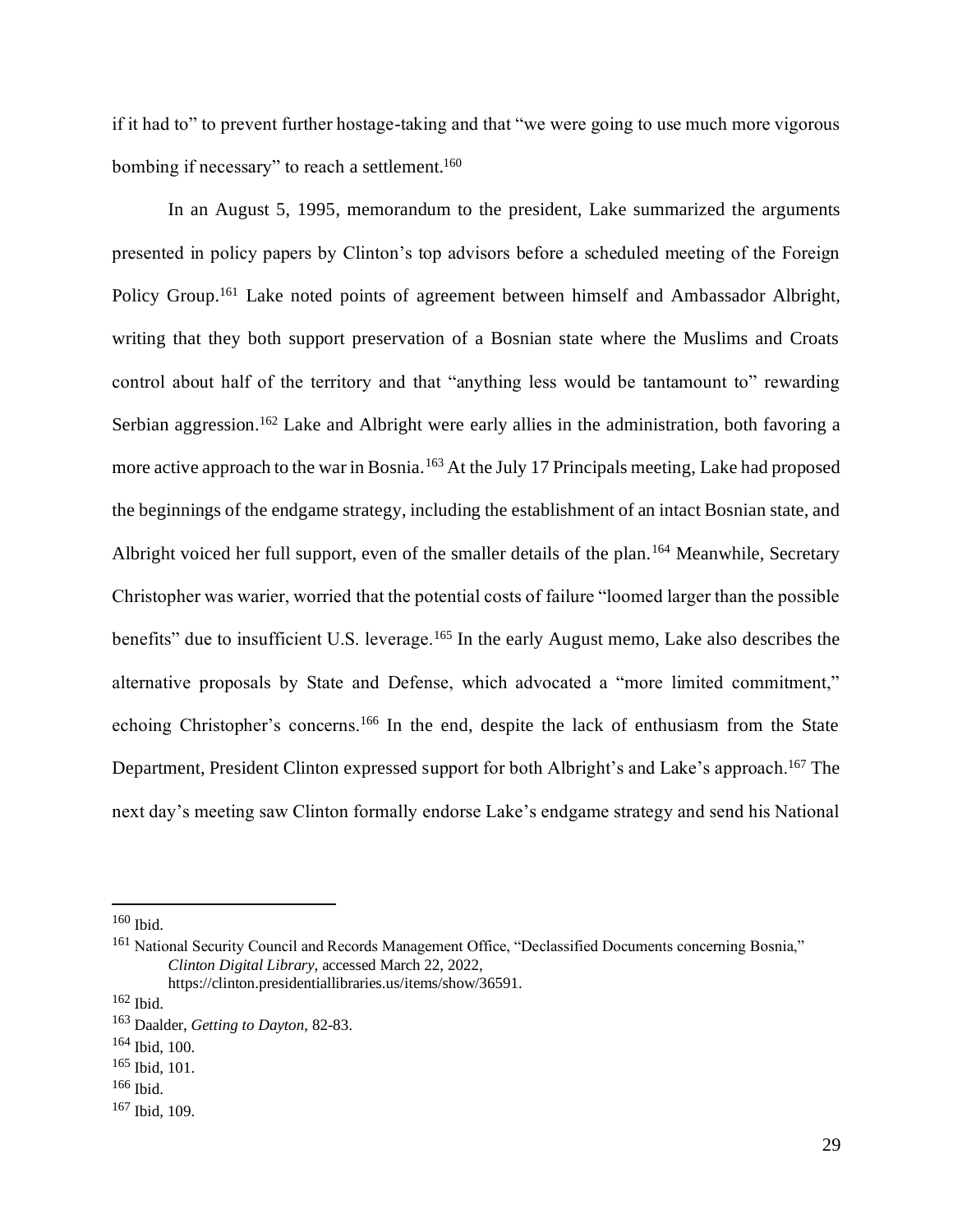if it had to" to prevent further hostage-taking and that "we were going to use much more vigorous bombing if necessary" to reach a settlement.<sup>160</sup>

In an August 5, 1995, memorandum to the president, Lake summarized the arguments presented in policy papers by Clinton's top advisors before a scheduled meeting of the Foreign Policy Group.<sup>161</sup> Lake noted points of agreement between himself and Ambassador Albright, writing that they both support preservation of a Bosnian state where the Muslims and Croats control about half of the territory and that "anything less would be tantamount to" rewarding Serbian aggression.<sup>162</sup> Lake and Albright were early allies in the administration, both favoring a more active approach to the war in Bosnia.<sup>163</sup> At the July 17 Principals meeting, Lake had proposed the beginnings of the endgame strategy, including the establishment of an intact Bosnian state, and Albright voiced her full support, even of the smaller details of the plan.<sup>164</sup> Meanwhile, Secretary Christopher was warier, worried that the potential costs of failure "loomed larger than the possible benefits" due to insufficient U.S. leverage.<sup>165</sup> In the early August memo, Lake also describes the alternative proposals by State and Defense, which advocated a "more limited commitment," echoing Christopher's concerns.<sup>166</sup> In the end, despite the lack of enthusiasm from the State Department, President Clinton expressed support for both Albright's and Lake's approach.<sup>167</sup> The next day's meeting saw Clinton formally endorse Lake's endgame strategy and send his National

 $160$  Ibid.

<sup>&</sup>lt;sup>161</sup> National Security Council and Records Management Office, "Declassified Documents concerning Bosnia," *Clinton Digital Library*, accessed March 22, 2022,

https://clinton.presidentiallibraries.us/items/show/36591.

<sup>162</sup> Ibid.

<sup>163</sup> Daalder, *Getting to Dayton*, 82-83.

<sup>164</sup> Ibid, 100.

<sup>165</sup> Ibid, 101.

<sup>166</sup> Ibid.

<sup>167</sup> Ibid, 109.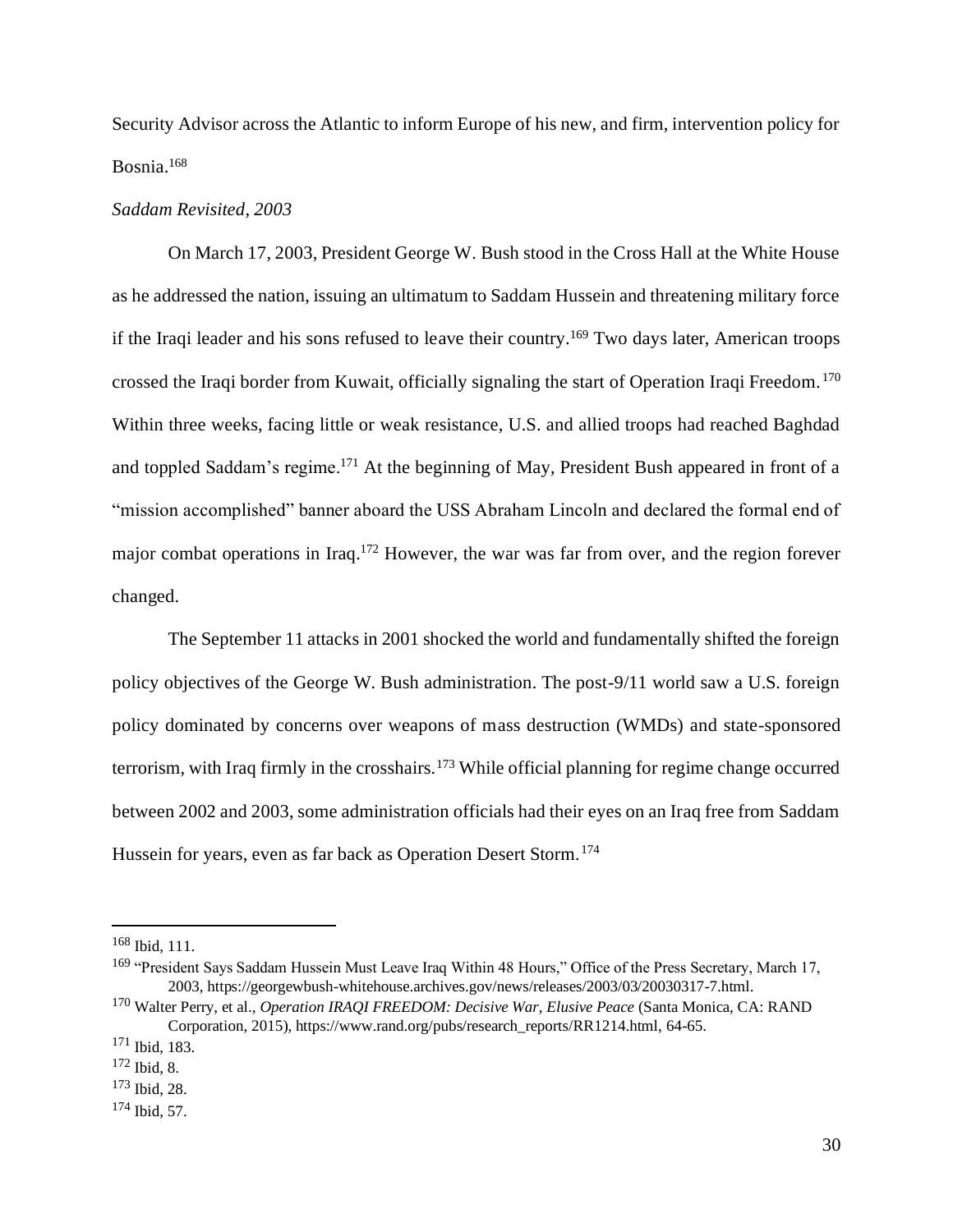Security Advisor across the Atlantic to inform Europe of his new, and firm, intervention policy for Bosnia.<sup>168</sup>

#### *Saddam Revisited, 2003*

On March 17, 2003, President George W. Bush stood in the Cross Hall at the White House as he addressed the nation, issuing an ultimatum to Saddam Hussein and threatening military force if the Iraqi leader and his sons refused to leave their country.<sup>169</sup> Two days later, American troops crossed the Iraqi border from Kuwait, officially signaling the start of Operation Iraqi Freedom. <sup>170</sup> Within three weeks, facing little or weak resistance, U.S. and allied troops had reached Baghdad and toppled Saddam's regime.<sup>171</sup> At the beginning of May, President Bush appeared in front of a "mission accomplished" banner aboard the USS Abraham Lincoln and declared the formal end of major combat operations in Iraq.<sup>172</sup> However, the war was far from over, and the region forever changed.

The September 11 attacks in 2001 shocked the world and fundamentally shifted the foreign policy objectives of the George W. Bush administration. The post-9/11 world saw a U.S. foreign policy dominated by concerns over weapons of mass destruction (WMDs) and state-sponsored terrorism, with Iraq firmly in the crosshairs.<sup>173</sup> While official planning for regime change occurred between 2002 and 2003, some administration officials had their eyes on an Iraq free from Saddam Hussein for years, even as far back as Operation Desert Storm.<sup>174</sup>

 $168$  Ibid, 111.

<sup>&</sup>lt;sup>169</sup> "President Says Saddam Hussein Must Leave Iraq Within 48 Hours," Office of the Press Secretary, March 17, 2003, https://georgewbush-whitehouse.archives.gov/news/releases/2003/03/20030317-7.html.

<sup>170</sup> Walter Perry, et al., *Operation IRAQI FREEDOM: Decisive War, Elusive Peace* (Santa Monica, CA: RAND Corporation, 2015), https://www.rand.org/pubs/research\_reports/RR1214.html, 64-65.

<sup>171</sup> Ibid, 183.

<sup>172</sup> Ibid, 8.

<sup>173</sup> Ibid, 28.

<sup>174</sup> Ibid, 57.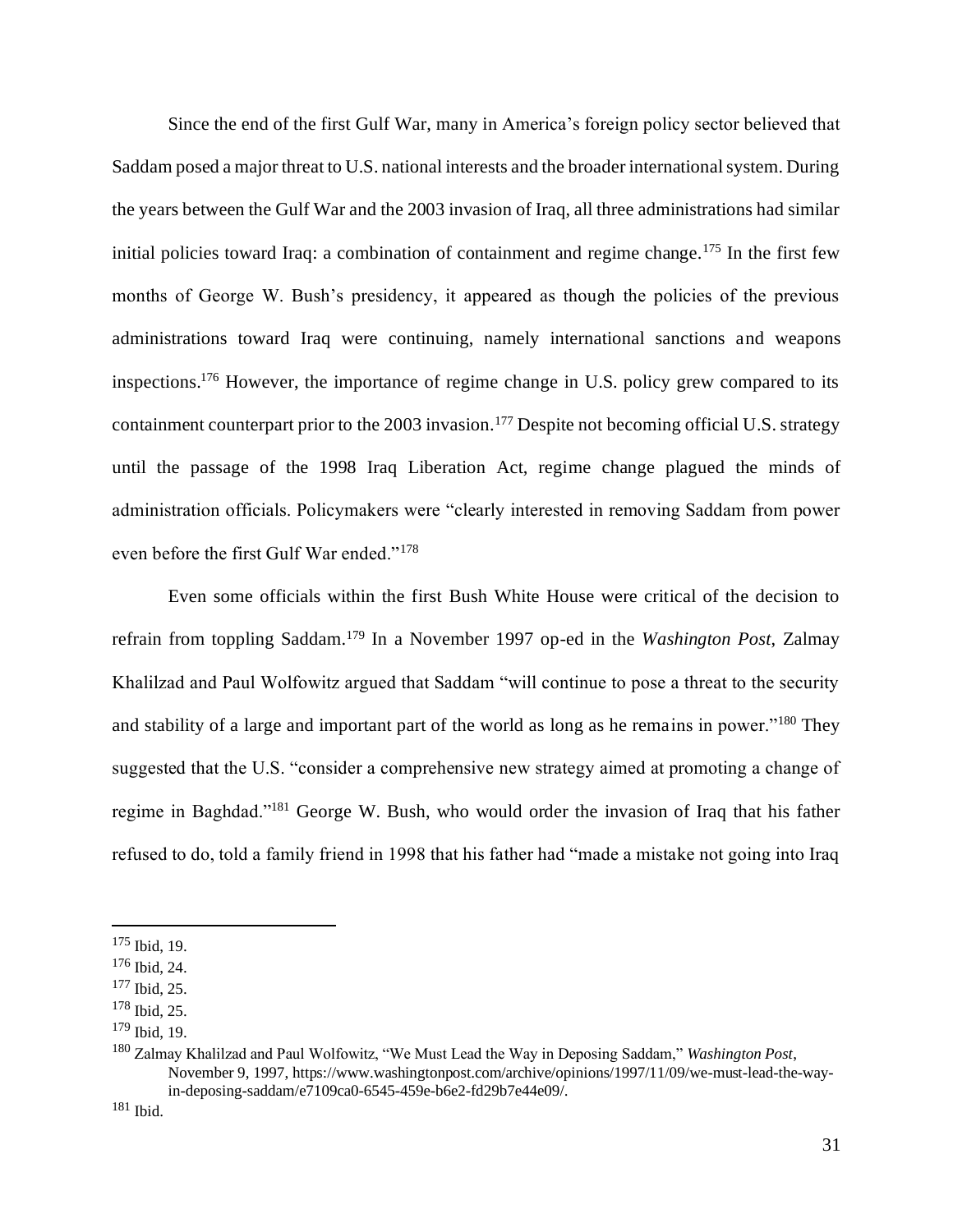Since the end of the first Gulf War, many in America's foreign policy sector believed that Saddam posed a major threat to U.S. national interests and the broader international system. During the years between the Gulf War and the 2003 invasion of Iraq, all three administrations had similar initial policies toward Iraq: a combination of containment and regime change.<sup>175</sup> In the first few months of George W. Bush's presidency, it appeared as though the policies of the previous administrations toward Iraq were continuing, namely international sanctions and weapons inspections.<sup>176</sup> However, the importance of regime change in U.S. policy grew compared to its containment counterpart prior to the 2003 invasion.<sup>177</sup> Despite not becoming official U.S. strategy until the passage of the 1998 Iraq Liberation Act, regime change plagued the minds of administration officials. Policymakers were "clearly interested in removing Saddam from power even before the first Gulf War ended."<sup>178</sup>

Even some officials within the first Bush White House were critical of the decision to refrain from toppling Saddam.<sup>179</sup> In a November 1997 op-ed in the *Washington Post*, Zalmay Khalilzad and Paul Wolfowitz argued that Saddam "will continue to pose a threat to the security and stability of a large and important part of the world as long as he remains in power."<sup>180</sup> They suggested that the U.S. "consider a comprehensive new strategy aimed at promoting a change of regime in Baghdad."<sup>181</sup> George W. Bush, who would order the invasion of Iraq that his father refused to do, told a family friend in 1998 that his father had "made a mistake not going into Iraq

<sup>181</sup> Ibid.

 $175$  Ibid, 19.

<sup>176</sup> Ibid, 24.

<sup>177</sup> Ibid, 25.

<sup>178</sup> Ibid, 25.

<sup>179</sup> Ibid, 19.

<sup>180</sup> Zalmay Khalilzad and Paul Wolfowitz, "We Must Lead the Way in Deposing Saddam," *Washington Post*, November 9, 1997, https://www.washingtonpost.com/archive/opinions/1997/11/09/we-must-lead-the-wayin-deposing-saddam/e7109ca0-6545-459e-b6e2-fd29b7e44e09/.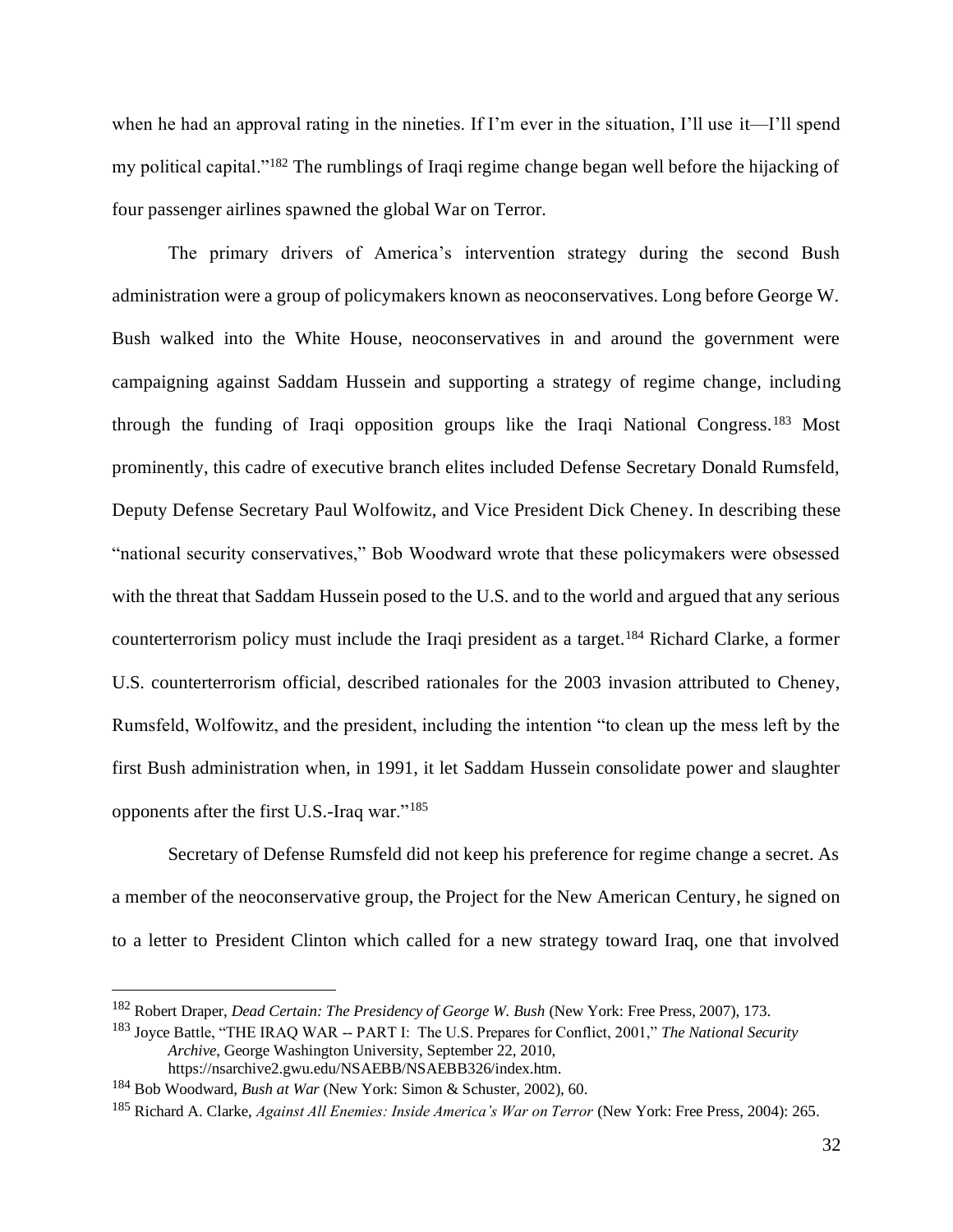when he had an approval rating in the nineties. If I'm ever in the situation, I'll use it—I'll spend my political capital."<sup>182</sup> The rumblings of Iraqi regime change began well before the hijacking of four passenger airlines spawned the global War on Terror.

The primary drivers of America's intervention strategy during the second Bush administration were a group of policymakers known as neoconservatives. Long before George W. Bush walked into the White House, neoconservatives in and around the government were campaigning against Saddam Hussein and supporting a strategy of regime change, including through the funding of Iraqi opposition groups like the Iraqi National Congress.<sup>183</sup> Most prominently, this cadre of executive branch elites included Defense Secretary Donald Rumsfeld, Deputy Defense Secretary Paul Wolfowitz, and Vice President Dick Cheney. In describing these "national security conservatives," Bob Woodward wrote that these policymakers were obsessed with the threat that Saddam Hussein posed to the U.S. and to the world and argued that any serious counterterrorism policy must include the Iraqi president as a target.<sup>184</sup> Richard Clarke, a former U.S. counterterrorism official, described rationales for the 2003 invasion attributed to Cheney, Rumsfeld, Wolfowitz, and the president, including the intention "to clean up the mess left by the first Bush administration when, in 1991, it let Saddam Hussein consolidate power and slaughter opponents after the first U.S.-Iraq war."<sup>185</sup>

Secretary of Defense Rumsfeld did not keep his preference for regime change a secret. As a member of the neoconservative group, the Project for the New American Century, he signed on to a letter to President Clinton which called for a new strategy toward Iraq, one that involved

<sup>183</sup> Joyce Battle, "THE IRAQ WAR -- PART I: The U.S. Prepares for Conflict, 2001," *The National Security Archive*, George Washington University, September 22, 2010, https://nsarchive2.gwu.edu/NSAEBB/NSAEBB326/index.htm.

<sup>182</sup> Robert Draper, *Dead Certain: The Presidency of George W. Bush* (New York: Free Press, 2007), 173.

<sup>184</sup> Bob Woodward, *Bush at War* (New York: Simon & Schuster, 2002), 60.

<sup>185</sup> Richard A. Clarke, *Against All Enemies: Inside America's War on Terror* (New York: Free Press, 2004): 265.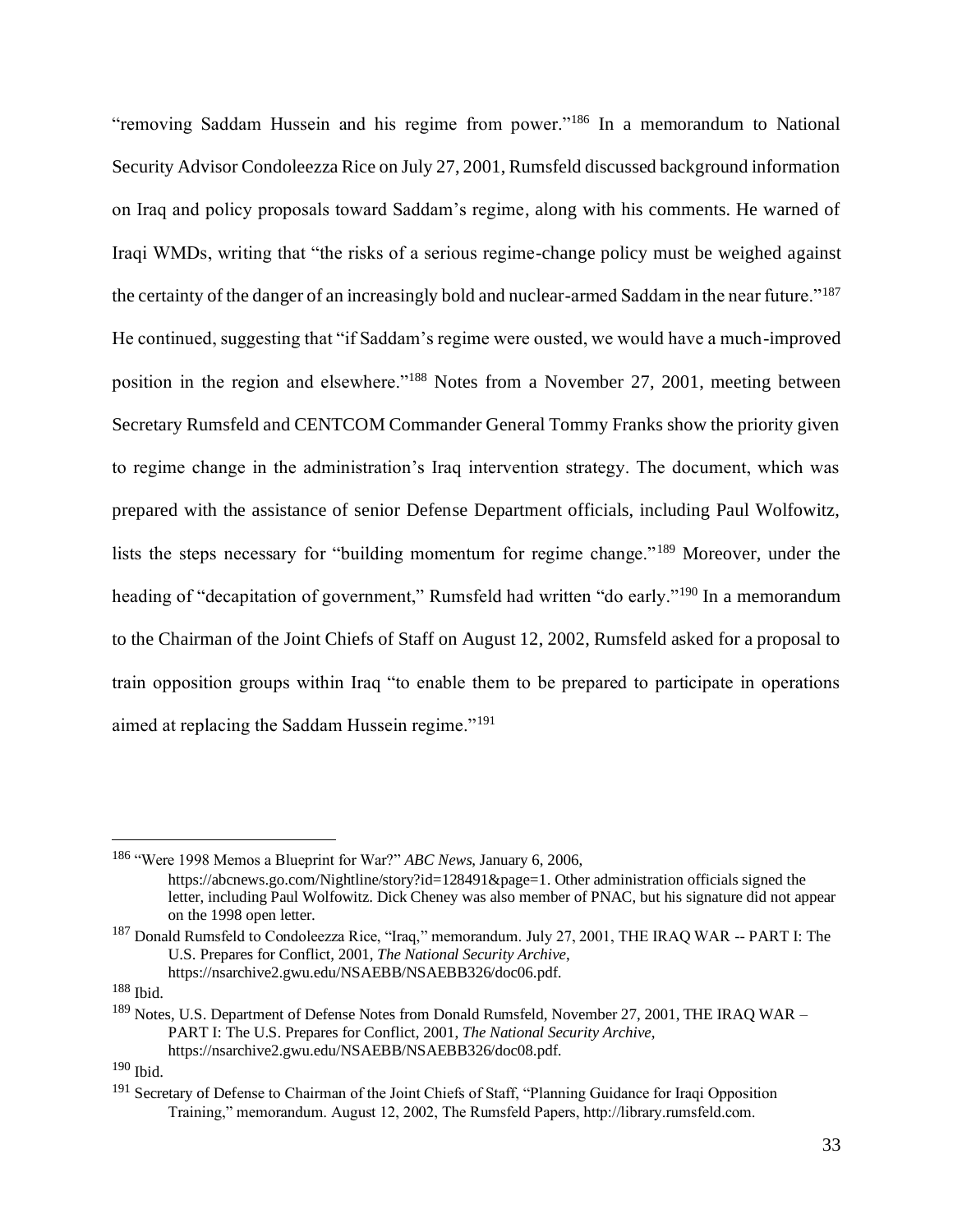"removing Saddam Hussein and his regime from power."<sup>186</sup> In a memorandum to National Security Advisor Condoleezza Rice on July 27, 2001, Rumsfeld discussed background information on Iraq and policy proposals toward Saddam's regime, along with his comments. He warned of Iraqi WMDs, writing that "the risks of a serious regime-change policy must be weighed against the certainty of the danger of an increasingly bold and nuclear-armed Saddam in the near future."<sup>187</sup> He continued, suggesting that "if Saddam's regime were ousted, we would have a much-improved position in the region and elsewhere."<sup>188</sup> Notes from a November 27, 2001, meeting between Secretary Rumsfeld and CENTCOM Commander General Tommy Franks show the priority given to regime change in the administration's Iraq intervention strategy. The document, which was prepared with the assistance of senior Defense Department officials, including Paul Wolfowitz, lists the steps necessary for "building momentum for regime change."<sup>189</sup> Moreover, under the heading of "decapitation of government," Rumsfeld had written "do early."<sup>190</sup> In a memorandum to the Chairman of the Joint Chiefs of Staff on August 12, 2002, Rumsfeld asked for a proposal to train opposition groups within Iraq "to enable them to be prepared to participate in operations aimed at replacing the Saddam Hussein regime."<sup>191</sup>

<sup>186</sup> "Were 1998 Memos a Blueprint for War?" *ABC News*, January 6, 2006, https://abcnews.go.com/Nightline/story?id=128491&page=1. Other administration officials signed the letter, including Paul Wolfowitz. Dick Cheney was also member of PNAC, but his signature did not appear on the 1998 open letter.

<sup>&</sup>lt;sup>187</sup> Donald Rumsfeld to Condoleezza Rice, "Iraq," memorandum. July 27, 2001, THE IRAQ WAR -- PART I: The U.S. Prepares for Conflict, 2001, *The National Security Archive*,

https://nsarchive2.gwu.edu/NSAEBB/NSAEBB326/doc06.pdf.

<sup>188</sup> Ibid.

 $189$  Notes, U.S. Department of Defense Notes from Donald Rumsfeld, November 27, 2001, THE IRAQ WAR – PART I: The U.S. Prepares for Conflict, 2001, *The National Security Archive*, https://nsarchive2.gwu.edu/NSAEBB/NSAEBB326/doc08.pdf.

 $190$  Ibid.

<sup>&</sup>lt;sup>191</sup> Secretary of Defense to Chairman of the Joint Chiefs of Staff, "Planning Guidance for Iraqi Opposition Training," memorandum. August 12, 2002, The Rumsfeld Papers, http://library.rumsfeld.com.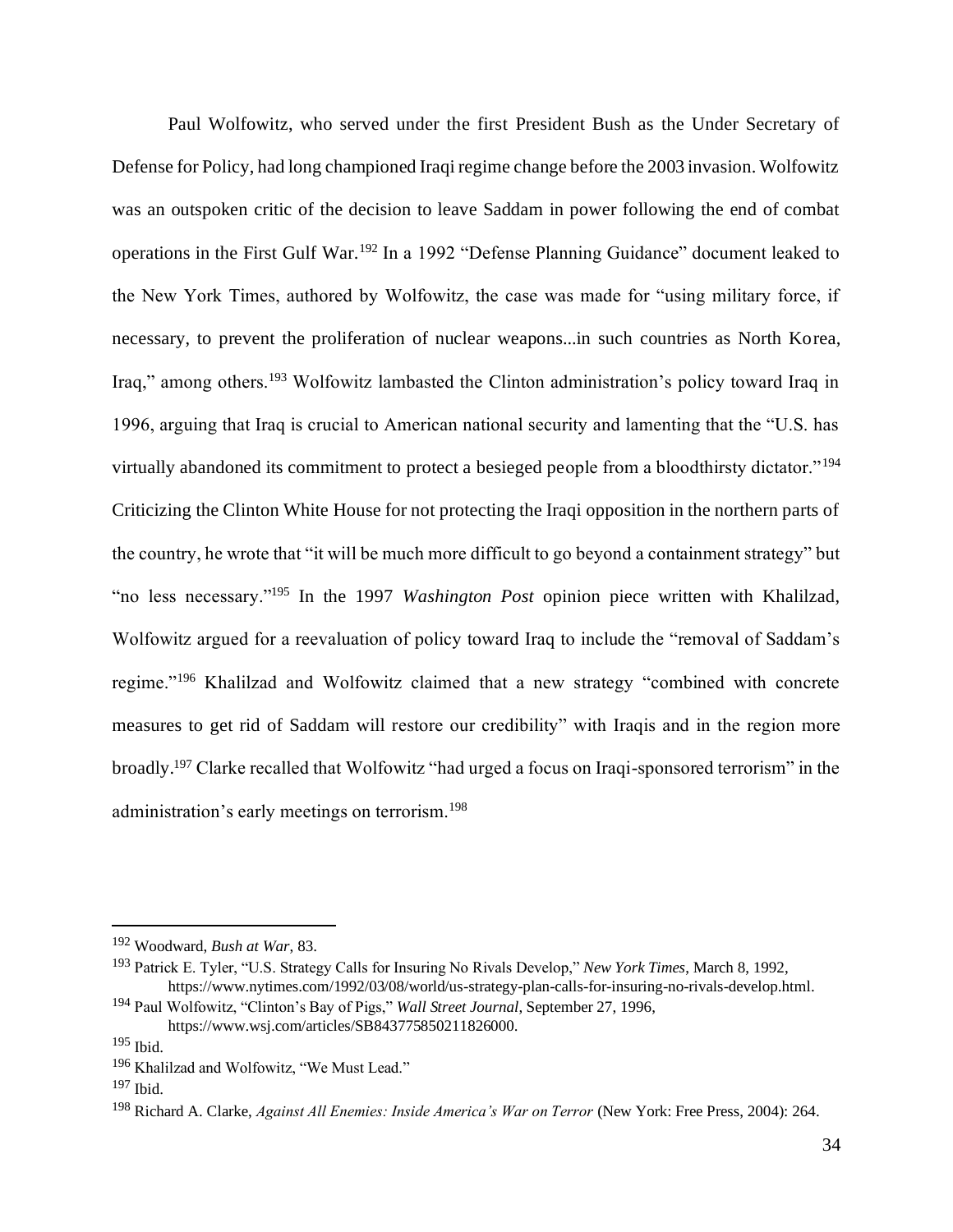Paul Wolfowitz, who served under the first President Bush as the Under Secretary of Defense for Policy, had long championed Iraqi regime change before the 2003 invasion. Wolfowitz was an outspoken critic of the decision to leave Saddam in power following the end of combat operations in the First Gulf War.<sup>192</sup> In a 1992 "Defense Planning Guidance" document leaked to the New York Times, authored by Wolfowitz, the case was made for "using military force, if necessary, to prevent the proliferation of nuclear weapons...in such countries as North Korea, Iraq," among others.<sup>193</sup> Wolfowitz lambasted the Clinton administration's policy toward Iraq in 1996, arguing that Iraq is crucial to American national security and lamenting that the "U.S. has virtually abandoned its commitment to protect a besieged people from a bloodthirsty dictator."<sup>194</sup> Criticizing the Clinton White House for not protecting the Iraqi opposition in the northern parts of the country, he wrote that "it will be much more difficult to go beyond a containment strategy" but "no less necessary."<sup>195</sup> In the 1997 *Washington Post* opinion piece written with Khalilzad, Wolfowitz argued for a reevaluation of policy toward Iraq to include the "removal of Saddam's regime."<sup>196</sup> Khalilzad and Wolfowitz claimed that a new strategy "combined with concrete measures to get rid of Saddam will restore our credibility" with Iraqis and in the region more broadly.<sup>197</sup> Clarke recalled that Wolfowitz "had urged a focus on Iraqi-sponsored terrorism" in the administration's early meetings on terrorism.<sup>198</sup>

<sup>192</sup> Woodward, *Bush at War*, 83.

<sup>193</sup> Patrick E. Tyler, "U.S. Strategy Calls for Insuring No Rivals Develop," *New York Times*, March 8, 1992, https://www.nytimes.com/1992/03/08/world/us-strategy-plan-calls-for-insuring-no-rivals-develop.html.

<sup>194</sup> Paul Wolfowitz, "Clinton's Bay of Pigs," *Wall Street Journal*, September 27, 1996, https://www.wsj.com/articles/SB843775850211826000.

<sup>195</sup> Ibid.

<sup>196</sup> Khalilzad and Wolfowitz, "We Must Lead."

 $197$  Ibid.

<sup>198</sup> Richard A. Clarke, *Against All Enemies: Inside America's War on Terror* (New York: Free Press, 2004): 264.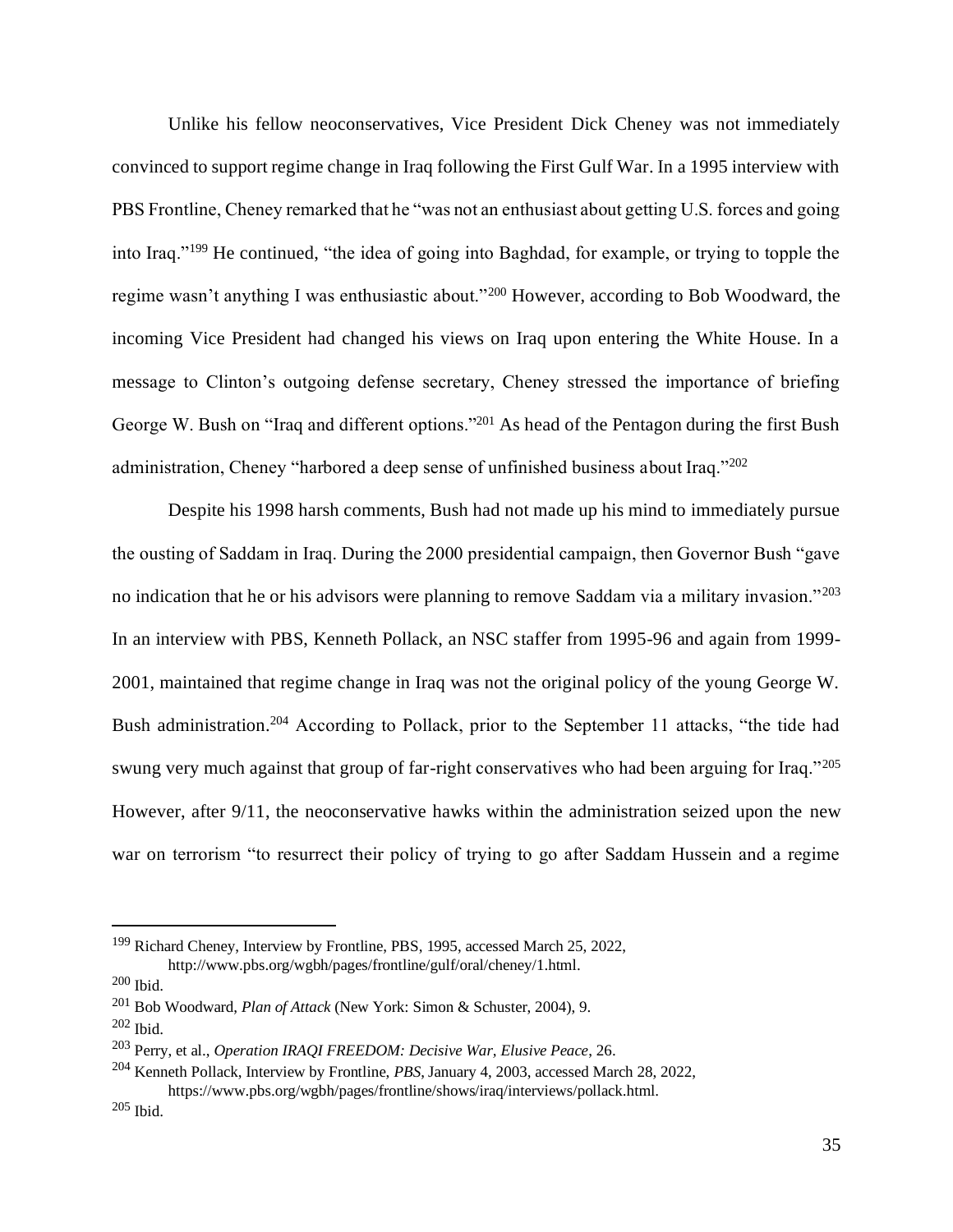Unlike his fellow neoconservatives, Vice President Dick Cheney was not immediately convinced to support regime change in Iraq following the First Gulf War. In a 1995 interview with PBS Frontline, Cheney remarked that he "was not an enthusiast about getting U.S. forces and going into Iraq."<sup>199</sup> He continued, "the idea of going into Baghdad, for example, or trying to topple the regime wasn't anything I was enthusiastic about."<sup>200</sup> However, according to Bob Woodward, the incoming Vice President had changed his views on Iraq upon entering the White House. In a message to Clinton's outgoing defense secretary, Cheney stressed the importance of briefing George W. Bush on "Iraq and different options."<sup>201</sup> As head of the Pentagon during the first Bush administration, Cheney "harbored a deep sense of unfinished business about Iraq."<sup>202</sup>

Despite his 1998 harsh comments, Bush had not made up his mind to immediately pursue the ousting of Saddam in Iraq. During the 2000 presidential campaign, then Governor Bush "gave no indication that he or his advisors were planning to remove Saddam via a military invasion."<sup>203</sup> In an interview with PBS, Kenneth Pollack, an NSC staffer from 1995-96 and again from 1999- 2001, maintained that regime change in Iraq was not the original policy of the young George W. Bush administration.<sup>204</sup> According to Pollack, prior to the September 11 attacks, "the tide had swung very much against that group of far-right conservatives who had been arguing for Iraq."205 However, after 9/11, the neoconservative hawks within the administration seized upon the new war on terrorism "to resurrect their policy of trying to go after Saddam Hussein and a regime

<sup>&</sup>lt;sup>199</sup> Richard Cheney, Interview by Frontline, PBS, 1995, accessed March 25, 2022, http://www.pbs.org/wgbh/pages/frontline/gulf/oral/cheney/1.html.

<sup>200</sup> Ibid.

<sup>201</sup> Bob Woodward, *Plan of Attack* (New York: Simon & Schuster, 2004), 9.

 $202$  Ibid.

<sup>203</sup> Perry, et al., *Operation IRAQI FREEDOM: Decisive War, Elusive Peace*, 26.

<sup>204</sup> Kenneth Pollack, Interview by Frontline, *PBS*, January 4, 2003, accessed March 28, 2022,

https://www.pbs.org/wgbh/pages/frontline/shows/iraq/interviews/pollack.html. <sup>205</sup> Ibid.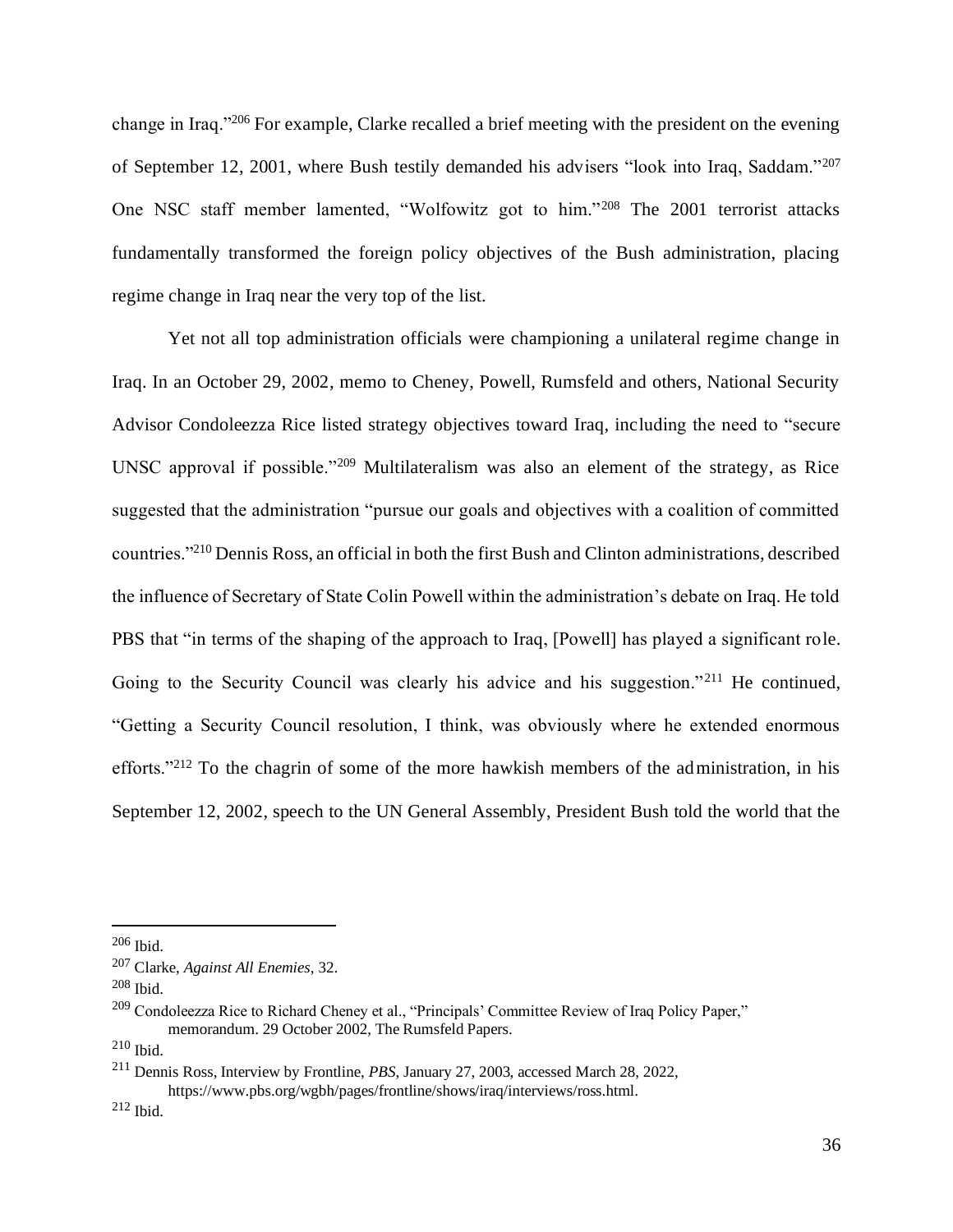change in Iraq."<sup>206</sup> For example, Clarke recalled a brief meeting with the president on the evening of September 12, 2001, where Bush testily demanded his advisers "look into Iraq, Saddam."<sup>207</sup> One NSC staff member lamented, "Wolfowitz got to him."<sup>208</sup> The 2001 terrorist attacks fundamentally transformed the foreign policy objectives of the Bush administration, placing regime change in Iraq near the very top of the list.

Yet not all top administration officials were championing a unilateral regime change in Iraq. In an October 29, 2002, memo to Cheney, Powell, Rumsfeld and others, National Security Advisor Condoleezza Rice listed strategy objectives toward Iraq, including the need to "secure UNSC approval if possible."<sup>209</sup> Multilateralism was also an element of the strategy, as Rice suggested that the administration "pursue our goals and objectives with a coalition of committed countries."<sup>210</sup> Dennis Ross, an official in both the first Bush and Clinton administrations, described the influence of Secretary of State Colin Powell within the administration's debate on Iraq. He told PBS that "in terms of the shaping of the approach to Iraq, [Powell] has played a significant role. Going to the Security Council was clearly his advice and his suggestion."<sup>211</sup> He continued, "Getting a Security Council resolution, I think, was obviously where he extended enormous efforts."<sup>212</sup> To the chagrin of some of the more hawkish members of the administration, in his September 12, 2002, speech to the UN General Assembly, President Bush told the world that the

 $206$  Ibid.

<sup>207</sup> Clarke, *Against All Enemies*, 32.

 $208$  Ibid.

<sup>209</sup> Condoleezza Rice to Richard Cheney et al., "Principals' Committee Review of Iraq Policy Paper," memorandum. 29 October 2002, The Rumsfeld Papers.

<sup>210</sup> Ibid.

<sup>211</sup> Dennis Ross, Interview by Frontline, *PBS*, January 27, 2003, accessed March 28, 2022, https://www.pbs.org/wgbh/pages/frontline/shows/iraq/interviews/ross.html.

<sup>212</sup> Ibid.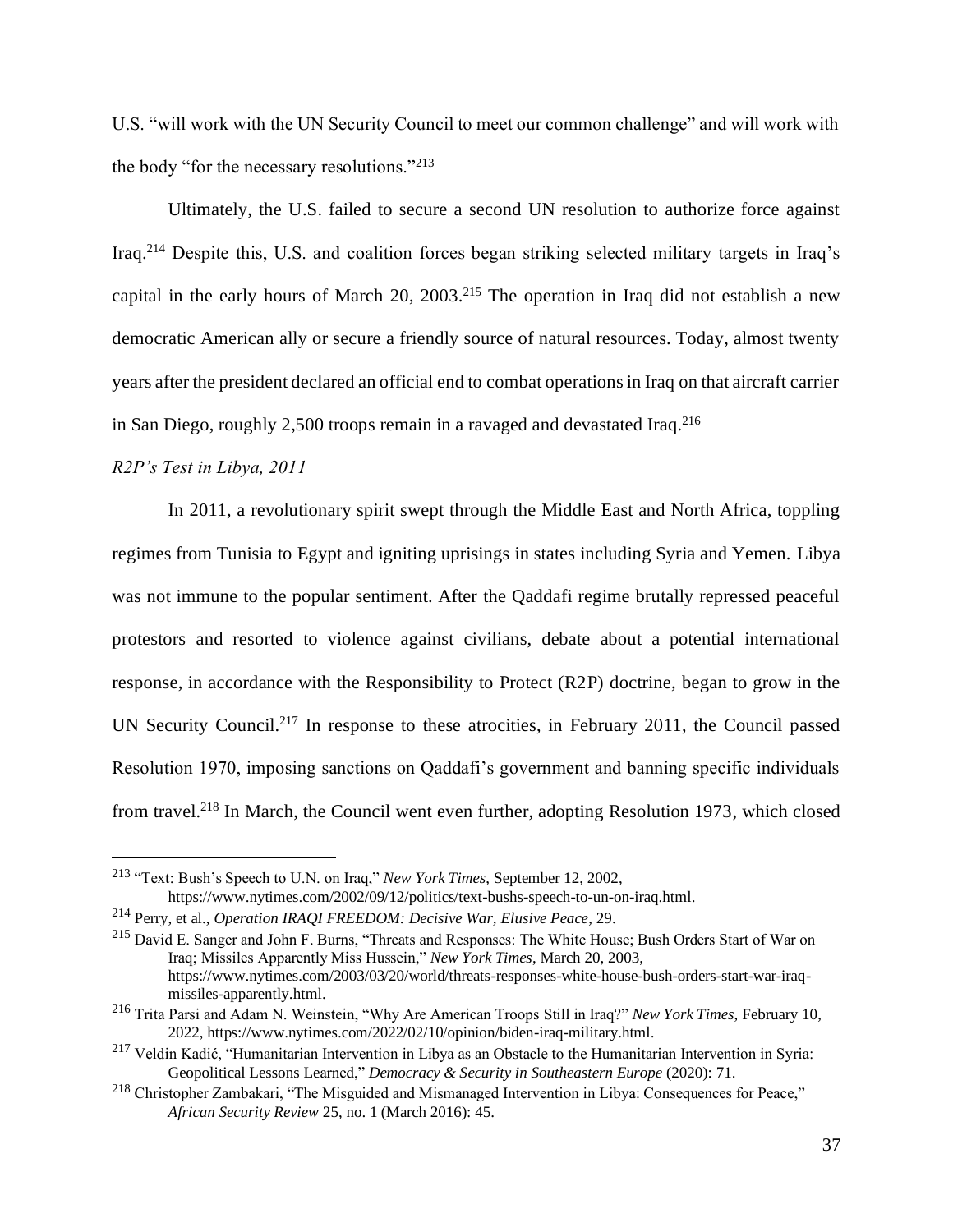U.S. "will work with the UN Security Council to meet our common challenge" and will work with the body "for the necessary resolutions."<sup>213</sup>

Ultimately, the U.S. failed to secure a second UN resolution to authorize force against Iraq.<sup>214</sup> Despite this, U.S. and coalition forces began striking selected military targets in Iraq's capital in the early hours of March 20,  $2003$ <sup>215</sup> The operation in Iraq did not establish a new democratic American ally or secure a friendly source of natural resources. Today, almost twenty years after the president declared an official end to combat operations in Iraq on that aircraft carrier in San Diego, roughly 2,500 troops remain in a ravaged and devastated Iraq.<sup>216</sup>

### *R2P's Test in Libya, 2011*

In 2011, a revolutionary spirit swept through the Middle East and North Africa, toppling regimes from Tunisia to Egypt and igniting uprisings in states including Syria and Yemen. Libya was not immune to the popular sentiment. After the Qaddafi regime brutally repressed peaceful protestors and resorted to violence against civilians, debate about a potential international response, in accordance with the Responsibility to Protect (R2P) doctrine, began to grow in the UN Security Council.<sup>217</sup> In response to these atrocities, in February 2011, the Council passed Resolution 1970, imposing sanctions on Qaddafi's government and banning specific individuals from travel.<sup>218</sup> In March, the Council went even further, adopting Resolution 1973, which closed

<sup>213</sup> "Text: Bush's Speech to U.N. on Iraq," *New York Times*, September 12, 2002, https://www.nytimes.com/2002/09/12/politics/text-bushs-speech-to-un-on-iraq.html.

<sup>214</sup> Perry, et al., *Operation IRAQI FREEDOM: Decisive War, Elusive Peace*, 29.

<sup>215</sup> David E. Sanger and John F. Burns, "Threats and Responses: The White House; Bush Orders Start of War on Iraq; Missiles Apparently Miss Hussein," *New York Times*, March 20, 2003, https://www.nytimes.com/2003/03/20/world/threats-responses-white-house-bush-orders-start-war-iraqmissiles-apparently.html.

<sup>216</sup> Trita Parsi and Adam N. Weinstein, "Why Are American Troops Still in Iraq?" *New York Times*, February 10, 2022, https://www.nytimes.com/2022/02/10/opinion/biden-iraq-military.html.

<sup>217</sup> Veldin Kadić, "Humanitarian Intervention in Libya as an Obstacle to the Humanitarian Intervention in Syria: Geopolitical Lessons Learned," *Democracy & Security in Southeastern Europe* (2020): 71.

<sup>218</sup> Christopher Zambakari, "The Misguided and Mismanaged Intervention in Libya: Consequences for Peace," *African Security Review* 25, no. 1 (March 2016): 45.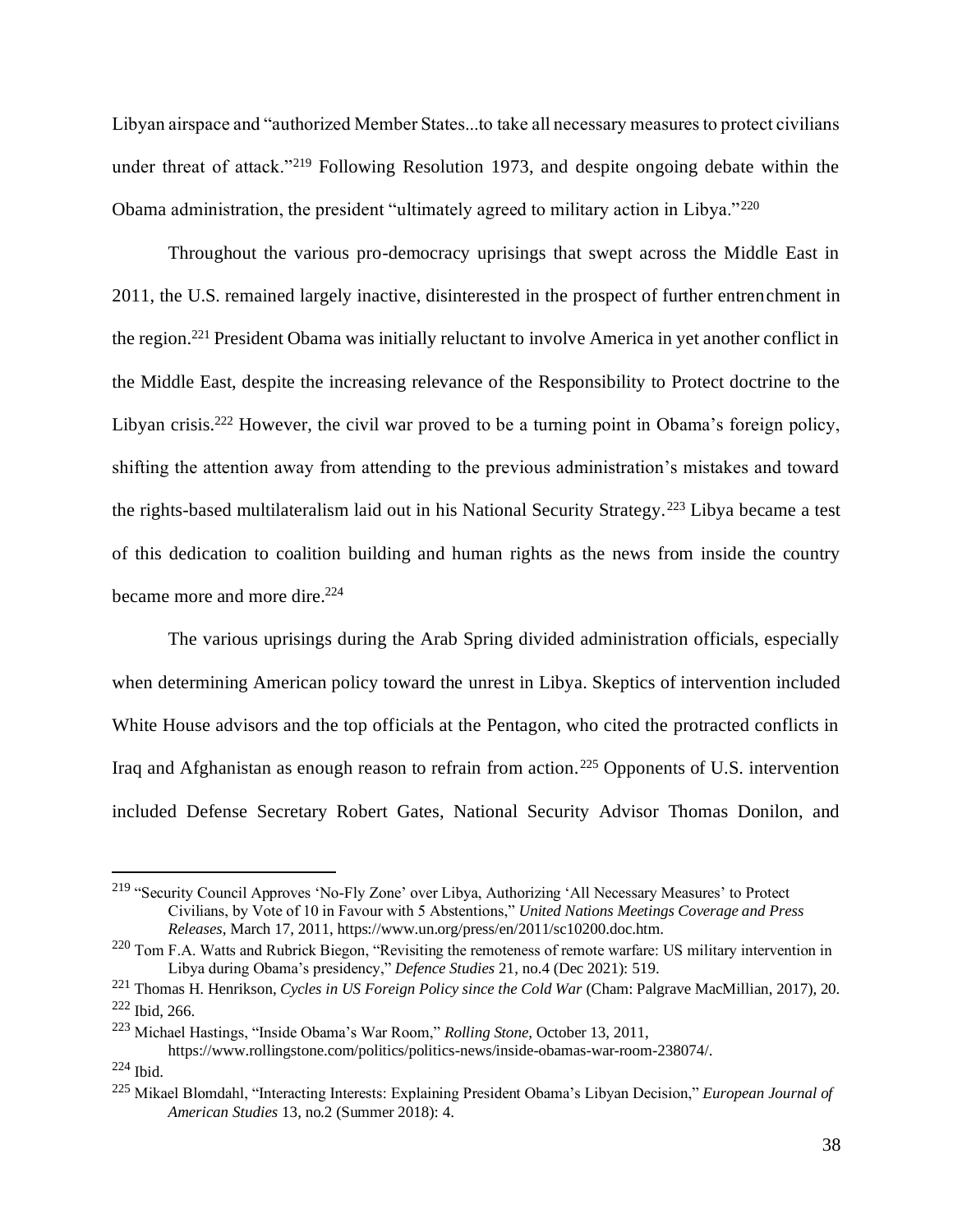Libyan airspace and "authorized Member States...to take all necessary measures to protect civilians under threat of attack."<sup>219</sup> Following Resolution 1973, and despite ongoing debate within the Obama administration, the president "ultimately agreed to military action in Libya."<sup>220</sup>

Throughout the various pro-democracy uprisings that swept across the Middle East in 2011, the U.S. remained largely inactive, disinterested in the prospect of further entrenchment in the region.<sup>221</sup> President Obama was initially reluctant to involve America in yet another conflict in the Middle East, despite the increasing relevance of the Responsibility to Protect doctrine to the Libyan crisis.<sup>222</sup> However, the civil war proved to be a turning point in Obama's foreign policy, shifting the attention away from attending to the previous administration's mistakes and toward the rights-based multilateralism laid out in his National Security Strategy.<sup>223</sup> Libya became a test of this dedication to coalition building and human rights as the news from inside the country became more and more dire.<sup>224</sup>

The various uprisings during the Arab Spring divided administration officials, especially when determining American policy toward the unrest in Libya. Skeptics of intervention included White House advisors and the top officials at the Pentagon, who cited the protracted conflicts in Iraq and Afghanistan as enough reason to refrain from action.<sup>225</sup> Opponents of U.S. intervention included Defense Secretary Robert Gates, National Security Advisor Thomas Donilon, and

<sup>219</sup> "Security Council Approves 'No-Fly Zone' over Libya, Authorizing 'All Necessary Measures' to Protect Civilians, by Vote of 10 in Favour with 5 Abstentions," *United Nations Meetings Coverage and Press Releases*, March 17, 2011, https://www.un.org/press/en/2011/sc10200.doc.htm.

 $^{220}$  Tom F.A. Watts and Rubrick Biegon, "Revisiting the remoteness of remote warfare: US military intervention in Libya during Obama's presidency," *Defence Studies* 21, no.4 (Dec 2021): 519.

<sup>221</sup> Thomas H. Henrikson, *Cycles in US Foreign Policy since the Cold War* (Cham: Palgrave MacMillian, 2017), 20. <sup>222</sup> Ibid, 266.

<sup>223</sup> Michael Hastings, "Inside Obama's War Room," *Rolling Stone*, October 13, 2011,

https://www.rollingstone.com/politics/politics-news/inside-obamas-war-room-238074/.

<sup>224</sup> Ibid.

<sup>225</sup> Mikael Blomdahl, "Interacting Interests: Explaining President Obama's Libyan Decision," *European Journal of American Studies* 13, no.2 (Summer 2018): 4.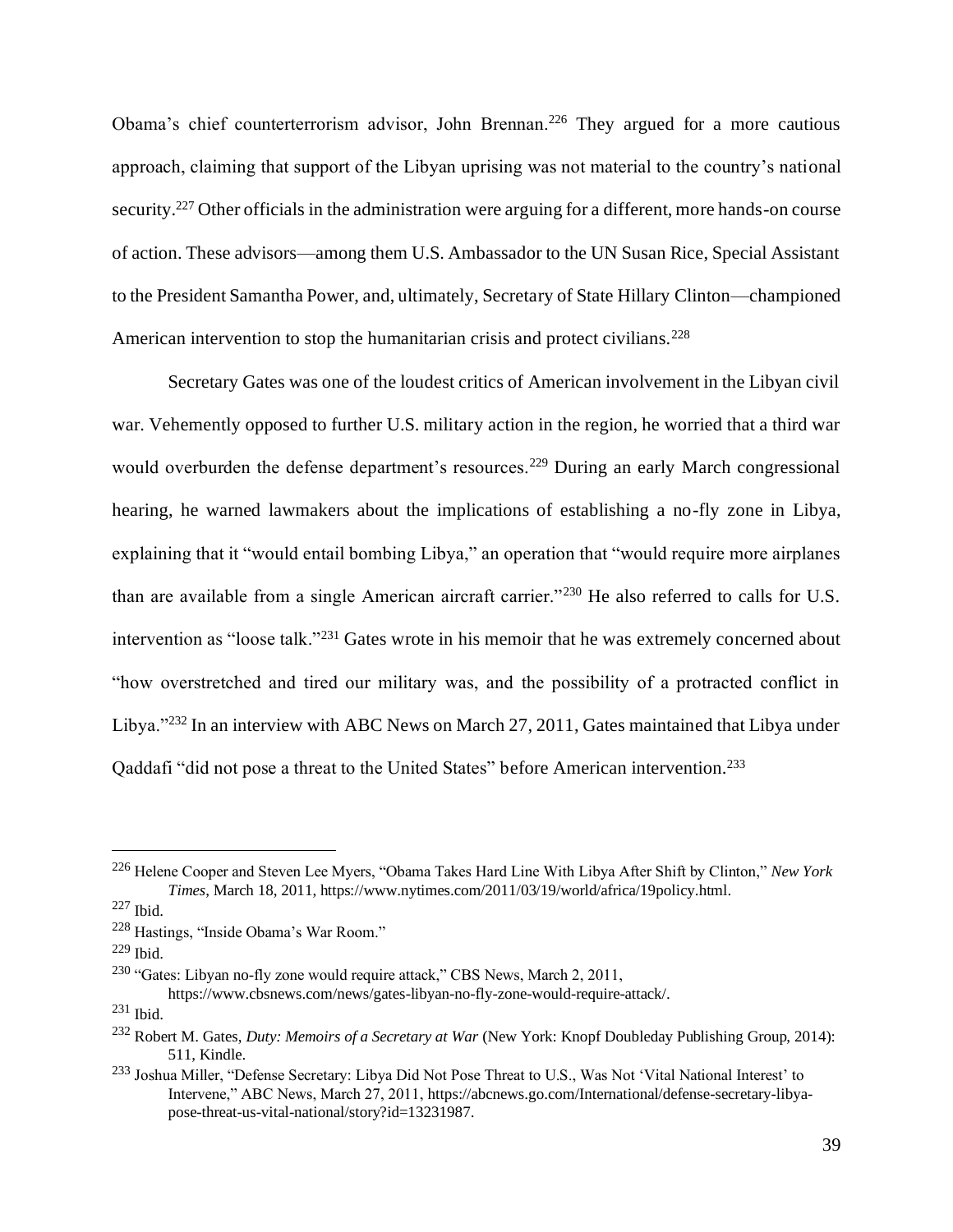Obama's chief counterterrorism advisor, John Brennan.<sup>226</sup> They argued for a more cautious approach, claiming that support of the Libyan uprising was not material to the country's national security.<sup>227</sup> Other officials in the administration were arguing for a different, more hands-on course of action. These advisors—among them U.S. Ambassador to the UN Susan Rice, Special Assistant to the President Samantha Power, and, ultimately, Secretary of State Hillary Clinton—championed American intervention to stop the humanitarian crisis and protect civilians.<sup>228</sup>

Secretary Gates was one of the loudest critics of American involvement in the Libyan civil war. Vehemently opposed to further U.S. military action in the region, he worried that a third war would overburden the defense department's resources.<sup>229</sup> During an early March congressional hearing, he warned lawmakers about the implications of establishing a no-fly zone in Libya, explaining that it "would entail bombing Libya," an operation that "would require more airplanes than are available from a single American aircraft carrier."<sup>230</sup> He also referred to calls for U.S. intervention as "loose talk."<sup>231</sup> Gates wrote in his memoir that he was extremely concerned about "how overstretched and tired our military was, and the possibility of a protracted conflict in Libya."<sup>232</sup> In an interview with ABC News on March 27, 2011, Gates maintained that Libya under Qaddafi "did not pose a threat to the United States" before American intervention.<sup>233</sup>

<sup>226</sup> Helene Cooper and Steven Lee Myers, "Obama Takes Hard Line With Libya After Shift by Clinton," *New York Times*, March 18, 2011, https://www.nytimes.com/2011/03/19/world/africa/19policy.html.

<sup>227</sup> Ibid.

<sup>228</sup> Hastings, "Inside Obama's War Room."

<sup>229</sup> Ibid.

<sup>230</sup> "Gates: Libyan no-fly zone would require attack," CBS News, March 2, 2011, https://www.cbsnews.com/news/gates-libyan-no-fly-zone-would-require-attack/.

 $231$  Ibid.

<sup>232</sup> Robert M. Gates, *Duty: Memoirs of a Secretary at War* (New York: Knopf Doubleday Publishing Group, 2014): 511, Kindle.

<sup>&</sup>lt;sup>233</sup> Joshua Miller, "Defense Secretary: Libya Did Not Pose Threat to U.S., Was Not 'Vital National Interest' to Intervene," ABC News, March 27, 2011, https://abcnews.go.com/International/defense-secretary-libyapose-threat-us-vital-national/story?id=13231987.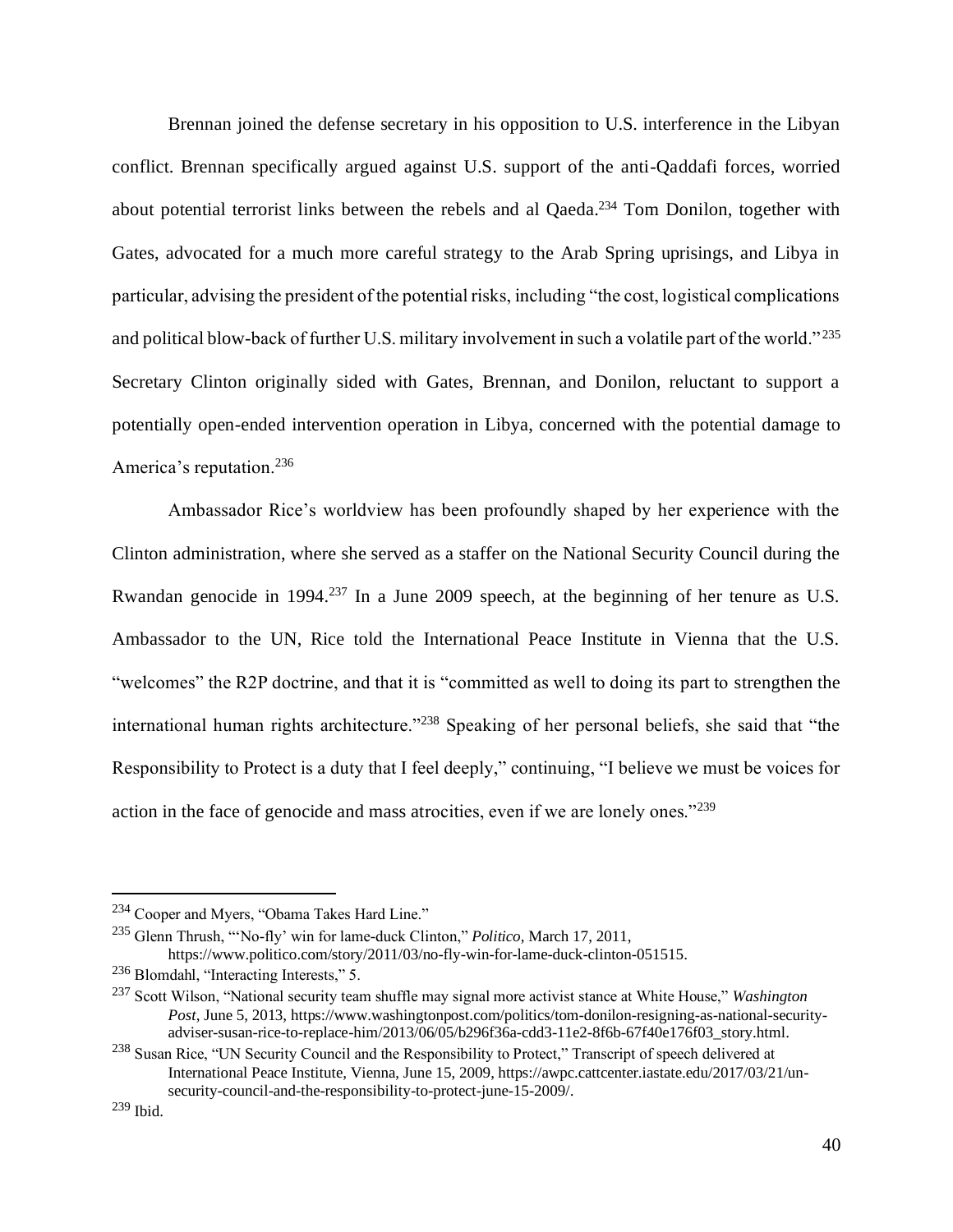Brennan joined the defense secretary in his opposition to U.S. interference in the Libyan conflict. Brennan specifically argued against U.S. support of the anti-Qaddafi forces, worried about potential terrorist links between the rebels and al Qaeda.<sup>234</sup> Tom Donilon, together with Gates, advocated for a much more careful strategy to the Arab Spring uprisings, and Libya in particular, advising the president of the potential risks, including "the cost, logistical complications and political blow-back of further U.S. military involvement in such a volatile part of the world." <sup>235</sup> Secretary Clinton originally sided with Gates, Brennan, and Donilon, reluctant to support a potentially open-ended intervention operation in Libya, concerned with the potential damage to America's reputation.<sup>236</sup>

Ambassador Rice's worldview has been profoundly shaped by her experience with the Clinton administration, where she served as a staffer on the National Security Council during the Rwandan genocide in 1994.<sup>237</sup> In a June 2009 speech, at the beginning of her tenure as U.S. Ambassador to the UN, Rice told the International Peace Institute in Vienna that the U.S. "welcomes" the R2P doctrine, and that it is "committed as well to doing its part to strengthen the international human rights architecture."<sup>238</sup> Speaking of her personal beliefs, she said that "the Responsibility to Protect is a duty that I feel deeply," continuing, "I believe we must be voices for action in the face of genocide and mass atrocities, even if we are lonely ones."<sup>239</sup>

<sup>234</sup> Cooper and Myers, "Obama Takes Hard Line."

<sup>235</sup> Glenn Thrush, "'No-fly' win for lame-duck Clinton," *Politico*, March 17, 2011, https://www.politico.com/story/2011/03/no-fly-win-for-lame-duck-clinton-051515.

<sup>236</sup> Blomdahl, "Interacting Interests," 5.

<sup>237</sup> Scott Wilson, "National security team shuffle may signal more activist stance at White House," *Washington Post*, June 5, 2013, https://www.washingtonpost.com/politics/tom-donilon-resigning-as-national-securityadviser-susan-rice-to-replace-him/2013/06/05/b296f36a-cdd3-11e2-8f6b-67f40e176f03\_story.html.

<sup>&</sup>lt;sup>238</sup> Susan Rice, "UN Security Council and the Responsibility to Protect," Transcript of speech delivered at International Peace Institute, Vienna, June 15, 2009, https://awpc.cattcenter.iastate.edu/2017/03/21/unsecurity-council-and-the-responsibility-to-protect-june-15-2009/.

<sup>239</sup> Ibid.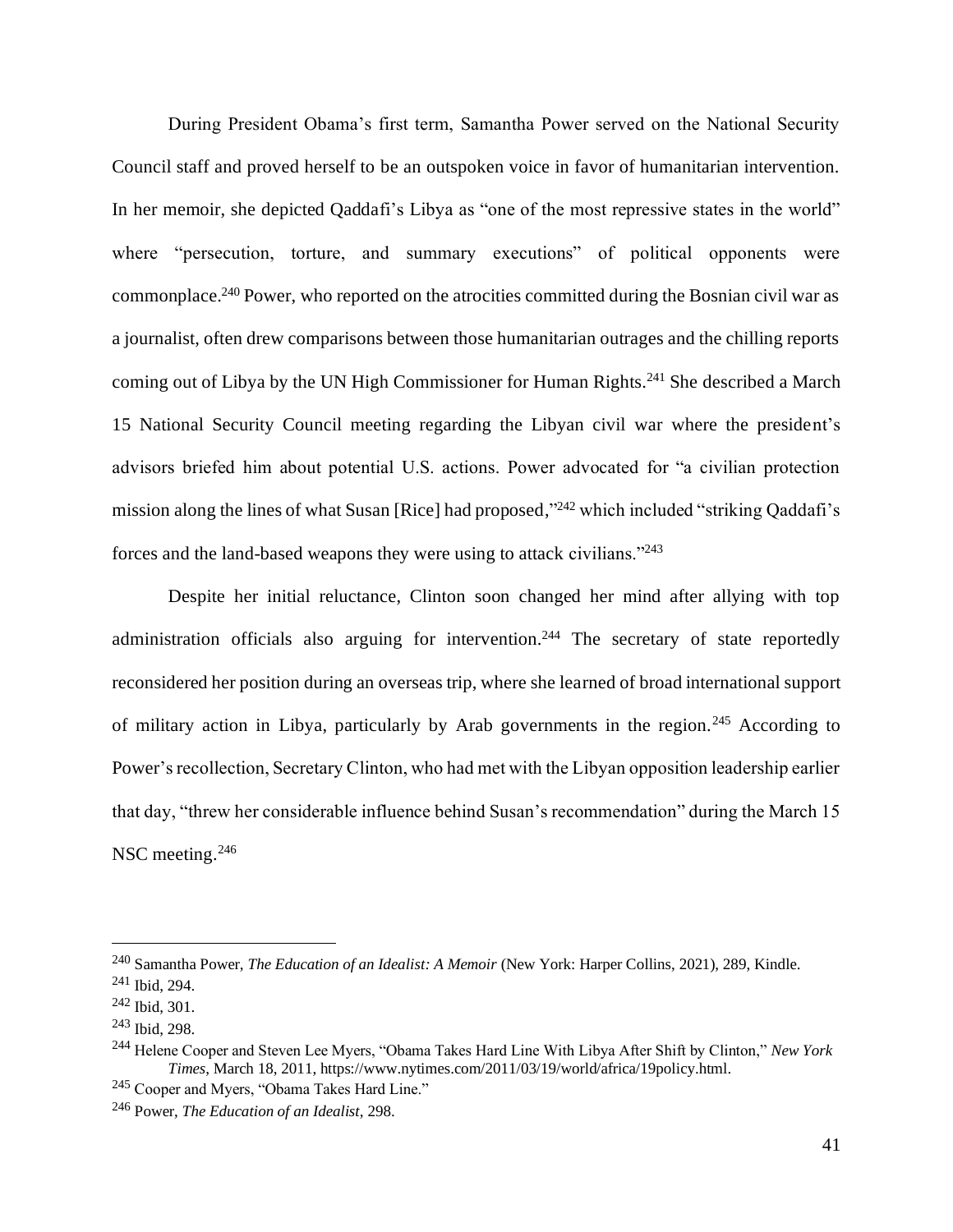During President Obama's first term, Samantha Power served on the National Security Council staff and proved herself to be an outspoken voice in favor of humanitarian intervention. In her memoir, she depicted Qaddafi's Libya as "one of the most repressive states in the world" where "persecution, torture, and summary executions" of political opponents were commonplace.<sup>240</sup> Power, who reported on the atrocities committed during the Bosnian civil war as a journalist, often drew comparisons between those humanitarian outrages and the chilling reports coming out of Libya by the UN High Commissioner for Human Rights.<sup>241</sup> She described a March 15 National Security Council meeting regarding the Libyan civil war where the president's advisors briefed him about potential U.S. actions. Power advocated for "a civilian protection mission along the lines of what Susan [Rice] had proposed,"<sup>242</sup> which included "striking Qaddafi's forces and the land-based weapons they were using to attack civilians."<sup>243</sup>

Despite her initial reluctance, Clinton soon changed her mind after allying with top administration officials also arguing for intervention.<sup>244</sup> The secretary of state reportedly reconsidered her position during an overseas trip, where she learned of broad international support of military action in Libya, particularly by Arab governments in the region.<sup>245</sup> According to Power's recollection, Secretary Clinton, who had met with the Libyan opposition leadership earlier that day, "threw her considerable influence behind Susan's recommendation" during the March 15 NSC meeting.<sup>246</sup>

<sup>240</sup> Samantha Power, *The Education of an Idealist: A Memoir* (New York: Harper Collins, 2021), 289, Kindle.

<sup>241</sup> Ibid, 294.

<sup>242</sup> Ibid, 301.

<sup>243</sup> Ibid, 298.

<sup>244</sup> Helene Cooper and Steven Lee Myers, "Obama Takes Hard Line With Libya After Shift by Clinton," *New York Times*, March 18, 2011, https://www.nytimes.com/2011/03/19/world/africa/19policy.html.

<sup>245</sup> Cooper and Myers, "Obama Takes Hard Line."

<sup>246</sup> Power, *The Education of an Idealist*, 298.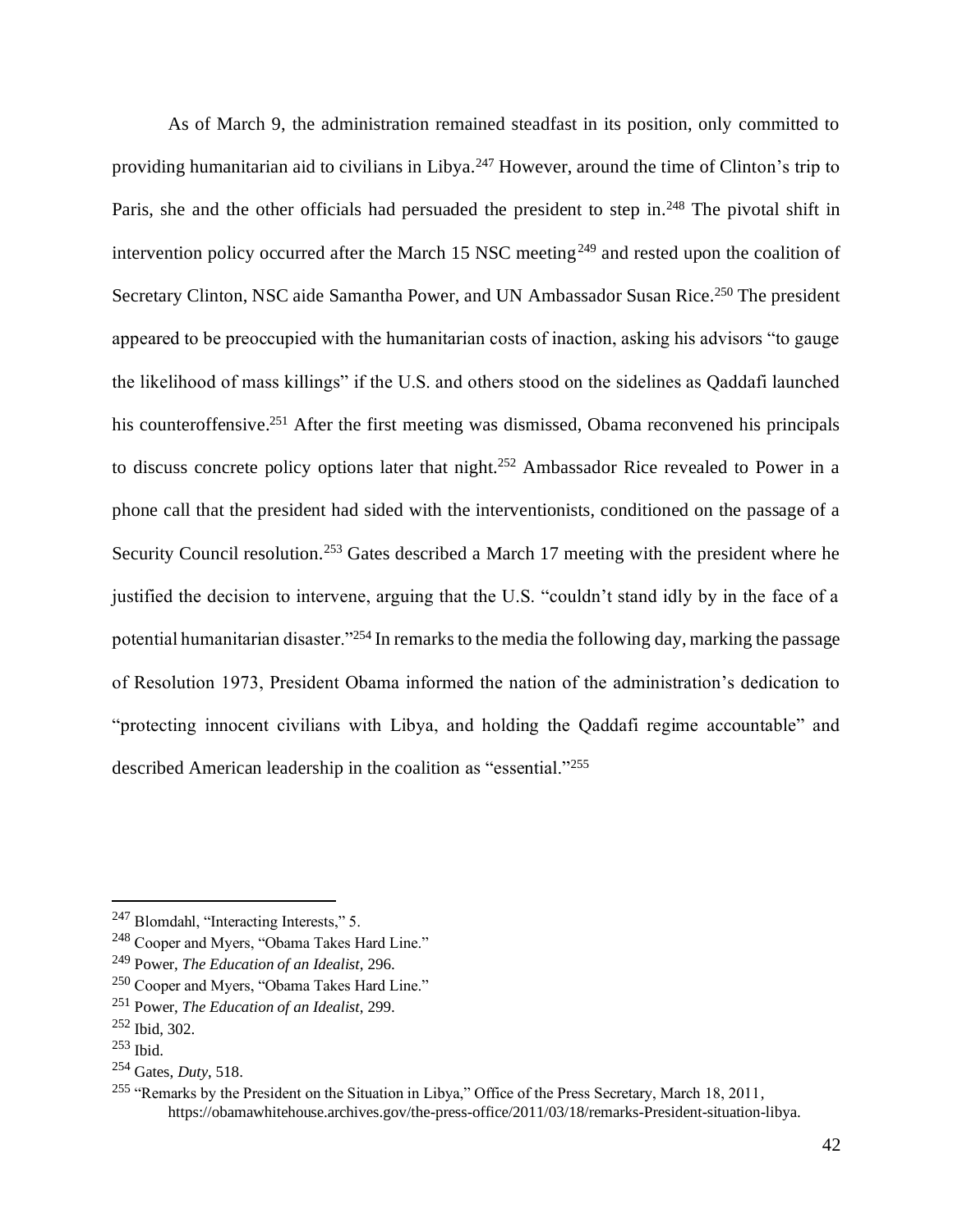As of March 9, the administration remained steadfast in its position, only committed to providing humanitarian aid to civilians in Libya.<sup>247</sup> However, around the time of Clinton's trip to Paris, she and the other officials had persuaded the president to step in.<sup>248</sup> The pivotal shift in intervention policy occurred after the March 15 NSC meeting<sup>249</sup> and rested upon the coalition of Secretary Clinton, NSC aide Samantha Power, and UN Ambassador Susan Rice.<sup>250</sup> The president appeared to be preoccupied with the humanitarian costs of inaction, asking his advisors "to gauge the likelihood of mass killings" if the U.S. and others stood on the sidelines as Qaddafi launched his counteroffensive.<sup>251</sup> After the first meeting was dismissed, Obama reconvened his principals to discuss concrete policy options later that night.<sup>252</sup> Ambassador Rice revealed to Power in a phone call that the president had sided with the interventionists, conditioned on the passage of a Security Council resolution.<sup>253</sup> Gates described a March 17 meeting with the president where he justified the decision to intervene, arguing that the U.S. "couldn't stand idly by in the face of a potential humanitarian disaster."<sup>254</sup> In remarks to the media the following day, marking the passage of Resolution 1973, President Obama informed the nation of the administration's dedication to "protecting innocent civilians with Libya, and holding the Qaddafi regime accountable" and described American leadership in the coalition as "essential."<sup>255</sup>

<sup>247</sup> Blomdahl, "Interacting Interests," 5.

<sup>248</sup> Cooper and Myers, "Obama Takes Hard Line."

<sup>249</sup> Power, *The Education of an Idealist*, 296.

<sup>250</sup> Cooper and Myers, "Obama Takes Hard Line."

<sup>251</sup> Power, *The Education of an Idealist*, 299.

<sup>252</sup> Ibid, 302.

<sup>253</sup> Ibid.

<sup>254</sup> Gates, *Duty*, 518.

<sup>&</sup>lt;sup>255</sup> "Remarks by the President on the Situation in Libya," Office of the Press Secretary, March 18, 2011, https://obamawhitehouse.archives.gov/the-press-office/2011/03/18/remarks-President-situation-libya.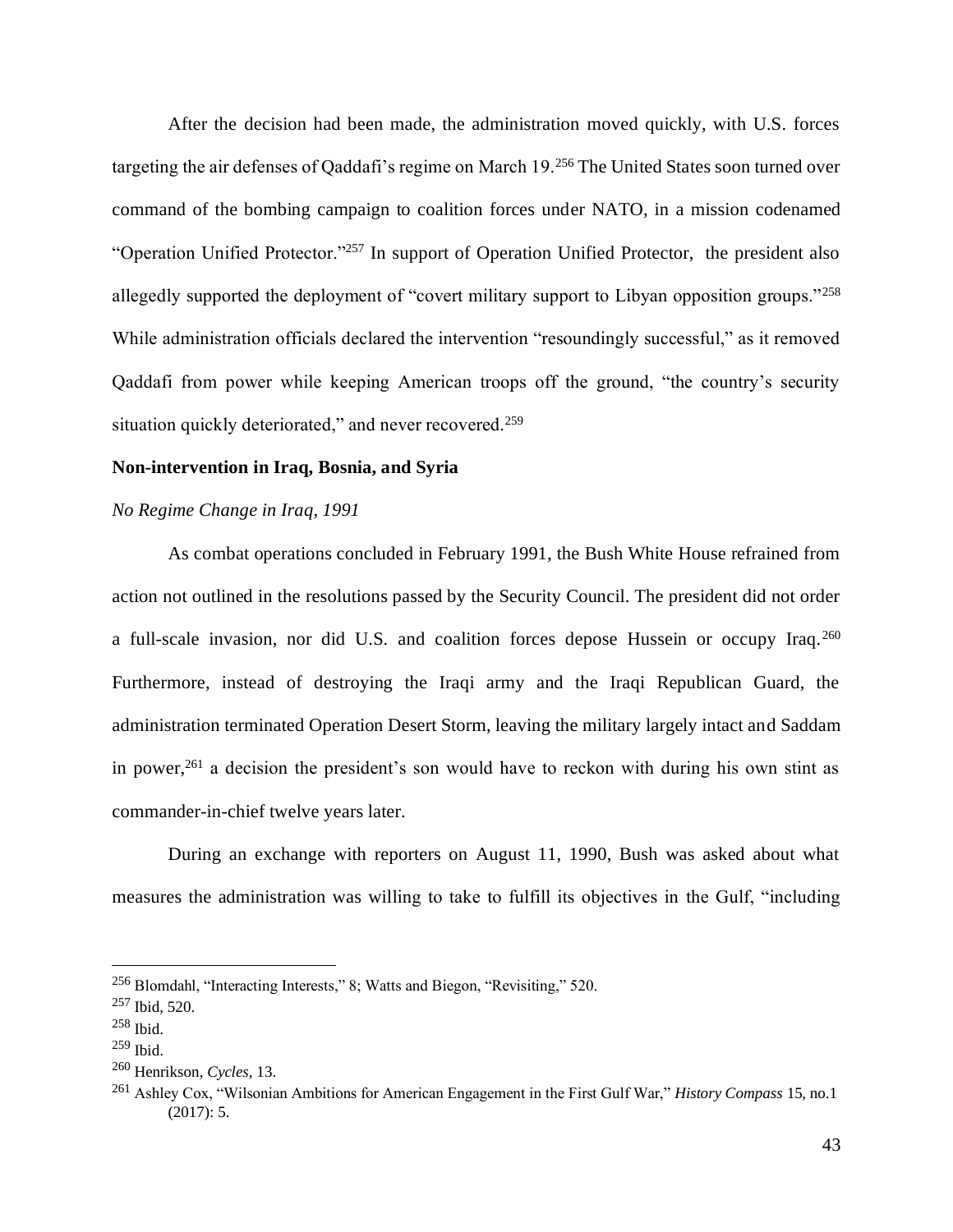After the decision had been made, the administration moved quickly, with U.S. forces targeting the air defenses of Qaddafi's regime on March 19.<sup>256</sup> The United States soon turned over command of the bombing campaign to coalition forces under NATO, in a mission codenamed "Operation Unified Protector."<sup>257</sup> In support of Operation Unified Protector, the president also allegedly supported the deployment of "covert military support to Libyan opposition groups."<sup>258</sup> While administration officials declared the intervention "resoundingly successful," as it removed Qaddafi from power while keeping American troops off the ground, "the country's security situation quickly deteriorated," and never recovered.<sup>259</sup>

#### **Non-intervention in Iraq, Bosnia, and Syria**

#### *No Regime Change in Iraq, 1991*

As combat operations concluded in February 1991, the Bush White House refrained from action not outlined in the resolutions passed by the Security Council. The president did not order a full-scale invasion, nor did U.S. and coalition forces depose Hussein or occupy Iraq.<sup>260</sup> Furthermore, instead of destroying the Iraqi army and the Iraqi Republican Guard, the administration terminated Operation Desert Storm, leaving the military largely intact and Saddam in power,<sup>261</sup> a decision the president's son would have to reckon with during his own stint as commander-in-chief twelve years later.

During an exchange with reporters on August 11, 1990, Bush was asked about what measures the administration was willing to take to fulfill its objectives in the Gulf, "including

<sup>256</sup> Blomdahl, "Interacting Interests," 8; Watts and Biegon, "Revisiting," 520.

<sup>257</sup> Ibid, 520.

<sup>258</sup> Ibid.

<sup>259</sup> Ibid.

<sup>260</sup> Henrikson, *Cycles*, 13.

<sup>261</sup> Ashley Cox, "Wilsonian Ambitions for American Engagement in the First Gulf War," *History Compass* 15, no.1 (2017): 5.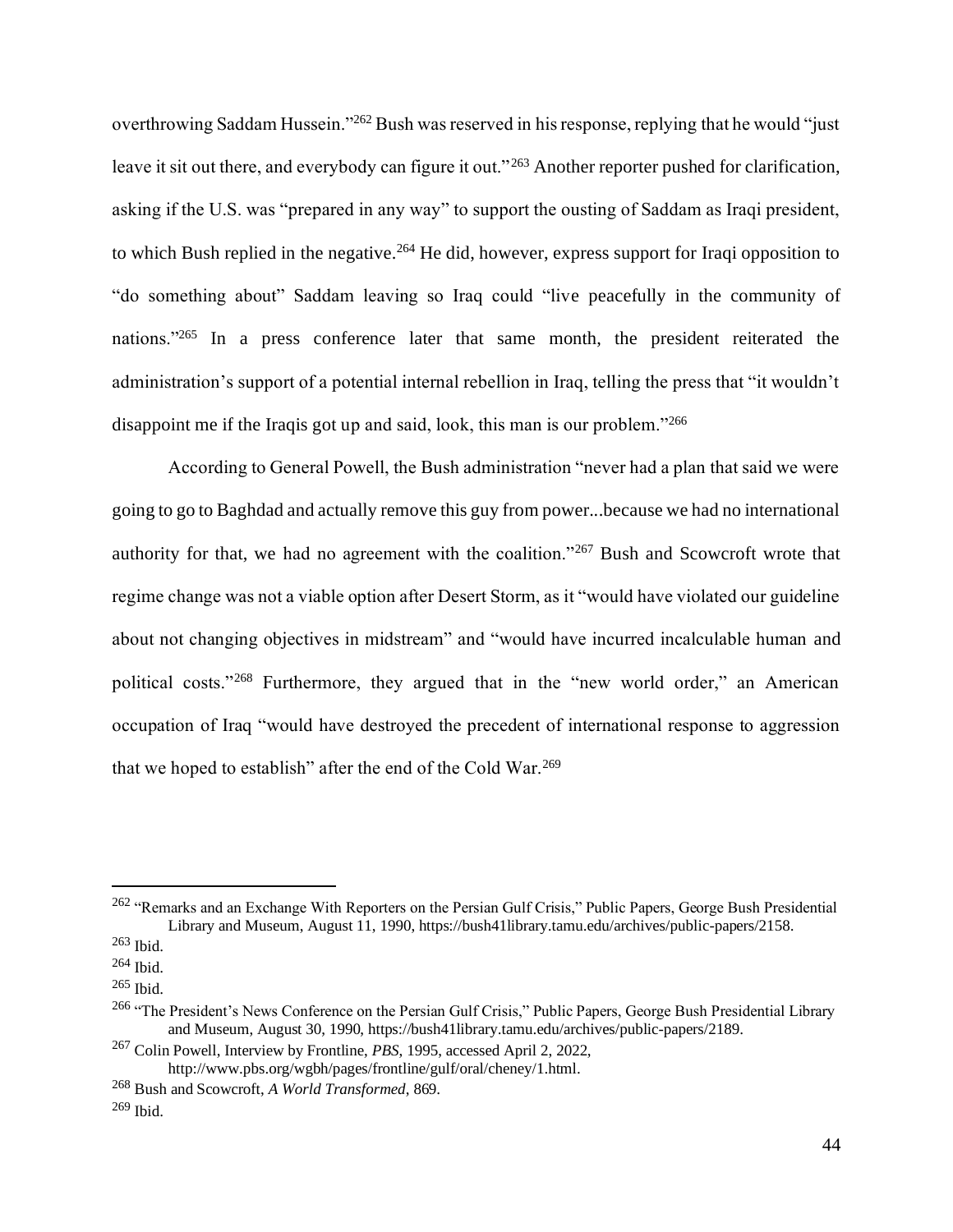overthrowing Saddam Hussein."<sup>262</sup> Bush was reserved in his response, replying that he would "just leave it sit out there, and everybody can figure it out."<sup>263</sup> Another reporter pushed for clarification, asking if the U.S. was "prepared in any way" to support the ousting of Saddam as Iraqi president, to which Bush replied in the negative.<sup>264</sup> He did, however, express support for Iraqi opposition to "do something about" Saddam leaving so Iraq could "live peacefully in the community of nations."<sup>265</sup> In a press conference later that same month, the president reiterated the administration's support of a potential internal rebellion in Iraq, telling the press that "it wouldn't disappoint me if the Iraqis got up and said, look, this man is our problem."<sup>266</sup>

According to General Powell, the Bush administration "never had a plan that said we were going to go to Baghdad and actually remove this guy from power...because we had no international authority for that, we had no agreement with the coalition."<sup>267</sup> Bush and Scowcroft wrote that regime change was not a viable option after Desert Storm, as it "would have violated our guideline about not changing objectives in midstream" and "would have incurred incalculable human and political costs."<sup>268</sup> Furthermore, they argued that in the "new world order," an American occupation of Iraq "would have destroyed the precedent of international response to aggression that we hoped to establish" after the end of the Cold War.<sup>269</sup>

<sup>&</sup>lt;sup>262</sup> "Remarks and an Exchange With Reporters on the Persian Gulf Crisis," Public Papers, George Bush Presidential Library and Museum, August 11, 1990, https://bush41library.tamu.edu/archives/public-papers/2158.

 $263$  Ibid.

<sup>264</sup> Ibid.

<sup>265</sup> Ibid.

<sup>&</sup>lt;sup>266</sup> "The President's News Conference on the Persian Gulf Crisis," Public Papers, George Bush Presidential Library and Museum, August 30, 1990, https://bush41library.tamu.edu/archives/public-papers/2189.

<sup>267</sup> Colin Powell, Interview by Frontline, *PBS*, 1995, accessed April 2, 2022, http://www.pbs.org/wgbh/pages/frontline/gulf/oral/cheney/1.html.

<sup>268</sup> Bush and Scowcroft, *A World Transformed*, 869.

<sup>269</sup> Ibid.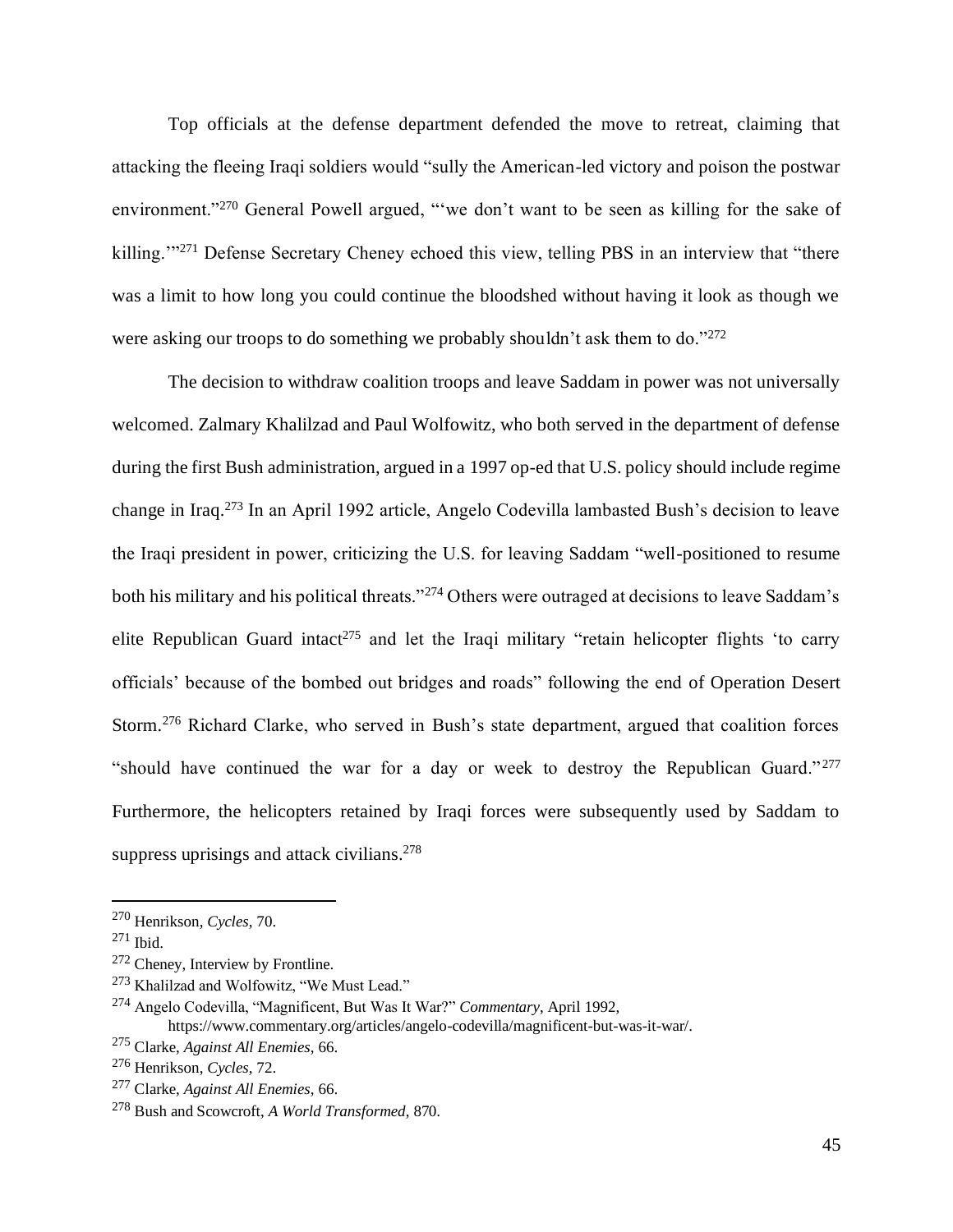Top officials at the defense department defended the move to retreat, claiming that attacking the fleeing Iraqi soldiers would "sully the American-led victory and poison the postwar environment."<sup>270</sup> General Powell argued, "'we don't want to be seen as killing for the sake of killing."<sup>271</sup> Defense Secretary Cheney echoed this view, telling PBS in an interview that "there was a limit to how long you could continue the bloodshed without having it look as though we were asking our troops to do something we probably shouldn't ask them to do."<sup>272</sup>

The decision to withdraw coalition troops and leave Saddam in power was not universally welcomed. Zalmary Khalilzad and Paul Wolfowitz, who both served in the department of defense during the first Bush administration, argued in a 1997 op-ed that U.S. policy should include regime change in Iraq.<sup>273</sup> In an April 1992 article, Angelo Codevilla lambasted Bush's decision to leave the Iraqi president in power, criticizing the U.S. for leaving Saddam "well-positioned to resume both his military and his political threats."<sup>274</sup> Others were outraged at decisions to leave Saddam's elite Republican Guard intact<sup>275</sup> and let the Iraqi military "retain helicopter flights 'to carry officials' because of the bombed out bridges and roads" following the end of Operation Desert Storm.<sup>276</sup> Richard Clarke, who served in Bush's state department, argued that coalition forces "should have continued the war for a day or week to destroy the Republican Guard."<sup>277</sup> Furthermore, the helicopters retained by Iraqi forces were subsequently used by Saddam to suppress uprisings and attack civilians.<sup>278</sup>

<sup>273</sup> Khalilzad and Wolfowitz, "We Must Lead."

<sup>270</sup> Henrikson, *Cycles*, 70.

<sup>271</sup> Ibid.

<sup>272</sup> Cheney, Interview by Frontline.

<sup>274</sup> Angelo Codevilla, "Magnificent, But Was It War?" *Commentary*, April 1992, https://www.commentary.org/articles/angelo-codevilla/magnificent-but-was-it-war/.

<sup>275</sup> Clarke, *Against All Enemies*, 66.

<sup>276</sup> Henrikson, *Cycles*, 72.

<sup>277</sup> Clarke, *Against All Enemies*, 66.

<sup>278</sup> Bush and Scowcroft, *A World Transformed*, 870.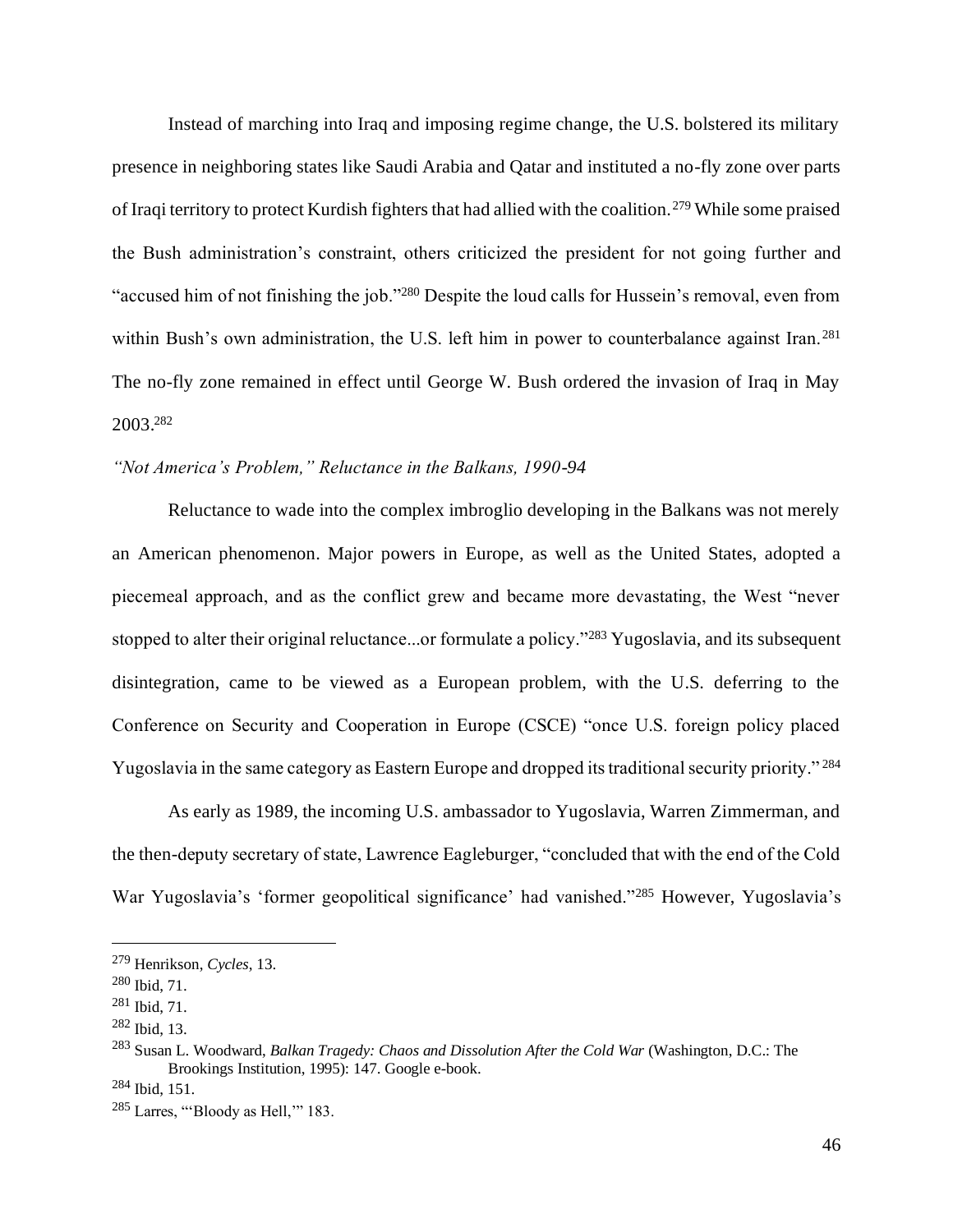Instead of marching into Iraq and imposing regime change, the U.S. bolstered its military presence in neighboring states like Saudi Arabia and Qatar and instituted a no-fly zone over parts of Iraqi territory to protect Kurdish fighters that had allied with the coalition.<sup>279</sup> While some praised the Bush administration's constraint, others criticized the president for not going further and "accused him of not finishing the job."<sup>280</sup> Despite the loud calls for Hussein's removal, even from within Bush's own administration, the U.S. left him in power to counterbalance against Iran.<sup>281</sup> The no-fly zone remained in effect until George W. Bush ordered the invasion of Iraq in May 2003.<sup>282</sup>

### *"Not America's Problem," Reluctance in the Balkans, 1990-94*

Reluctance to wade into the complex imbroglio developing in the Balkans was not merely an American phenomenon. Major powers in Europe, as well as the United States, adopted a piecemeal approach, and as the conflict grew and became more devastating, the West "never stopped to alter their original reluctance...or formulate a policy."<sup>283</sup> Yugoslavia, and its subsequent disintegration, came to be viewed as a European problem, with the U.S. deferring to the Conference on Security and Cooperation in Europe (CSCE) "once U.S. foreign policy placed Yugoslavia in the same category as Eastern Europe and dropped its traditional security priority." <sup>284</sup>

As early as 1989, the incoming U.S. ambassador to Yugoslavia, Warren Zimmerman, and the then-deputy secretary of state, Lawrence Eagleburger, "concluded that with the end of the Cold War Yugoslavia's 'former geopolitical significance' had vanished."<sup>285</sup> However, Yugoslavia's

<sup>279</sup> Henrikson, *Cycles*, 13.

<sup>280</sup> Ibid, 71.

<sup>281</sup> Ibid, 71.

<sup>282</sup> Ibid, 13.

<sup>283</sup> Susan L. Woodward, *Balkan Tragedy: Chaos and Dissolution After the Cold War* (Washington, D.C.: The Brookings Institution, 1995): 147. Google e-book.

<sup>284</sup> Ibid, 151.

 $285$  Larres, "Bloody as Hell," 183.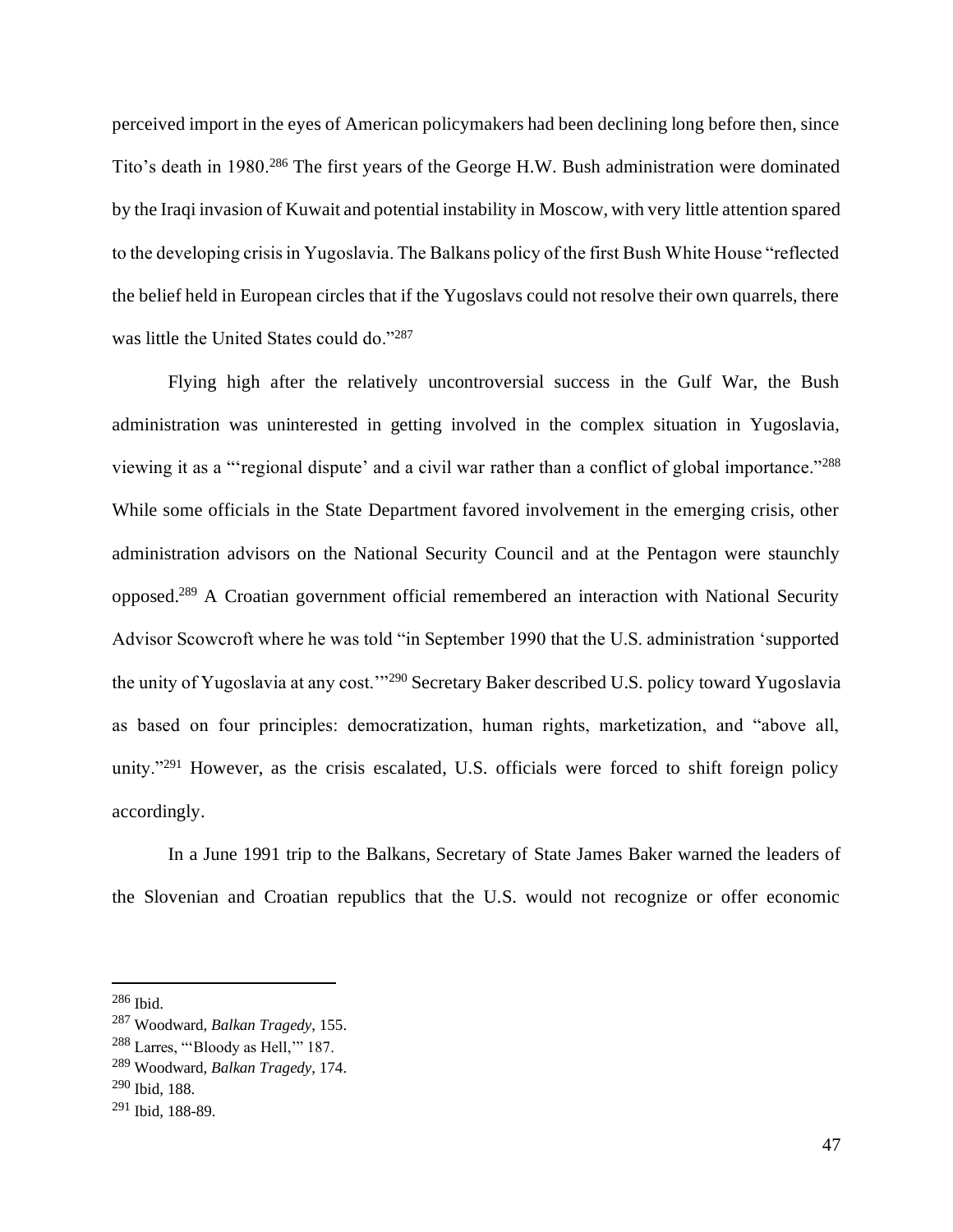perceived import in the eyes of American policymakers had been declining long before then, since Tito's death in 1980.<sup>286</sup> The first years of the George H.W. Bush administration were dominated by the Iraqi invasion of Kuwait and potential instability in Moscow, with very little attention spared to the developing crisis in Yugoslavia. The Balkans policy of the first Bush White House "reflected the belief held in European circles that if the Yugoslavs could not resolve their own quarrels, there was little the United States could do."287

Flying high after the relatively uncontroversial success in the Gulf War, the Bush administration was uninterested in getting involved in the complex situation in Yugoslavia, viewing it as a "'regional dispute' and a civil war rather than a conflict of global importance."<sup>288</sup> While some officials in the State Department favored involvement in the emerging crisis, other administration advisors on the National Security Council and at the Pentagon were staunchly opposed.<sup>289</sup> A Croatian government official remembered an interaction with National Security Advisor Scowcroft where he was told "in September 1990 that the U.S. administration 'supported the unity of Yugoslavia at any cost.'"<sup>290</sup> Secretary Baker described U.S. policy toward Yugoslavia as based on four principles: democratization, human rights, marketization, and "above all, unity."<sup>291</sup> However, as the crisis escalated, U.S. officials were forced to shift foreign policy accordingly.

In a June 1991 trip to the Balkans, Secretary of State James Baker warned the leaders of the Slovenian and Croatian republics that the U.S. would not recognize or offer economic

<sup>286</sup> Ibid.

<sup>287</sup> Woodward, *Balkan Tragedy*, 155.

<sup>288</sup> Larres, "'Bloody as Hell,'" 187.

<sup>289</sup> Woodward, *Balkan Tragedy*, 174.

<sup>290</sup> Ibid, 188.

<sup>291</sup> Ibid, 188-89.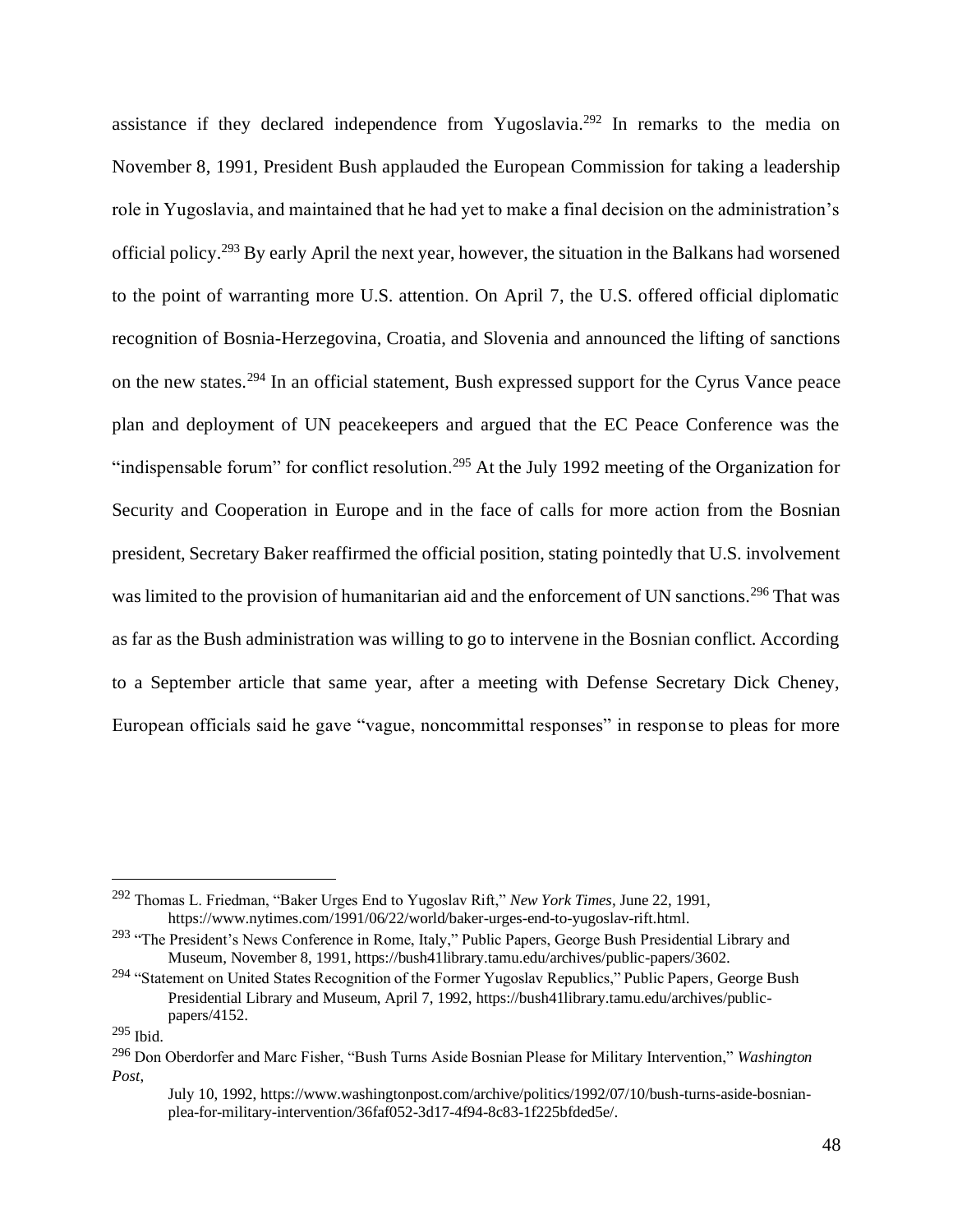assistance if they declared independence from Yugoslavia.<sup>292</sup> In remarks to the media on November 8, 1991, President Bush applauded the European Commission for taking a leadership role in Yugoslavia, and maintained that he had yet to make a final decision on the administration's official policy.<sup>293</sup> By early April the next year, however, the situation in the Balkans had worsened to the point of warranting more U.S. attention. On April 7, the U.S. offered official diplomatic recognition of Bosnia-Herzegovina, Croatia, and Slovenia and announced the lifting of sanctions on the new states.<sup>294</sup> In an official statement, Bush expressed support for the Cyrus Vance peace plan and deployment of UN peacekeepers and argued that the EC Peace Conference was the "indispensable forum" for conflict resolution.<sup>295</sup> At the July 1992 meeting of the Organization for Security and Cooperation in Europe and in the face of calls for more action from the Bosnian president, Secretary Baker reaffirmed the official position, stating pointedly that U.S. involvement was limited to the provision of humanitarian aid and the enforcement of UN sanctions.<sup>296</sup> That was as far as the Bush administration was willing to go to intervene in the Bosnian conflict. According to a September article that same year, after a meeting with Defense Secretary Dick Cheney, European officials said he gave "vague, noncommittal responses" in response to pleas for more

<sup>292</sup> Thomas L. Friedman, "Baker Urges End to Yugoslav Rift," *New York Times*, June 22, 1991, https://www.nytimes.com/1991/06/22/world/baker-urges-end-to-yugoslav-rift.html.

<sup>&</sup>lt;sup>293</sup> "The President's News Conference in Rome, Italy," Public Papers, George Bush Presidential Library and Museum, November 8, 1991, https://bush41library.tamu.edu/archives/public-papers/3602.

<sup>&</sup>lt;sup>294</sup> "Statement on United States Recognition of the Former Yugoslav Republics," Public Papers, George Bush Presidential Library and Museum, April 7, 1992, https://bush41library.tamu.edu/archives/publicpapers/4152.

<sup>295</sup> Ibid.

<sup>296</sup> Don Oberdorfer and Marc Fisher, "Bush Turns Aside Bosnian Please for Military Intervention," *Washington Post*,

July 10, 1992, https://www.washingtonpost.com/archive/politics/1992/07/10/bush-turns-aside-bosnianplea-for-military-intervention/36faf052-3d17-4f94-8c83-1f225bfded5e/.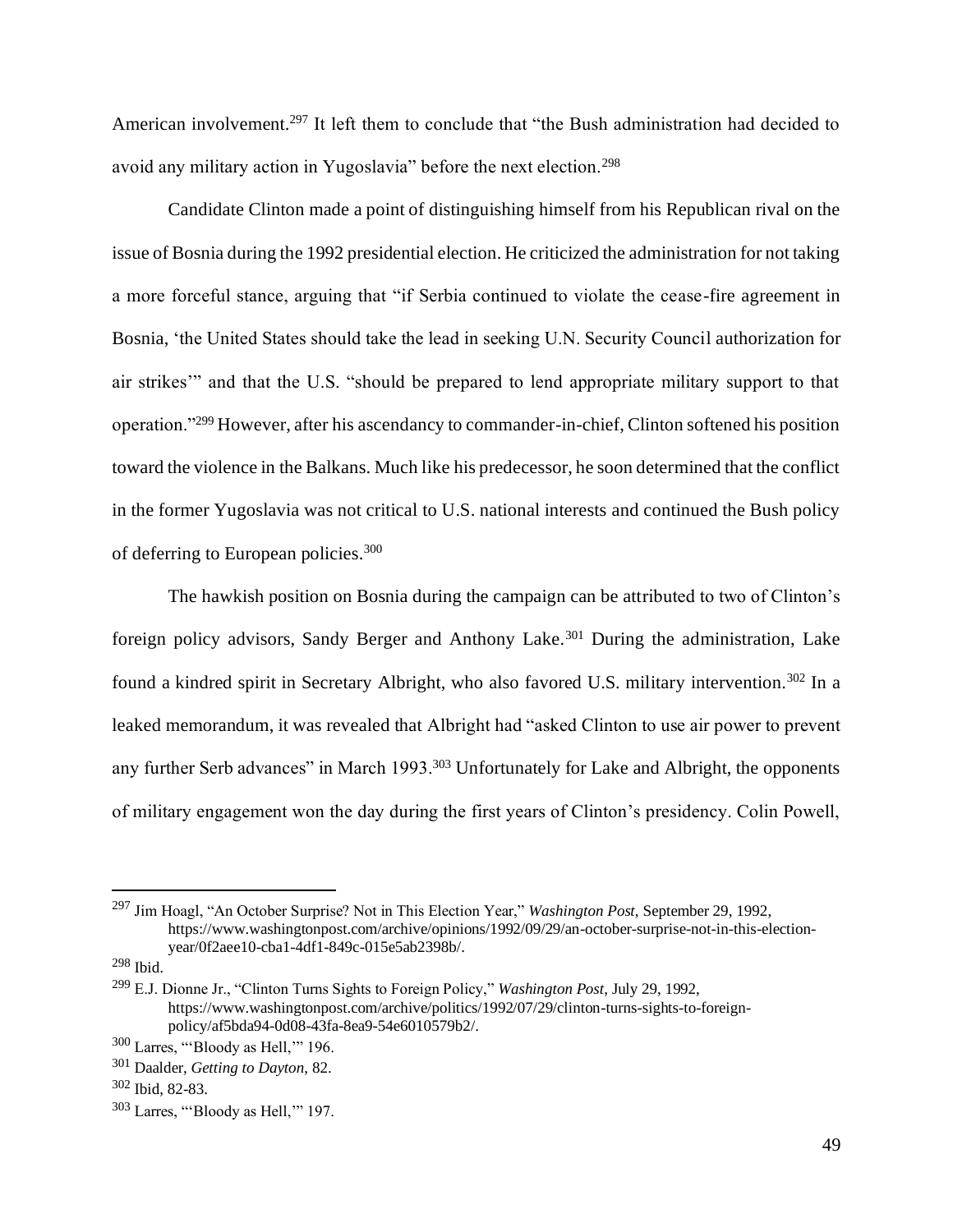American involvement.<sup>297</sup> It left them to conclude that "the Bush administration had decided to avoid any military action in Yugoslavia" before the next election.<sup>298</sup>

Candidate Clinton made a point of distinguishing himself from his Republican rival on the issue of Bosnia during the 1992 presidential election. He criticized the administration for not taking a more forceful stance, arguing that "if Serbia continued to violate the cease-fire agreement in Bosnia, 'the United States should take the lead in seeking U.N. Security Council authorization for air strikes'" and that the U.S. "should be prepared to lend appropriate military support to that operation."<sup>299</sup> However, after his ascendancy to commander-in-chief, Clinton softened his position toward the violence in the Balkans. Much like his predecessor, he soon determined that the conflict in the former Yugoslavia was not critical to U.S. national interests and continued the Bush policy of deferring to European policies.<sup>300</sup>

The hawkish position on Bosnia during the campaign can be attributed to two of Clinton's foreign policy advisors, Sandy Berger and Anthony Lake.<sup>301</sup> During the administration, Lake found a kindred spirit in Secretary Albright, who also favored U.S. military intervention.<sup>302</sup> In a leaked memorandum, it was revealed that Albright had "asked Clinton to use air power to prevent any further Serb advances" in March 1993.<sup>303</sup> Unfortunately for Lake and Albright, the opponents of military engagement won the day during the first years of Clinton's presidency. Colin Powell,

<sup>297</sup> Jim Hoagl, "An October Surprise? Not in This Election Year," *Washington Post*, September 29, 1992, https://www.washingtonpost.com/archive/opinions/1992/09/29/an-october-surprise-not-in-this-electionyear/0f2aee10-cba1-4df1-849c-015e5ab2398b/.

<sup>298</sup> Ibid.

<sup>299</sup> E.J. Dionne Jr., "Clinton Turns Sights to Foreign Policy," *Washington Post*, July 29, 1992, https://www.washingtonpost.com/archive/politics/1992/07/29/clinton-turns-sights-to-foreignpolicy/af5bda94-0d08-43fa-8ea9-54e6010579b2/.

<sup>300</sup> Larres, "'Bloody as Hell,'" 196.

<sup>301</sup> Daalder, *Getting to Dayton*, 82.

<sup>302</sup> Ibid, 82-83.

<sup>303</sup> Larres, "'Bloody as Hell,'" 197.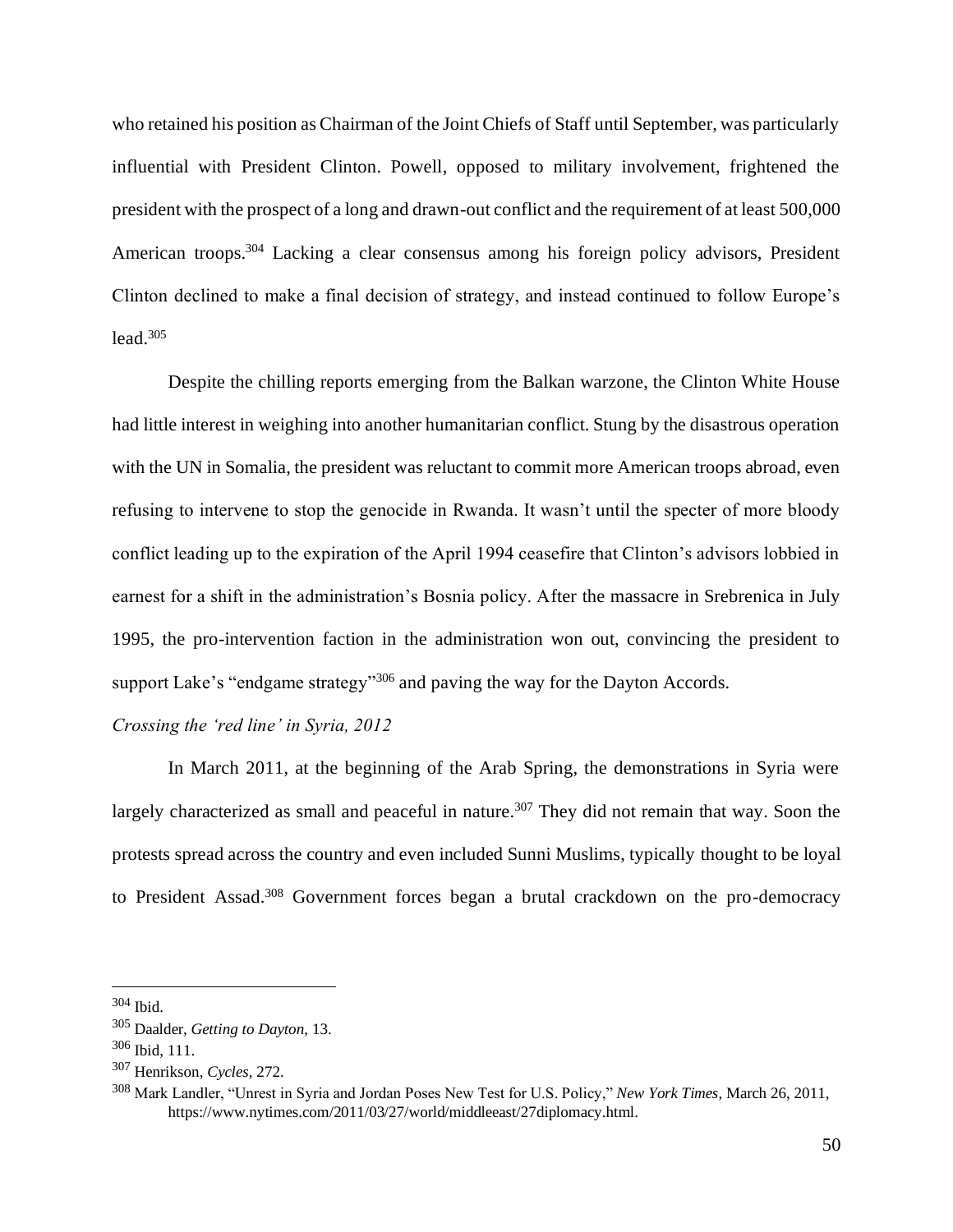who retained his position as Chairman of the Joint Chiefs of Staff until September, was particularly influential with President Clinton. Powell, opposed to military involvement, frightened the president with the prospect of a long and drawn-out conflict and the requirement of at least 500,000 American troops.<sup>304</sup> Lacking a clear consensus among his foreign policy advisors, President Clinton declined to make a final decision of strategy, and instead continued to follow Europe's  $lead.305$ 

Despite the chilling reports emerging from the Balkan warzone, the Clinton White House had little interest in weighing into another humanitarian conflict. Stung by the disastrous operation with the UN in Somalia, the president was reluctant to commit more American troops abroad, even refusing to intervene to stop the genocide in Rwanda. It wasn't until the specter of more bloody conflict leading up to the expiration of the April 1994 ceasefire that Clinton's advisors lobbied in earnest for a shift in the administration's Bosnia policy. After the massacre in Srebrenica in July 1995, the pro-intervention faction in the administration won out, convincing the president to support Lake's "endgame strategy"<sup>306</sup> and paving the way for the Dayton Accords.

#### *Crossing the 'red line' in Syria, 2012*

In March 2011, at the beginning of the Arab Spring, the demonstrations in Syria were largely characterized as small and peaceful in nature.<sup>307</sup> They did not remain that way. Soon the protests spread across the country and even included Sunni Muslims, typically thought to be loyal to President Assad.<sup>308</sup> Government forces began a brutal crackdown on the pro-democracy

<sup>304</sup> Ibid.

<sup>305</sup> Daalder, *Getting to Dayton*, 13.

<sup>306</sup> Ibid, 111.

<sup>307</sup> Henrikson, *Cycles*, 272.

<sup>308</sup> Mark Landler, "Unrest in Syria and Jordan Poses New Test for U.S. Policy," *New York Times*, March 26, 2011, https://www.nytimes.com/2011/03/27/world/middleeast/27diplomacy.html.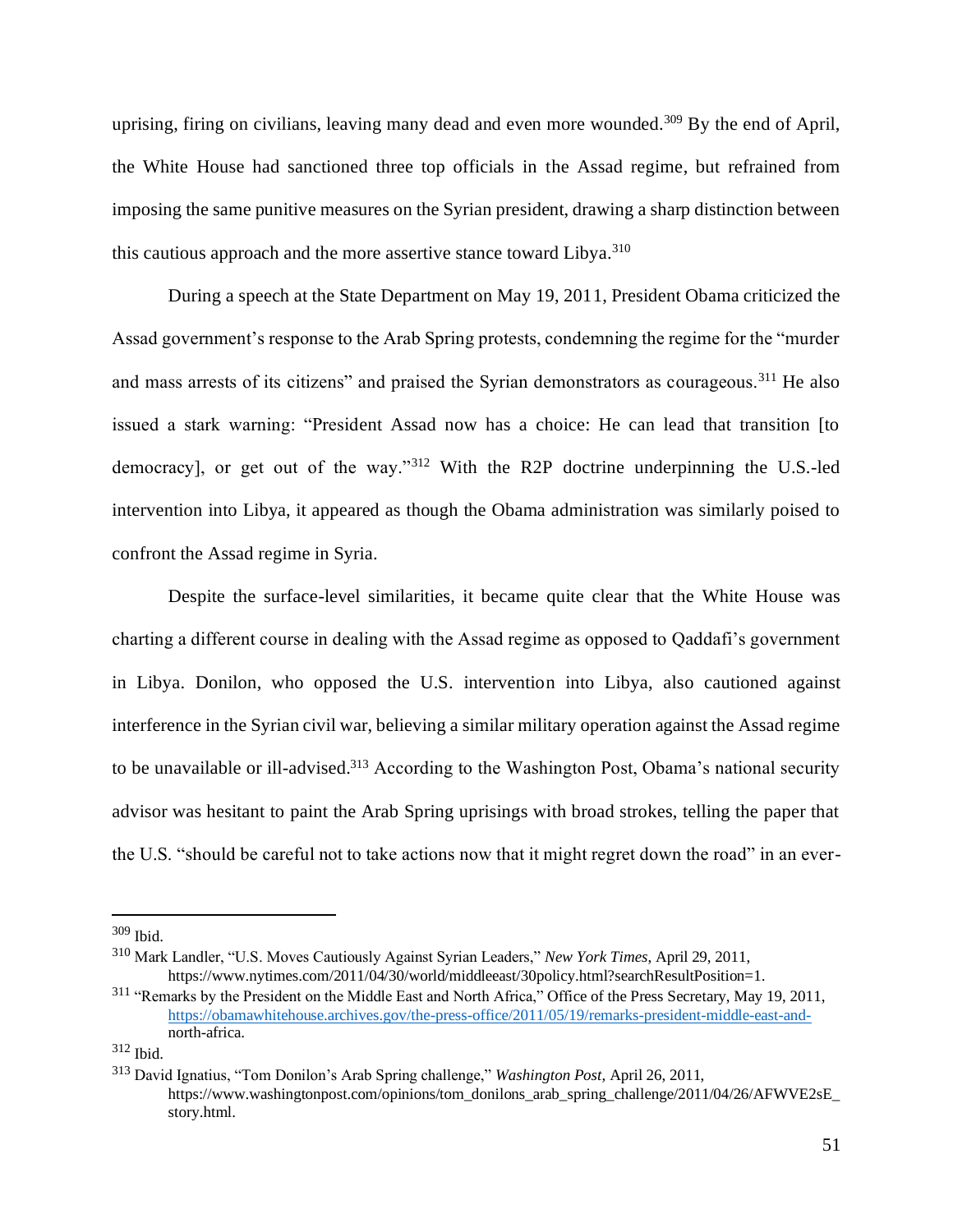uprising, firing on civilians, leaving many dead and even more wounded.<sup>309</sup> By the end of April, the White House had sanctioned three top officials in the Assad regime, but refrained from imposing the same punitive measures on the Syrian president, drawing a sharp distinction between this cautious approach and the more assertive stance toward Libya.<sup>310</sup>

During a speech at the State Department on May 19, 2011, President Obama criticized the Assad government's response to the Arab Spring protests, condemning the regime for the "murder and mass arrests of its citizens" and praised the Syrian demonstrators as courageous.<sup>311</sup> He also issued a stark warning: "President Assad now has a choice: He can lead that transition [to democracy], or get out of the way."<sup>312</sup> With the R2P doctrine underpinning the U.S.-led intervention into Libya, it appeared as though the Obama administration was similarly poised to confront the Assad regime in Syria.

Despite the surface-level similarities, it became quite clear that the White House was charting a different course in dealing with the Assad regime as opposed to Qaddafi's government in Libya. Donilon, who opposed the U.S. intervention into Libya, also cautioned against interference in the Syrian civil war, believing a similar military operation against the Assad regime to be unavailable or ill-advised.<sup>313</sup> According to the Washington Post, Obama's national security advisor was hesitant to paint the Arab Spring uprisings with broad strokes, telling the paper that the U.S. "should be careful not to take actions now that it might regret down the road" in an ever-

<sup>309</sup> Ibid.

<sup>310</sup> Mark Landler, "U.S. Moves Cautiously Against Syrian Leaders," *New York Times*, April 29, 2011, https://www.nytimes.com/2011/04/30/world/middleeast/30policy.html?searchResultPosition=1.

<sup>311</sup> "Remarks by the President on the Middle East and North Africa," Office of the Press Secretary, May 19, 2011, [https://obamawhitehouse.archives.gov/the-press-office/2011/05/19/remarks-president-middle-east-and](https://obamawhitehouse.archives.gov/the-press-office/2011/05/19/remarks-president-middle-east-and-)north-africa.

<sup>312</sup> Ibid.

<sup>313</sup> David Ignatius, "Tom Donilon's Arab Spring challenge," *Washington Post*, April 26, 2011, https://www.washingtonpost.com/opinions/tom\_donilons\_arab\_spring\_challenge/2011/04/26/AFWVE2sE story.html.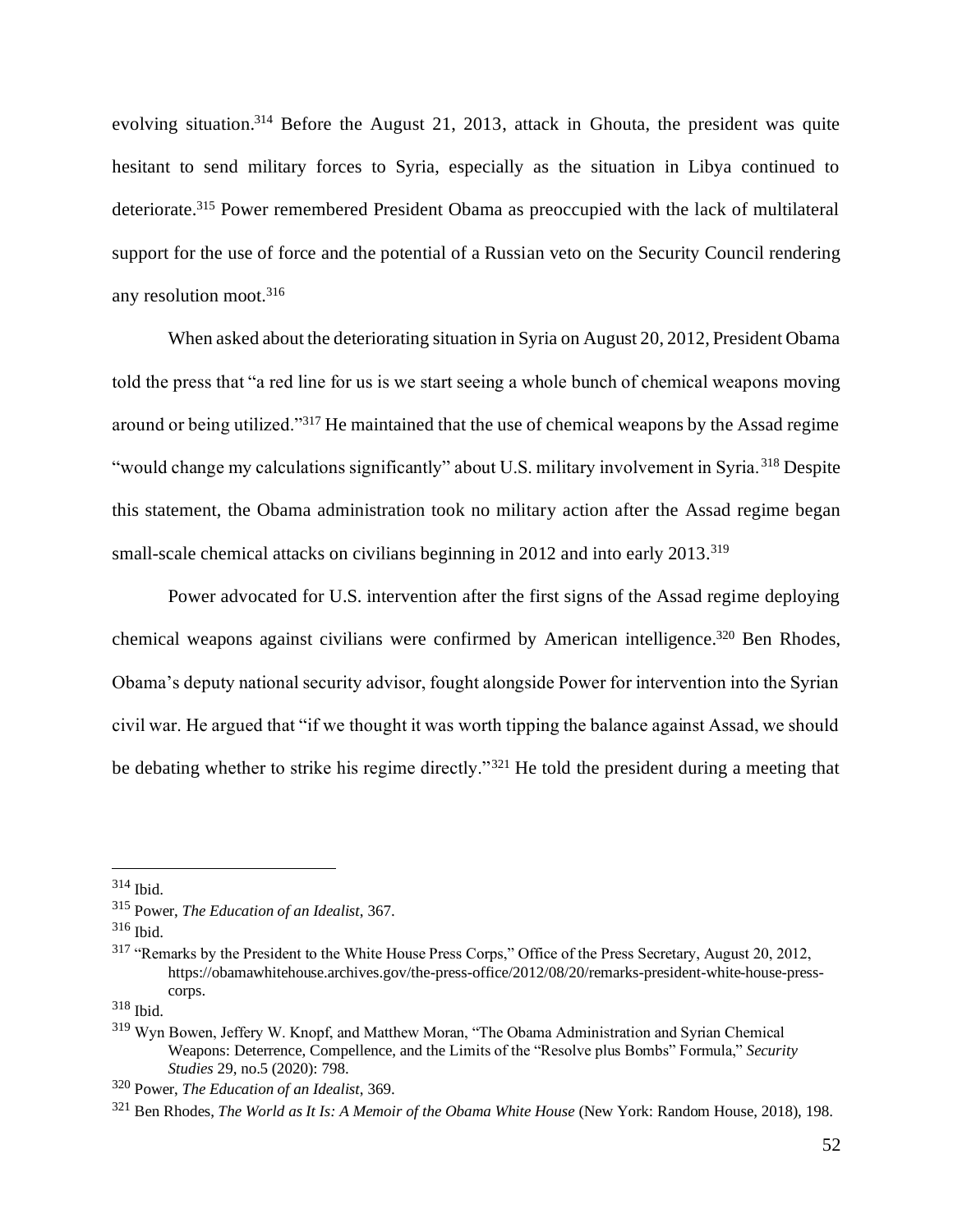evolving situation.<sup>314</sup> Before the August 21, 2013, attack in Ghouta, the president was quite hesitant to send military forces to Syria, especially as the situation in Libya continued to deteriorate.<sup>315</sup> Power remembered President Obama as preoccupied with the lack of multilateral support for the use of force and the potential of a Russian veto on the Security Council rendering any resolution moot.<sup>316</sup>

When asked about the deteriorating situation in Syria on August 20, 2012, President Obama told the press that "a red line for us is we start seeing a whole bunch of chemical weapons moving around or being utilized."<sup>317</sup> He maintained that the use of chemical weapons by the Assad regime "would change my calculations significantly" about U.S. military involvement in Syria. <sup>318</sup> Despite this statement, the Obama administration took no military action after the Assad regime began small-scale chemical attacks on civilians beginning in 2012 and into early 2013.<sup>319</sup>

Power advocated for U.S. intervention after the first signs of the Assad regime deploying chemical weapons against civilians were confirmed by American intelligence.<sup>320</sup> Ben Rhodes, Obama's deputy national security advisor, fought alongside Power for intervention into the Syrian civil war. He argued that "if we thought it was worth tipping the balance against Assad, we should be debating whether to strike his regime directly."<sup>321</sup> He told the president during a meeting that

 $314$  Ibid.

<sup>315</sup> Power, *The Education of an Idealist*, 367.

 $316$  Ibid.

<sup>317</sup> "Remarks by the President to the White House Press Corps," Office of the Press Secretary, August 20, 2012, https://obamawhitehouse.archives.gov/the-press-office/2012/08/20/remarks-president-white-house-presscorps.

<sup>318</sup> Ibid.

<sup>319</sup> Wyn Bowen, Jeffery W. Knopf, and Matthew Moran, "The Obama Administration and Syrian Chemical Weapons: Deterrence, Compellence, and the Limits of the "Resolve plus Bombs" Formula," *Security Studies* 29, no.5 (2020): 798.

<sup>320</sup> Power, *The Education of an Idealist*, 369.

<sup>321</sup> Ben Rhodes, *The World as It Is: A Memoir of the Obama White House* (New York: Random House, 2018), 198.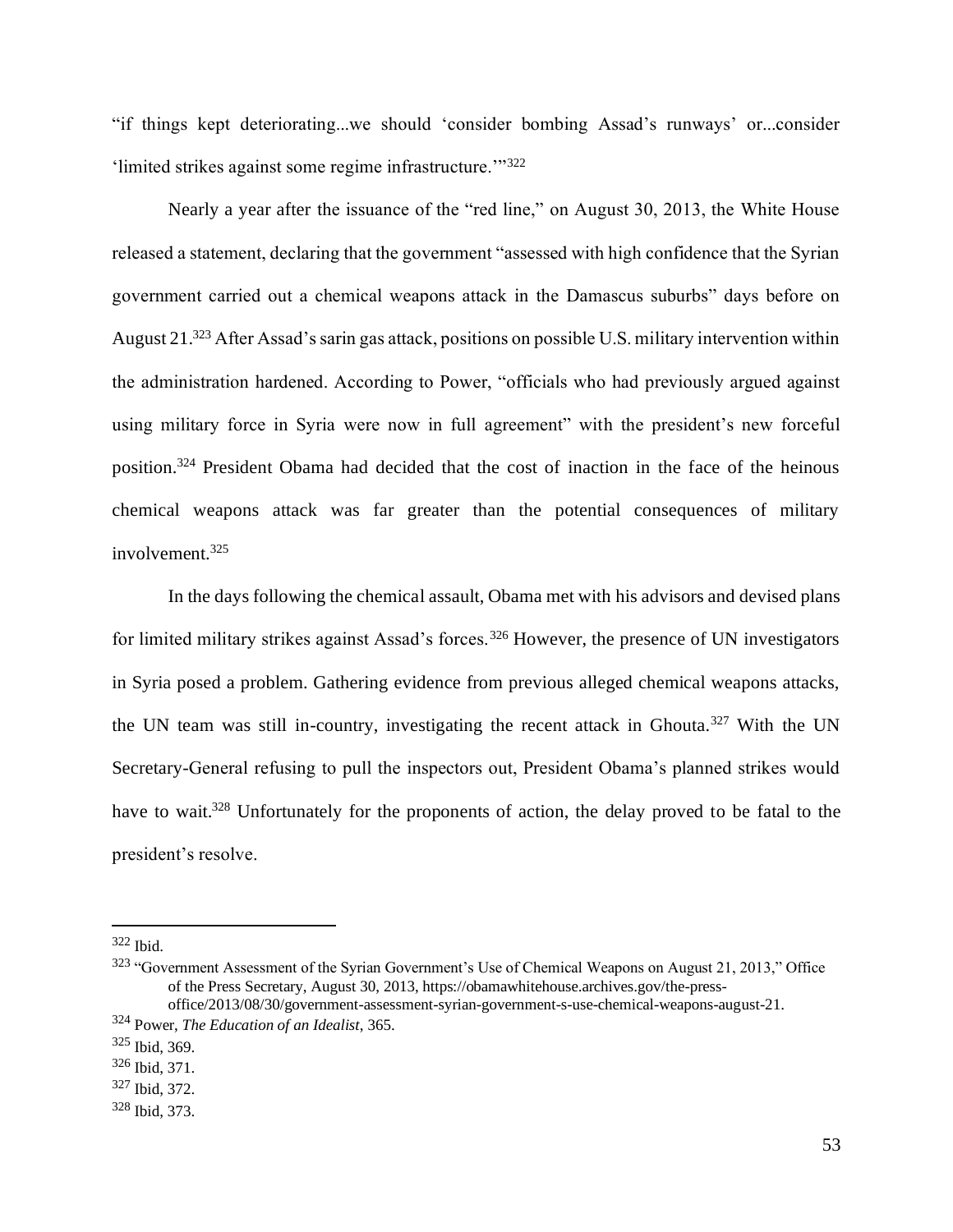"if things kept deteriorating...we should 'consider bombing Assad's runways' or...consider 'limited strikes against some regime infrastructure.'"<sup>322</sup>

Nearly a year after the issuance of the "red line," on August 30, 2013, the White House released a statement, declaring that the government "assessed with high confidence that the Syrian government carried out a chemical weapons attack in the Damascus suburbs" days before on August 21.<sup>323</sup> After Assad's sarin gas attack, positions on possible U.S. military intervention within the administration hardened. According to Power, "officials who had previously argued against using military force in Syria were now in full agreement" with the president's new forceful position.<sup>324</sup> President Obama had decided that the cost of inaction in the face of the heinous chemical weapons attack was far greater than the potential consequences of military involvement.<sup>325</sup>

In the days following the chemical assault, Obama met with his advisors and devised plans for limited military strikes against Assad's forces.<sup>326</sup> However, the presence of UN investigators in Syria posed a problem. Gathering evidence from previous alleged chemical weapons attacks, the UN team was still in-country, investigating the recent attack in Ghouta.<sup>327</sup> With the UN Secretary-General refusing to pull the inspectors out, President Obama's planned strikes would have to wait.<sup>328</sup> Unfortunately for the proponents of action, the delay proved to be fatal to the president's resolve.

<sup>322</sup> Ibid.

<sup>323</sup> "Government Assessment of the Syrian Government's Use of Chemical Weapons on August 21, 2013," Office of the Press Secretary, August 30, 2013, https://obamawhitehouse.archives.gov/the-pressoffice/2013/08/30/government-assessment-syrian-government-s-use-chemical-weapons-august-21.

<sup>324</sup> Power, *The Education of an Idealist*, 365.

<sup>325</sup> Ibid, 369.

<sup>326</sup> Ibid, 371.

<sup>327</sup> Ibid, 372.

<sup>328</sup> Ibid, 373.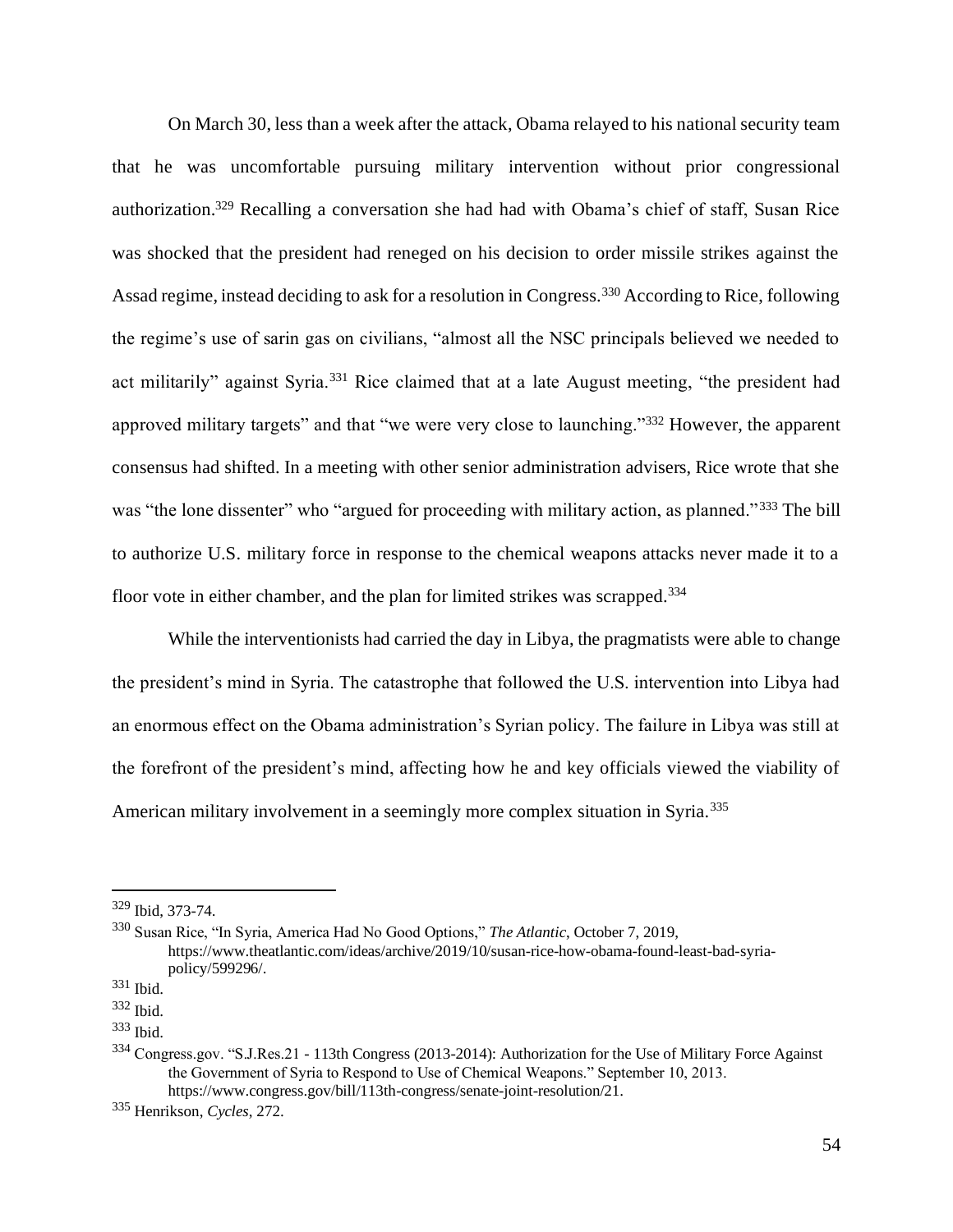On March 30, less than a week after the attack, Obama relayed to his national security team that he was uncomfortable pursuing military intervention without prior congressional authorization.<sup>329</sup> Recalling a conversation she had had with Obama's chief of staff, Susan Rice was shocked that the president had reneged on his decision to order missile strikes against the Assad regime, instead deciding to ask for a resolution in Congress.<sup>330</sup> According to Rice, following the regime's use of sarin gas on civilians, "almost all the NSC principals believed we needed to act militarily" against Syria.<sup>331</sup> Rice claimed that at a late August meeting, "the president had approved military targets" and that "we were very close to launching."<sup>332</sup> However, the apparent consensus had shifted. In a meeting with other senior administration advisers, Rice wrote that she was "the lone dissenter" who "argued for proceeding with military action, as planned."<sup>333</sup> The bill to authorize U.S. military force in response to the chemical weapons attacks never made it to a floor vote in either chamber, and the plan for limited strikes was scrapped.<sup>334</sup>

While the interventionists had carried the day in Libya, the pragmatists were able to change the president's mind in Syria. The catastrophe that followed the U.S. intervention into Libya had an enormous effect on the Obama administration's Syrian policy. The failure in Libya was still at the forefront of the president's mind, affecting how he and key officials viewed the viability of American military involvement in a seemingly more complex situation in Syria.<sup>335</sup>

<sup>329</sup> Ibid, 373-74.

<sup>330</sup> Susan Rice, "In Syria, America Had No Good Options," *The Atlantic*, October 7, 2019, https://www.theatlantic.com/ideas/archive/2019/10/susan-rice-how-obama-found-least-bad-syriapolicy/599296/.

<sup>331</sup> Ibid.

<sup>332</sup> Ibid.

 $333$  Ibid.

<sup>334</sup> Congress.gov. "S.J.Res.21 - 113th Congress (2013-2014): Authorization for the Use of Military Force Against the Government of Syria to Respond to Use of Chemical Weapons." September 10, 2013. https://www.congress.gov/bill/113th-congress/senate-joint-resolution/21.

<sup>335</sup> Henrikson, *Cycles*, 272.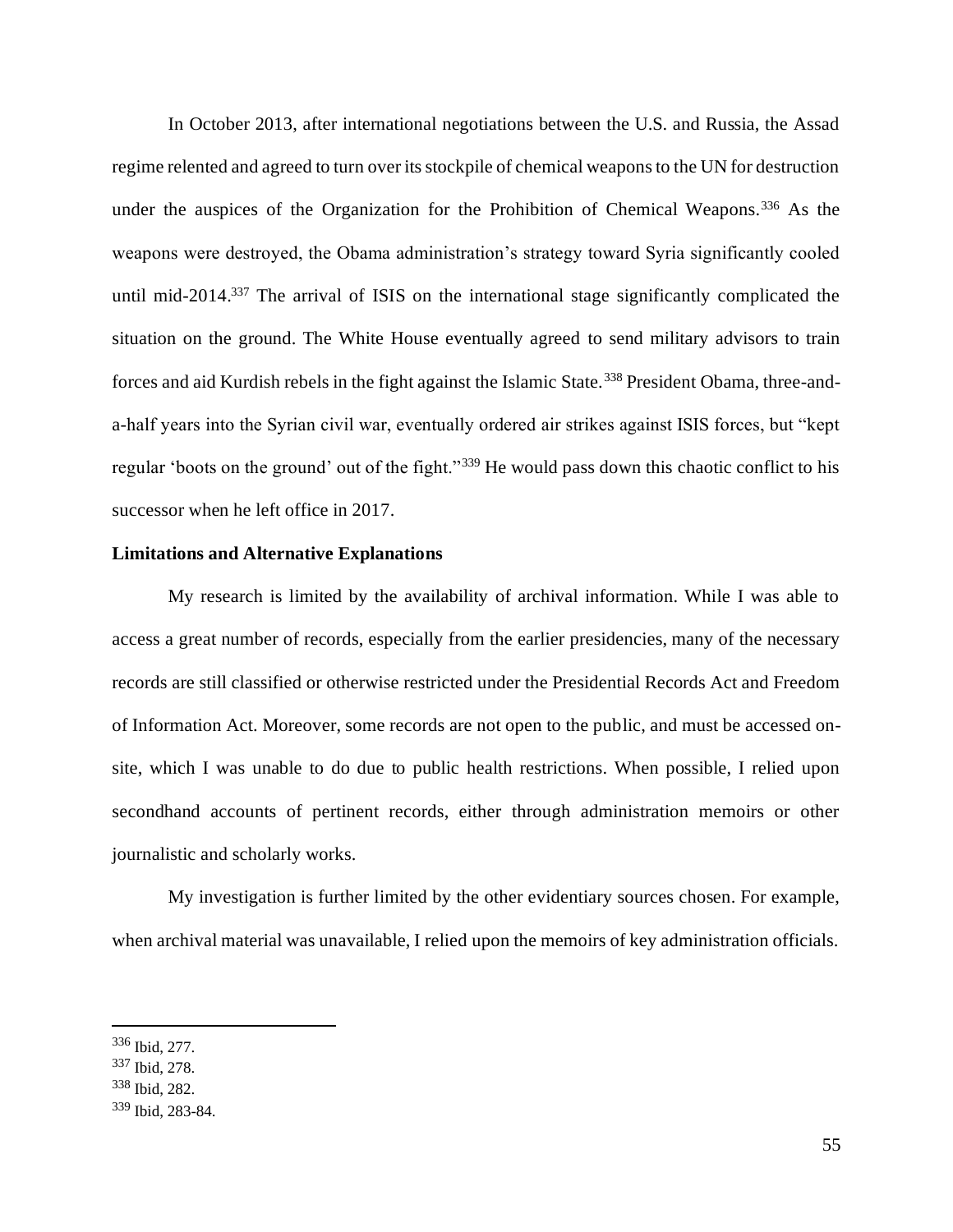In October 2013, after international negotiations between the U.S. and Russia, the Assad regime relented and agreed to turn over its stockpile of chemical weapons to the UN for destruction under the auspices of the Organization for the Prohibition of Chemical Weapons.<sup>336</sup> As the weapons were destroyed, the Obama administration's strategy toward Syria significantly cooled until mid-2014.<sup>337</sup> The arrival of ISIS on the international stage significantly complicated the situation on the ground. The White House eventually agreed to send military advisors to train forces and aid Kurdish rebels in the fight against the Islamic State.<sup>338</sup> President Obama, three-anda-half years into the Syrian civil war, eventually ordered air strikes against ISIS forces, but "kept regular 'boots on the ground' out of the fight."<sup>339</sup> He would pass down this chaotic conflict to his successor when he left office in 2017.

#### **Limitations and Alternative Explanations**

My research is limited by the availability of archival information. While I was able to access a great number of records, especially from the earlier presidencies, many of the necessary records are still classified or otherwise restricted under the Presidential Records Act and Freedom of Information Act. Moreover, some records are not open to the public, and must be accessed onsite, which I was unable to do due to public health restrictions. When possible, I relied upon secondhand accounts of pertinent records, either through administration memoirs or other journalistic and scholarly works.

My investigation is further limited by the other evidentiary sources chosen. For example, when archival material was unavailable, I relied upon the memoirs of key administration officials.

<sup>336</sup> Ibid, 277.

<sup>337</sup> Ibid, 278.

<sup>338</sup> Ibid, 282.

<sup>339</sup> Ibid, 283-84.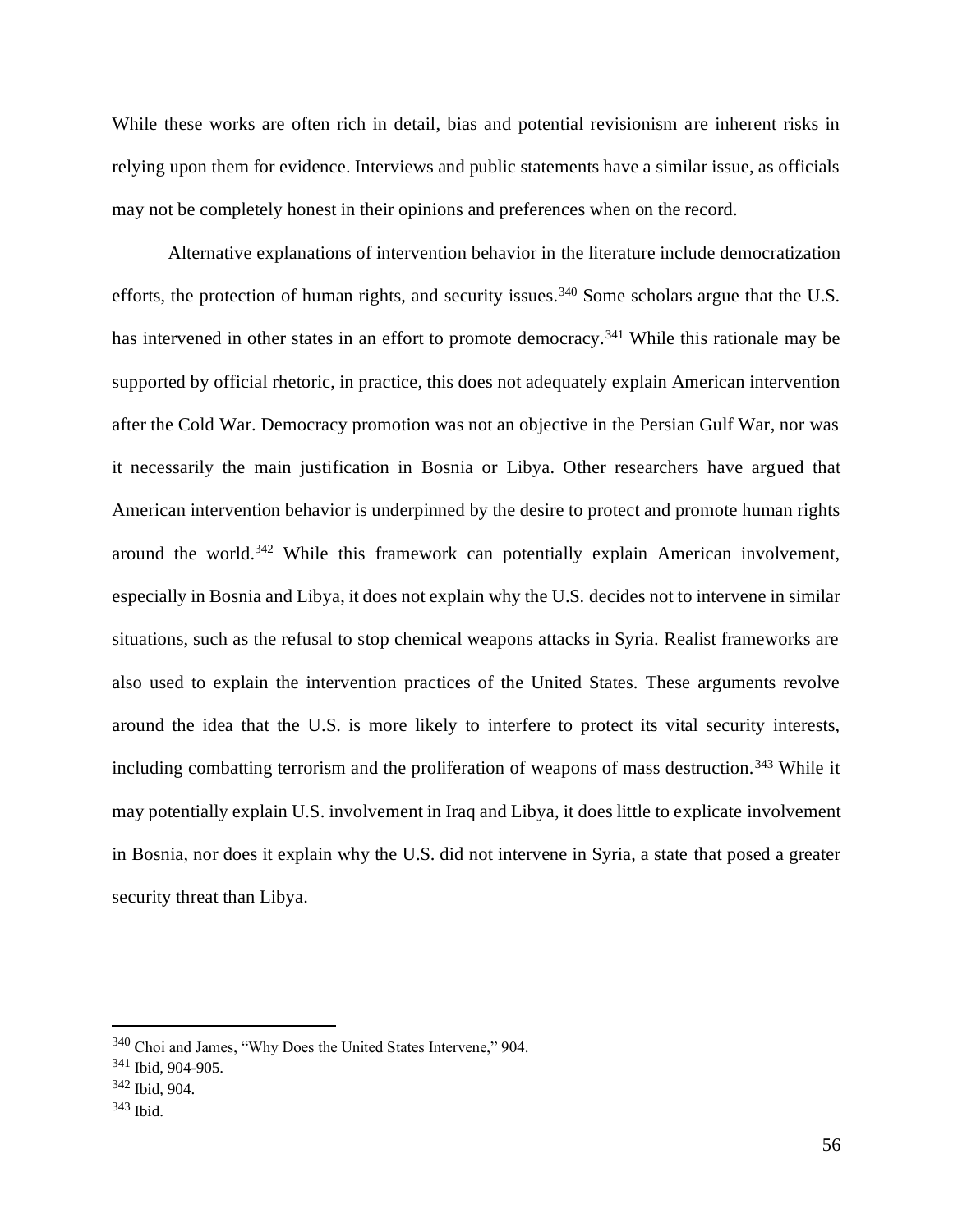While these works are often rich in detail, bias and potential revisionism are inherent risks in relying upon them for evidence. Interviews and public statements have a similar issue, as officials may not be completely honest in their opinions and preferences when on the record.

Alternative explanations of intervention behavior in the literature include democratization efforts, the protection of human rights, and security issues.<sup>340</sup> Some scholars argue that the U.S. has intervened in other states in an effort to promote democracy.<sup>341</sup> While this rationale may be supported by official rhetoric, in practice, this does not adequately explain American intervention after the Cold War. Democracy promotion was not an objective in the Persian Gulf War, nor was it necessarily the main justification in Bosnia or Libya. Other researchers have argued that American intervention behavior is underpinned by the desire to protect and promote human rights around the world.<sup>342</sup> While this framework can potentially explain American involvement, especially in Bosnia and Libya, it does not explain why the U.S. decides not to intervene in similar situations, such as the refusal to stop chemical weapons attacks in Syria. Realist frameworks are also used to explain the intervention practices of the United States. These arguments revolve around the idea that the U.S. is more likely to interfere to protect its vital security interests, including combatting terrorism and the proliferation of weapons of mass destruction.<sup>343</sup> While it may potentially explain U.S. involvement in Iraq and Libya, it does little to explicate involvement in Bosnia, nor does it explain why the U.S. did not intervene in Syria, a state that posed a greater security threat than Libya.

<sup>340</sup> Choi and James, "Why Does the United States Intervene," 904.

<sup>341</sup> Ibid, 904-905.

<sup>342</sup> Ibid, 904.

<sup>343</sup> Ibid.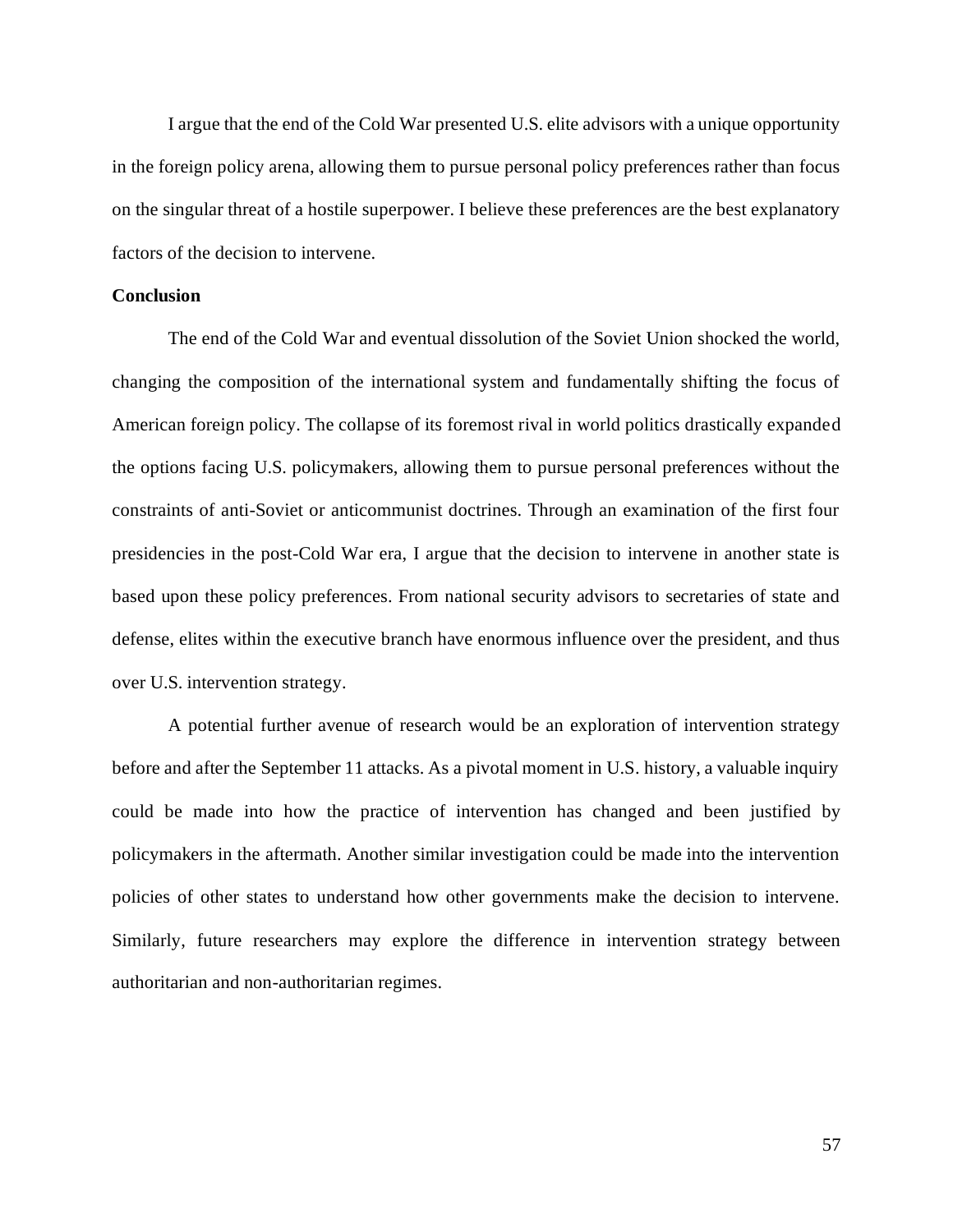I argue that the end of the Cold War presented U.S. elite advisors with a unique opportunity in the foreign policy arena, allowing them to pursue personal policy preferences rather than focus on the singular threat of a hostile superpower. I believe these preferences are the best explanatory factors of the decision to intervene.

#### **Conclusion**

The end of the Cold War and eventual dissolution of the Soviet Union shocked the world, changing the composition of the international system and fundamentally shifting the focus of American foreign policy. The collapse of its foremost rival in world politics drastically expanded the options facing U.S. policymakers, allowing them to pursue personal preferences without the constraints of anti-Soviet or anticommunist doctrines. Through an examination of the first four presidencies in the post-Cold War era, I argue that the decision to intervene in another state is based upon these policy preferences. From national security advisors to secretaries of state and defense, elites within the executive branch have enormous influence over the president, and thus over U.S. intervention strategy.

A potential further avenue of research would be an exploration of intervention strategy before and after the September 11 attacks. As a pivotal moment in U.S. history, a valuable inquiry could be made into how the practice of intervention has changed and been justified by policymakers in the aftermath. Another similar investigation could be made into the intervention policies of other states to understand how other governments make the decision to intervene. Similarly, future researchers may explore the difference in intervention strategy between authoritarian and non-authoritarian regimes.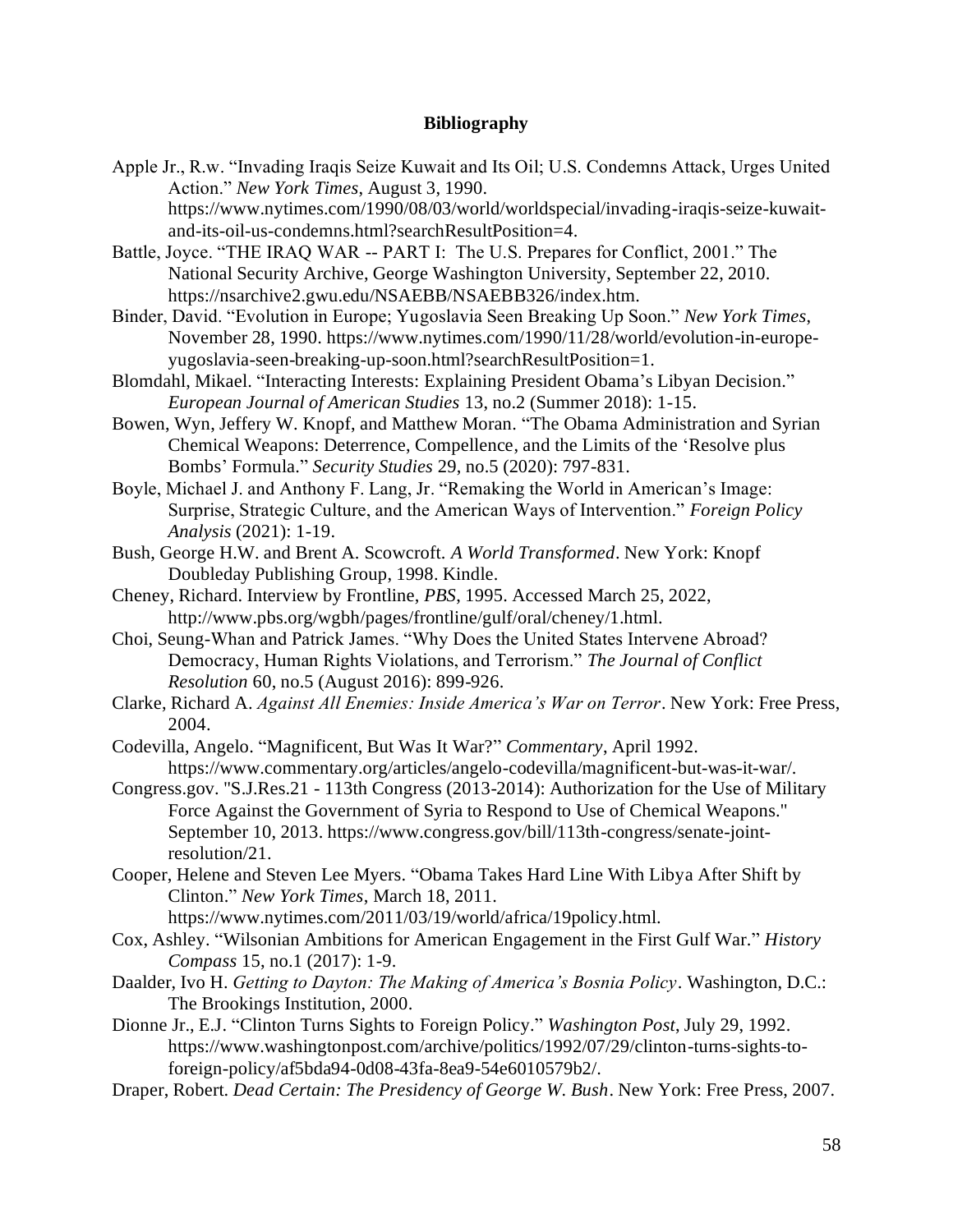### **Bibliography**

Apple Jr., R.w. "Invading Iraqis Seize Kuwait and Its Oil; U.S. Condemns Attack, Urges United Action." *New York Times*, August 3, 1990.

https://www.nytimes.com/1990/08/03/world/worldspecial/invading-iraqis-seize-kuwaitand-its-oil-us-condemns.html?searchResultPosition=4.

- Battle, Joyce. "THE IRAQ WAR -- PART I: The U.S. Prepares for Conflict, 2001." The National Security Archive, George Washington University, September 22, 2010. https://nsarchive2.gwu.edu/NSAEBB/NSAEBB326/index.htm.
- Binder, David. "Evolution in Europe; Yugoslavia Seen Breaking Up Soon." *New York Times*, November 28, 1990. https://www.nytimes.com/1990/11/28/world/evolution-in-europeyugoslavia-seen-breaking-up-soon.html?searchResultPosition=1.
- Blomdahl, Mikael. "Interacting Interests: Explaining President Obama's Libyan Decision." *European Journal of American Studies* 13, no.2 (Summer 2018): 1-15.
- Bowen, Wyn, Jeffery W. Knopf, and Matthew Moran. "The Obama Administration and Syrian Chemical Weapons: Deterrence, Compellence, and the Limits of the 'Resolve plus Bombs' Formula." *Security Studies* 29, no.5 (2020): 797-831.
- Boyle, Michael J. and Anthony F. Lang, Jr. "Remaking the World in American's Image: Surprise, Strategic Culture, and the American Ways of Intervention." *Foreign Policy Analysis* (2021): 1-19.
- Bush, George H.W. and Brent A. Scowcroft. *A World Transformed*. New York: Knopf Doubleday Publishing Group, 1998. Kindle.
- Cheney, Richard. Interview by Frontline, *PBS*, 1995. Accessed March 25, 2022, http://www.pbs.org/wgbh/pages/frontline/gulf/oral/cheney/1.html.
- Choi, Seung-Whan and Patrick James. "Why Does the United States Intervene Abroad? Democracy, Human Rights Violations, and Terrorism." *The Journal of Conflict Resolution* 60, no.5 (August 2016): 899-926.
- Clarke, Richard A. *Against All Enemies: Inside America's War on Terror*. New York: Free Press, 2004.
- Codevilla, Angelo. "Magnificent, But Was It War?" *Commentary*, April 1992. https://www.commentary.org/articles/angelo-codevilla/magnificent-but-was-it-war/.
- Congress.gov. "S.J.Res.21 113th Congress (2013-2014): Authorization for the Use of Military Force Against the Government of Syria to Respond to Use of Chemical Weapons." September 10, 2013. https://www.congress.gov/bill/113th-congress/senate-jointresolution/21.
- Cooper, Helene and Steven Lee Myers. "Obama Takes Hard Line With Libya After Shift by Clinton." *New York Times*, March 18, 2011.

https://www.nytimes.com/2011/03/19/world/africa/19policy.html.

- Cox, Ashley. "Wilsonian Ambitions for American Engagement in the First Gulf War." *History Compass* 15, no.1 (2017): 1-9.
- Daalder, Ivo H. *Getting to Dayton: The Making of America's Bosnia Policy*. Washington, D.C.: The Brookings Institution, 2000.
- Dionne Jr., E.J. "Clinton Turns Sights to Foreign Policy." *Washington Post*, July 29, 1992. https://www.washingtonpost.com/archive/politics/1992/07/29/clinton-turns-sights-toforeign-policy/af5bda94-0d08-43fa-8ea9-54e6010579b2/.
- Draper, Robert. *Dead Certain: The Presidency of George W. Bush*. New York: Free Press, 2007.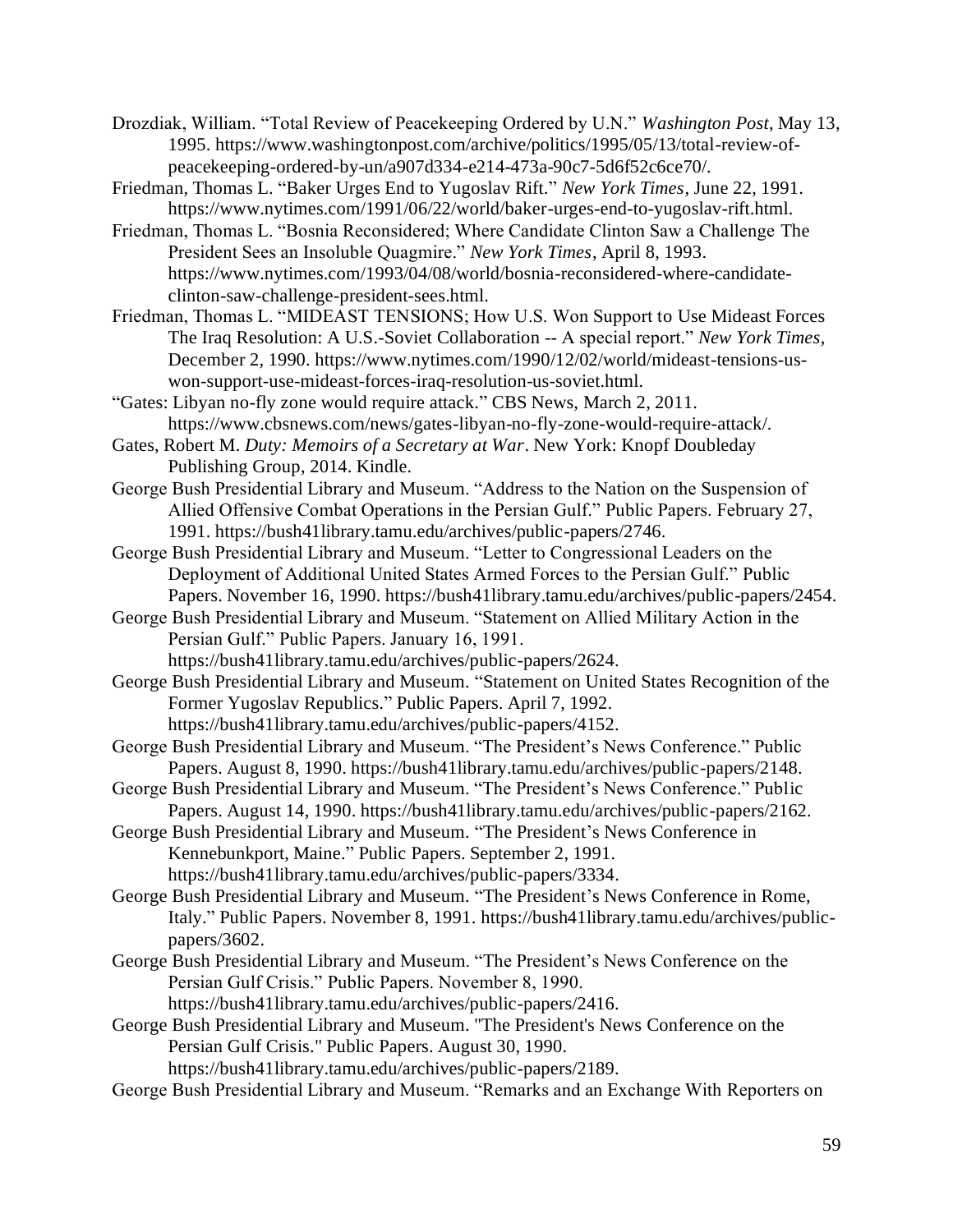- Drozdiak, William. "Total Review of Peacekeeping Ordered by U.N." *Washington Post*, May 13, 1995. https://www.washingtonpost.com/archive/politics/1995/05/13/total-review-ofpeacekeeping-ordered-by-un/a907d334-e214-473a-90c7-5d6f52c6ce70/.
- Friedman, Thomas L. "Baker Urges End to Yugoslav Rift." *New York Times*, June 22, 1991. https://www.nytimes.com/1991/06/22/world/baker-urges-end-to-yugoslav-rift.html.
- Friedman, Thomas L. "Bosnia Reconsidered; Where Candidate Clinton Saw a Challenge The President Sees an Insoluble Quagmire." *New York Times*, April 8, 1993. https://www.nytimes.com/1993/04/08/world/bosnia-reconsidered-where-candidateclinton-saw-challenge-president-sees.html.
- Friedman, Thomas L. "MIDEAST TENSIONS; How U.S. Won Support to Use Mideast Forces The Iraq Resolution: A U.S.-Soviet Collaboration -- A special report." *New York Times*, December 2, 1990. https://www.nytimes.com/1990/12/02/world/mideast-tensions-uswon-support-use-mideast-forces-iraq-resolution-us-soviet.html.
- "Gates: Libyan no-fly zone would require attack." CBS News, March 2, 2011. https://www.cbsnews.com/news/gates-libyan-no-fly-zone-would-require-attack/.
- Gates, Robert M. *Duty: Memoirs of a Secretary at War*. New York: Knopf Doubleday Publishing Group, 2014. Kindle.
- George Bush Presidential Library and Museum. "Address to the Nation on the Suspension of Allied Offensive Combat Operations in the Persian Gulf." Public Papers. February 27, 1991. https://bush41library.tamu.edu/archives/public-papers/2746.
- George Bush Presidential Library and Museum. "Letter to Congressional Leaders on the Deployment of Additional United States Armed Forces to the Persian Gulf." Public Papers. November 16, 1990. https://bush41library.tamu.edu/archives/public-papers/2454.
- George Bush Presidential Library and Museum. "Statement on Allied Military Action in the Persian Gulf." Public Papers. January 16, 1991.
	- https://bush41library.tamu.edu/archives/public-papers/2624.
- George Bush Presidential Library and Museum. "Statement on United States Recognition of the Former Yugoslav Republics." Public Papers. April 7, 1992. https://bush41library.tamu.edu/archives/public-papers/4152.
- George Bush Presidential Library and Museum. "The President's News Conference." Public Papers. August 8, 1990. https://bush41library.tamu.edu/archives/public-papers/2148.
- George Bush Presidential Library and Museum. "The President's News Conference." Public Papers. August 14, 1990. https://bush41library.tamu.edu/archives/public-papers/2162.
- George Bush Presidential Library and Museum. "The President's News Conference in Kennebunkport, Maine." Public Papers. September 2, 1991. https://bush41library.tamu.edu/archives/public-papers/3334.
- George Bush Presidential Library and Museum. "The President's News Conference in Rome, Italy." Public Papers. November 8, 1991. https://bush41library.tamu.edu/archives/publicpapers/3602.
- George Bush Presidential Library and Museum. "The President's News Conference on the Persian Gulf Crisis." Public Papers. November 8, 1990.
	- https://bush41library.tamu.edu/archives/public-papers/2416.
- George Bush Presidential Library and Museum. "The President's News Conference on the Persian Gulf Crisis." Public Papers. August 30, 1990.

https://bush41library.tamu.edu/archives/public-papers/2189.

George Bush Presidential Library and Museum. "Remarks and an Exchange With Reporters on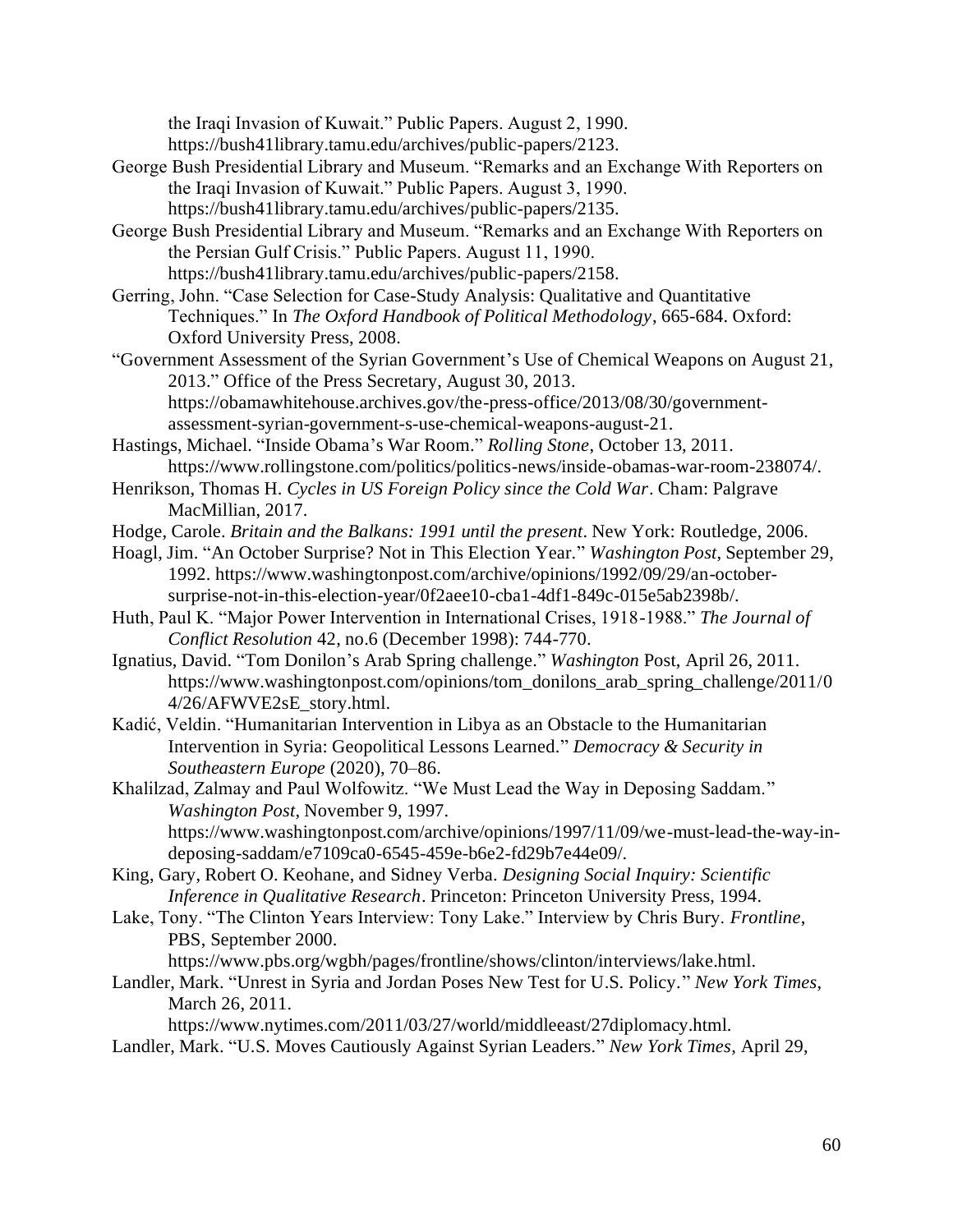the Iraqi Invasion of Kuwait." Public Papers. August 2, 1990.

https://bush41library.tamu.edu/archives/public-papers/2123.

- George Bush Presidential Library and Museum. "Remarks and an Exchange With Reporters on the Iraqi Invasion of Kuwait." Public Papers. August 3, 1990. https://bush41library.tamu.edu/archives/public-papers/2135.
- George Bush Presidential Library and Museum. "Remarks and an Exchange With Reporters on the Persian Gulf Crisis." Public Papers. August 11, 1990. https://bush41library.tamu.edu/archives/public-papers/2158.
- Gerring, John. "Case Selection for Case-Study Analysis: Qualitative and Quantitative Techniques." In *The Oxford Handbook of Political Methodology*, 665-684. Oxford: Oxford University Press, 2008.
- "Government Assessment of the Syrian Government's Use of Chemical Weapons on August 21, 2013." Office of the Press Secretary, August 30, 2013. https://obamawhitehouse.archives.gov/the-press-office/2013/08/30/governmentassessment-syrian-government-s-use-chemical-weapons-august-21.
- Hastings, Michael. "Inside Obama's War Room." *Rolling Stone*, October 13, 2011. https://www.rollingstone.com/politics/politics-news/inside-obamas-war-room-238074/.
- Henrikson, Thomas H. *Cycles in US Foreign Policy since the Cold War*. Cham: Palgrave MacMillian, 2017.
- Hodge, Carole. *Britain and the Balkans: 1991 until the present*. New York: Routledge, 2006.
- Hoagl, Jim. "An October Surprise? Not in This Election Year." *Washington Post*, September 29, 1992. https://www.washingtonpost.com/archive/opinions/1992/09/29/an-octobersurprise-not-in-this-election-year/0f2aee10-cba1-4df1-849c-015e5ab2398b/.
- Huth, Paul K. "Major Power Intervention in International Crises, 1918-1988." *The Journal of Conflict Resolution* 42, no.6 (December 1998): 744-770.
- Ignatius, David. "Tom Donilon's Arab Spring challenge." *Washington* Post, April 26, 2011. https://www.washingtonpost.com/opinions/tom\_donilons\_arab\_spring\_challenge/2011/0 4/26/AFWVE2sE\_story.html.
- Kadić, Veldin. "Humanitarian Intervention in Libya as an Obstacle to the Humanitarian Intervention in Syria: Geopolitical Lessons Learned." *Democracy & Security in Southeastern Europe* (2020), 70–86.
- Khalilzad, Zalmay and Paul Wolfowitz. "We Must Lead the Way in Deposing Saddam." *Washington Post*, November 9, 1997. https://www.washingtonpost.com/archive/opinions/1997/11/09/we-must-lead-the-way-indeposing-saddam/e7109ca0-6545-459e-b6e2-fd29b7e44e09/.
- King, Gary, Robert O. Keohane, and Sidney Verba. *Designing Social Inquiry: Scientific Inference in Qualitative Research*. Princeton: Princeton University Press, 1994.
- Lake, Tony. "The Clinton Years Interview: Tony Lake." Interview by Chris Bury. *Frontline*, PBS, September 2000.

https://www.pbs.org/wgbh/pages/frontline/shows/clinton/interviews/lake.html.

Landler, Mark. "Unrest in Syria and Jordan Poses New Test for U.S. Policy." *New York Times*, March 26, 2011.

https://www.nytimes.com/2011/03/27/world/middleeast/27diplomacy.html. Landler, Mark. "U.S. Moves Cautiously Against Syrian Leaders." *New York Times*, April 29,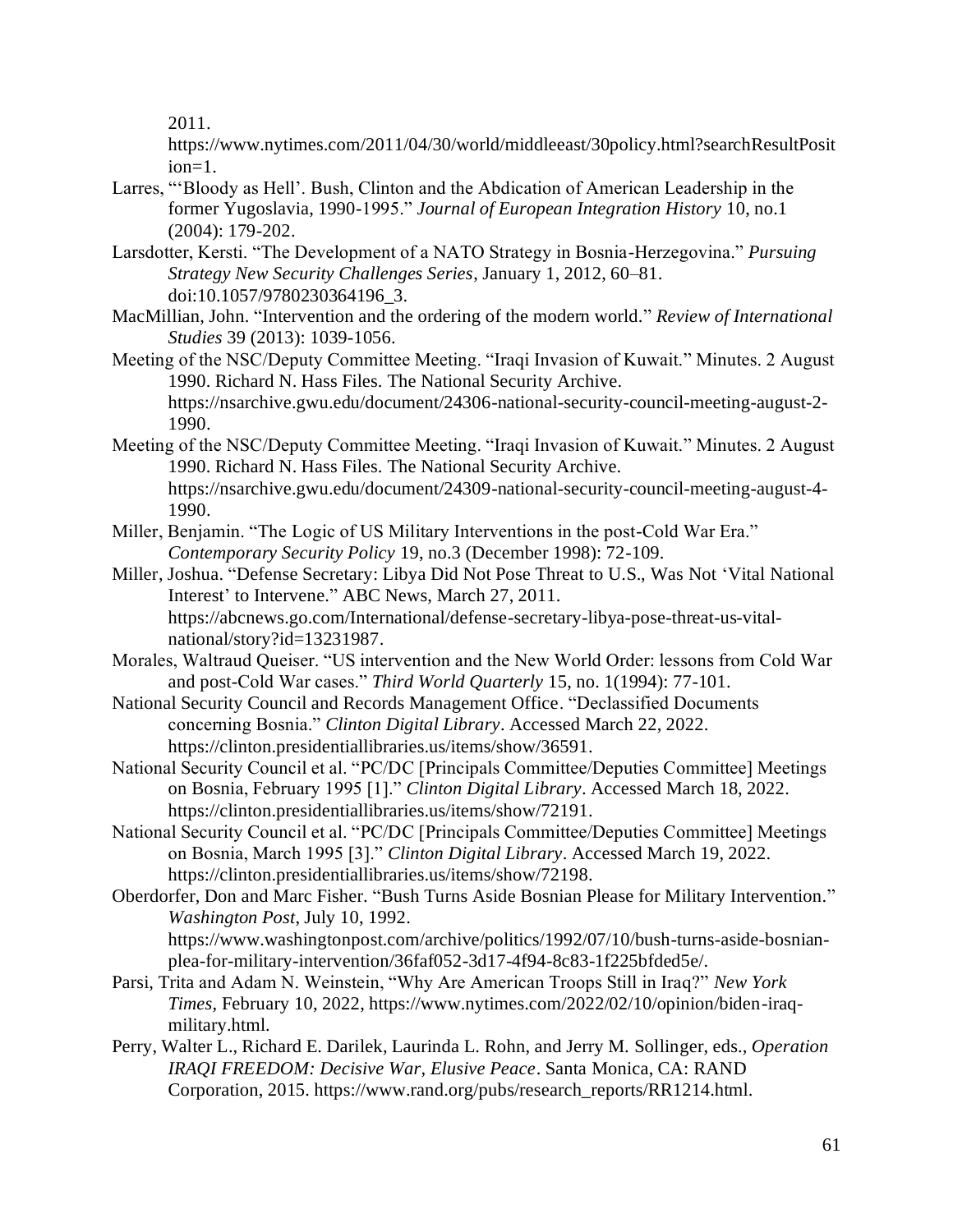2011.

https://www.nytimes.com/2011/04/30/world/middleeast/30policy.html?searchResultPosit  $ion = 1$ .

- Larres, "'Bloody as Hell'. Bush, Clinton and the Abdication of American Leadership in the former Yugoslavia, 1990-1995." *Journal of European Integration History* 10, no.1 (2004): 179-202.
- Larsdotter, Kersti. "The Development of a NATO Strategy in Bosnia-Herzegovina." *Pursuing Strategy New Security Challenges Series*, January 1, 2012, 60–81. doi:10.1057/9780230364196\_3.
- MacMillian, John. "Intervention and the ordering of the modern world." *Review of International Studies* 39 (2013): 1039-1056.
- Meeting of the NSC/Deputy Committee Meeting. "Iraqi Invasion of Kuwait." Minutes. 2 August 1990. Richard N. Hass Files. The National Security Archive. https://nsarchive.gwu.edu/document/24306-national-security-council-meeting-august-2- 1990.
- Meeting of the NSC/Deputy Committee Meeting. "Iraqi Invasion of Kuwait." Minutes. 2 August 1990. Richard N. Hass Files. The National Security Archive. https://nsarchive.gwu.edu/document/24309-national-security-council-meeting-august-4- 1990.
- Miller, Benjamin. "The Logic of US Military Interventions in the post-Cold War Era." *Contemporary Security Policy* 19, no.3 (December 1998): 72-109.
- Miller, Joshua. "Defense Secretary: Libya Did Not Pose Threat to U.S., Was Not 'Vital National Interest' to Intervene." ABC News, March 27, 2011. https://abcnews.go.com/International/defense-secretary-libya-pose-threat-us-vitalnational/story?id=13231987.
- Morales, Waltraud Queiser. "US intervention and the New World Order: lessons from Cold War and post-Cold War cases." *Third World Quarterly* 15, no. 1(1994): 77-101.
- National Security Council and Records Management Office. "Declassified Documents concerning Bosnia." *Clinton Digital Library*. Accessed March 22, 2022. https://clinton.presidentiallibraries.us/items/show/36591.
- National Security Council et al. "PC/DC [Principals Committee/Deputies Committee] Meetings on Bosnia, February 1995 [1]." *Clinton Digital Library*. Accessed March 18, 2022. https://clinton.presidentiallibraries.us/items/show/72191.
- National Security Council et al. "PC/DC [Principals Committee/Deputies Committee] Meetings on Bosnia, March 1995 [3]." *Clinton Digital Library*. Accessed March 19, 2022. https://clinton.presidentiallibraries.us/items/show/72198.
- Oberdorfer, Don and Marc Fisher. "Bush Turns Aside Bosnian Please for Military Intervention." *Washington Post*, July 10, 1992. https://www.washingtonpost.com/archive/politics/1992/07/10/bush-turns-aside-bosnian
	- plea-for-military-intervention/36faf052-3d17-4f94-8c83-1f225bfded5e/.
- Parsi, Trita and Adam N. Weinstein, "Why Are American Troops Still in Iraq?" *New York Times*, February 10, 2022, https://www.nytimes.com/2022/02/10/opinion/biden-iraqmilitary.html.
- Perry, Walter L., Richard E. Darilek, Laurinda L. Rohn, and Jerry M. Sollinger, eds*., Operation IRAQI FREEDOM: Decisive War, Elusive Peace*. Santa Monica, CA: RAND Corporation, 2015. https://www.rand.org/pubs/research\_reports/RR1214.html.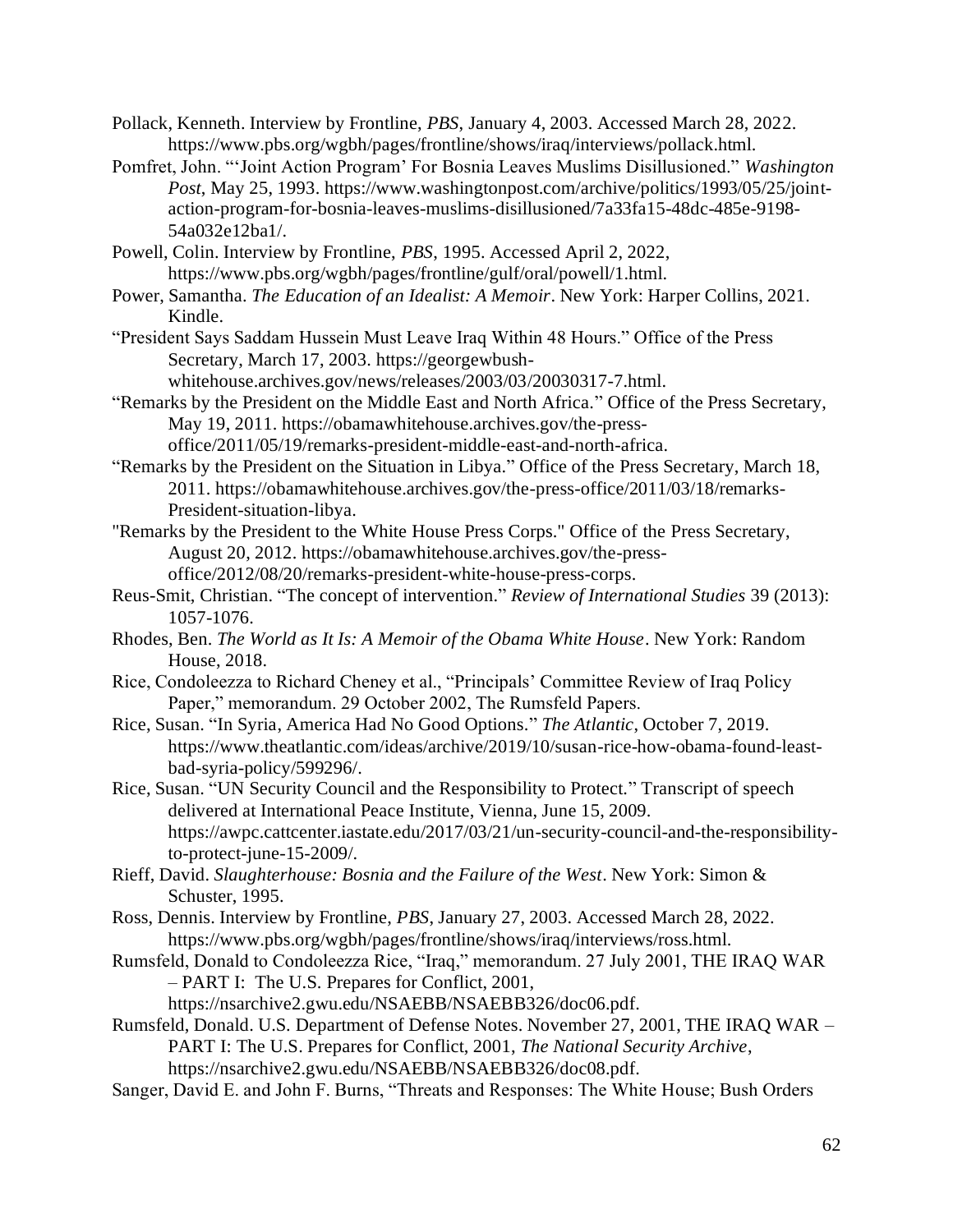- Pollack, Kenneth. Interview by Frontline, *PBS*, January 4, 2003. Accessed March 28, 2022. https://www.pbs.org/wgbh/pages/frontline/shows/iraq/interviews/pollack.html.
- Pomfret, John. "'Joint Action Program' For Bosnia Leaves Muslims Disillusioned." *Washington Post*, May 25, 1993. https://www.washingtonpost.com/archive/politics/1993/05/25/jointaction-program-for-bosnia-leaves-muslims-disillusioned/7a33fa15-48dc-485e-9198- 54a032e12ba1/.
- Powell, Colin. Interview by Frontline, *PBS*, 1995. Accessed April 2, 2022, https://www.pbs.org/wgbh/pages/frontline/gulf/oral/powell/1.html.
- Power, Samantha. *The Education of an Idealist: A Memoir*. New York: Harper Collins, 2021. Kindle.
- "President Says Saddam Hussein Must Leave Iraq Within 48 Hours." Office of the Press Secretary, March 17, 2003. https://georgewbush-
- whitehouse.archives.gov/news/releases/2003/03/20030317-7.html. "Remarks by the President on the Middle East and North Africa." Office of the Press Secretary, May 19, 2011. https://obamawhitehouse.archives.gov/the-pressoffice/2011/05/19/remarks-president-middle-east-and-north-africa.
- "Remarks by the President on the Situation in Libya." Office of the Press Secretary, March 18, 2011. https://obamawhitehouse.archives.gov/the-press-office/2011/03/18/remarks-President-situation-libya.
- "Remarks by the President to the White House Press Corps." Office of the Press Secretary, August 20, 2012. https://obamawhitehouse.archives.gov/the-pressoffice/2012/08/20/remarks-president-white-house-press-corps.
- Reus-Smit, Christian. "The concept of intervention." *Review of International Studies* 39 (2013): 1057-1076.
- Rhodes, Ben. *The World as It Is: A Memoir of the Obama White House*. New York: Random House, 2018.
- Rice, Condoleezza to Richard Cheney et al., "Principals' Committee Review of Iraq Policy Paper," memorandum. 29 October 2002, The Rumsfeld Papers.
- Rice, Susan. "In Syria, America Had No Good Options." *The Atlantic*, October 7, 2019. https://www.theatlantic.com/ideas/archive/2019/10/susan-rice-how-obama-found-leastbad-syria-policy/599296/.
- Rice, Susan. "UN Security Council and the Responsibility to Protect." Transcript of speech delivered at International Peace Institute, Vienna, June 15, 2009. https://awpc.cattcenter.iastate.edu/2017/03/21/un-security-council-and-the-responsibilityto-protect-june-15-2009/.
- Rieff, David. *Slaughterhouse: Bosnia and the Failure of the West*. New York: Simon & Schuster, 1995.
- Ross, Dennis. Interview by Frontline, *PBS*, January 27, 2003. Accessed March 28, 2022. https://www.pbs.org/wgbh/pages/frontline/shows/iraq/interviews/ross.html.
- Rumsfeld, Donald to Condoleezza Rice, "Iraq," memorandum. 27 July 2001, THE IRAQ WAR – PART I: The U.S. Prepares for Conflict, 2001,

https://nsarchive2.gwu.edu/NSAEBB/NSAEBB326/doc06.pdf.

- Rumsfeld, Donald. U.S. Department of Defense Notes. November 27, 2001, THE IRAQ WAR PART I: The U.S. Prepares for Conflict, 2001, *The National Security Archive*, https://nsarchive2.gwu.edu/NSAEBB/NSAEBB326/doc08.pdf.
- Sanger, David E. and John F. Burns, "Threats and Responses: The White House; Bush Orders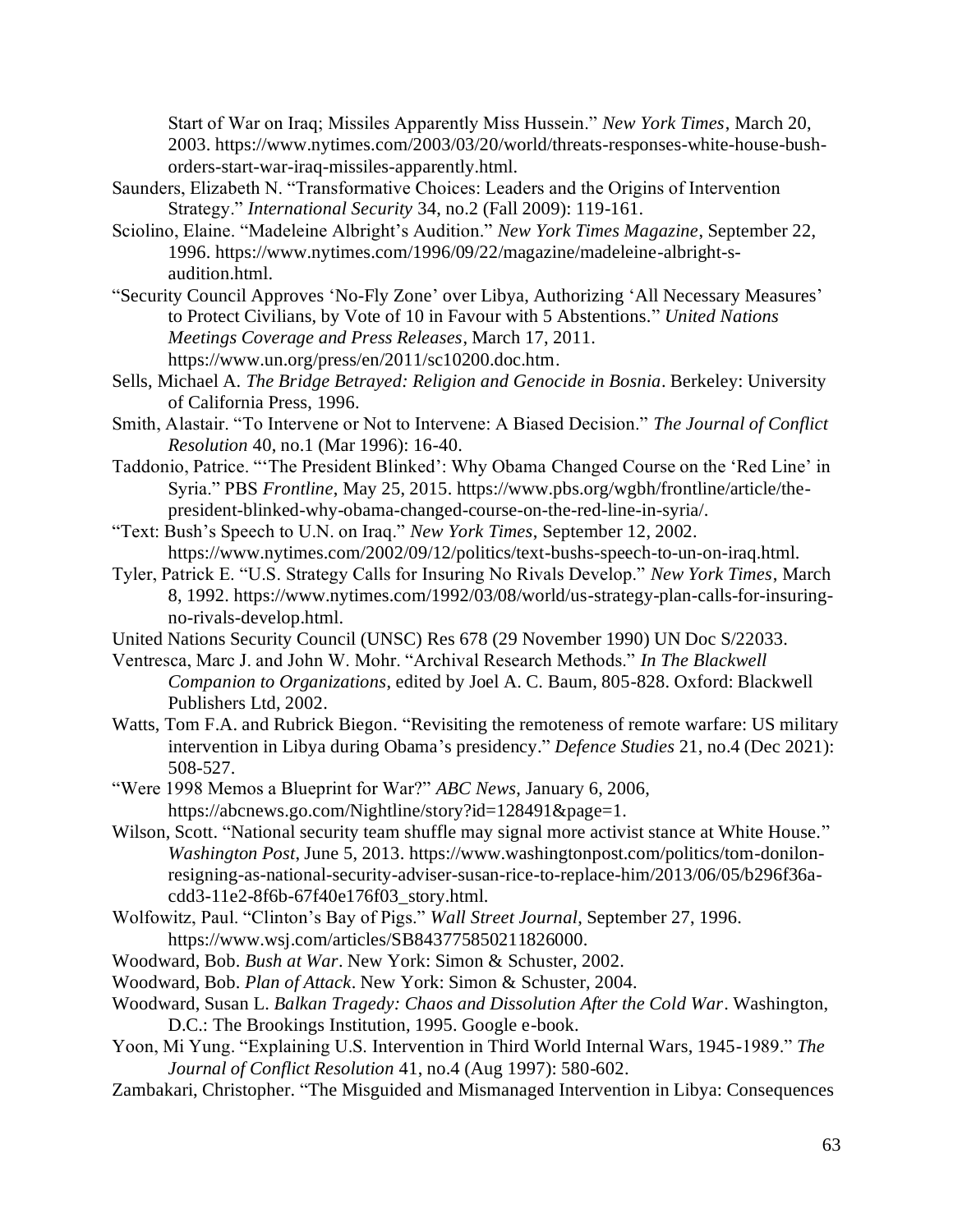Start of War on Iraq; Missiles Apparently Miss Hussein." *New York Times*, March 20, 2003. https://www.nytimes.com/2003/03/20/world/threats-responses-white-house-bushorders-start-war-iraq-missiles-apparently.html.

- Saunders, Elizabeth N. "Transformative Choices: Leaders and the Origins of Intervention Strategy." *International Security* 34, no.2 (Fall 2009): 119-161.
- Sciolino, Elaine. "Madeleine Albright's Audition." *New York Times Magazine*, September 22, 1996. https://www.nytimes.com/1996/09/22/magazine/madeleine-albright-saudition.html.
- "Security Council Approves 'No-Fly Zone' over Libya, Authorizing 'All Necessary Measures' to Protect Civilians, by Vote of 10 in Favour with 5 Abstentions." *United Nations Meetings Coverage and Press Releases*, March 17, 2011. https://www.un.org/press/en/2011/sc10200.doc.htm.
- Sells, Michael A. *The Bridge Betrayed: Religion and Genocide in Bosnia*. Berkeley: University of California Press, 1996.
- Smith, Alastair. "To Intervene or Not to Intervene: A Biased Decision." *The Journal of Conflict Resolution* 40, no.1 (Mar 1996): 16-40.
- Taddonio, Patrice. "'The President Blinked': Why Obama Changed Course on the 'Red Line' in Syria." PBS *Frontline*, May 25, 2015. https://www.pbs.org/wgbh/frontline/article/thepresident-blinked-why-obama-changed-course-on-the-red-line-in-syria/.
- "Text: Bush's Speech to U.N. on Iraq." *New York Times*, September 12, 2002. https://www.nytimes.com/2002/09/12/politics/text-bushs-speech-to-un-on-iraq.html.
- Tyler, Patrick E. "U.S. Strategy Calls for Insuring No Rivals Develop." *New York Times*, March 8, 1992. https://www.nytimes.com/1992/03/08/world/us-strategy-plan-calls-for-insuringno-rivals-develop.html.
- United Nations Security Council (UNSC) Res 678 (29 November 1990) UN Doc S/22033.
- Ventresca, Marc J. and John W. Mohr. "Archival Research Methods." *In The Blackwell Companion to Organizations*, edited by Joel A. C. Baum, 805-828. Oxford: Blackwell Publishers Ltd, 2002.
- Watts, Tom F.A. and Rubrick Biegon. "Revisiting the remoteness of remote warfare: US military intervention in Libya during Obama's presidency." *Defence Studies* 21, no.4 (Dec 2021): 508-527.
- "Were 1998 Memos a Blueprint for War?" *ABC News*, January 6, 2006, https://abcnews.go.com/Nightline/story?id=128491&page=1.
- Wilson, Scott. "National security team shuffle may signal more activist stance at White House." *Washington Post*, June 5, 2013. https://www.washingtonpost.com/politics/tom-donilonresigning-as-national-security-adviser-susan-rice-to-replace-him/2013/06/05/b296f36acdd3-11e2-8f6b-67f40e176f03\_story.html.
- Wolfowitz, Paul. "Clinton's Bay of Pigs." *Wall Street Journal*, September 27, 1996. https://www.wsj.com/articles/SB843775850211826000.
- Woodward, Bob. *Bush at War*. New York: Simon & Schuster, 2002.
- Woodward, Bob. *Plan of Attack*. New York: Simon & Schuster, 2004.
- Woodward, Susan L. *Balkan Tragedy: Chaos and Dissolution After the Cold War*. Washington, D.C.: The Brookings Institution, 1995. Google e-book.
- Yoon, Mi Yung. "Explaining U.S. Intervention in Third World Internal Wars, 1945-1989." *The Journal of Conflict Resolution* 41, no.4 (Aug 1997): 580-602.
- Zambakari, Christopher. "The Misguided and Mismanaged Intervention in Libya: Consequences